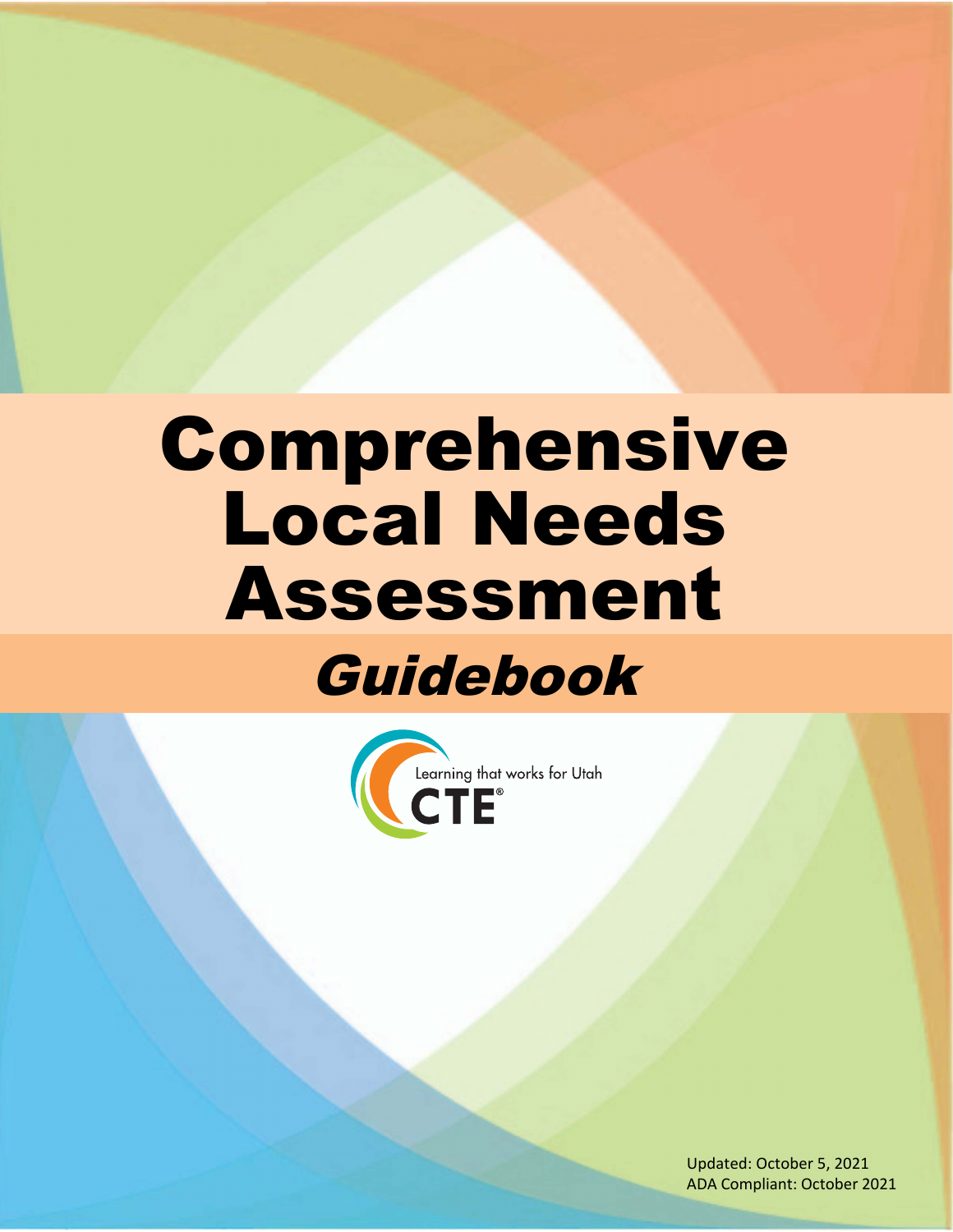# Comprehensive Local Needs Assessment Guidebook



Updated: October 5, 2021 ADA Compliant: October 2021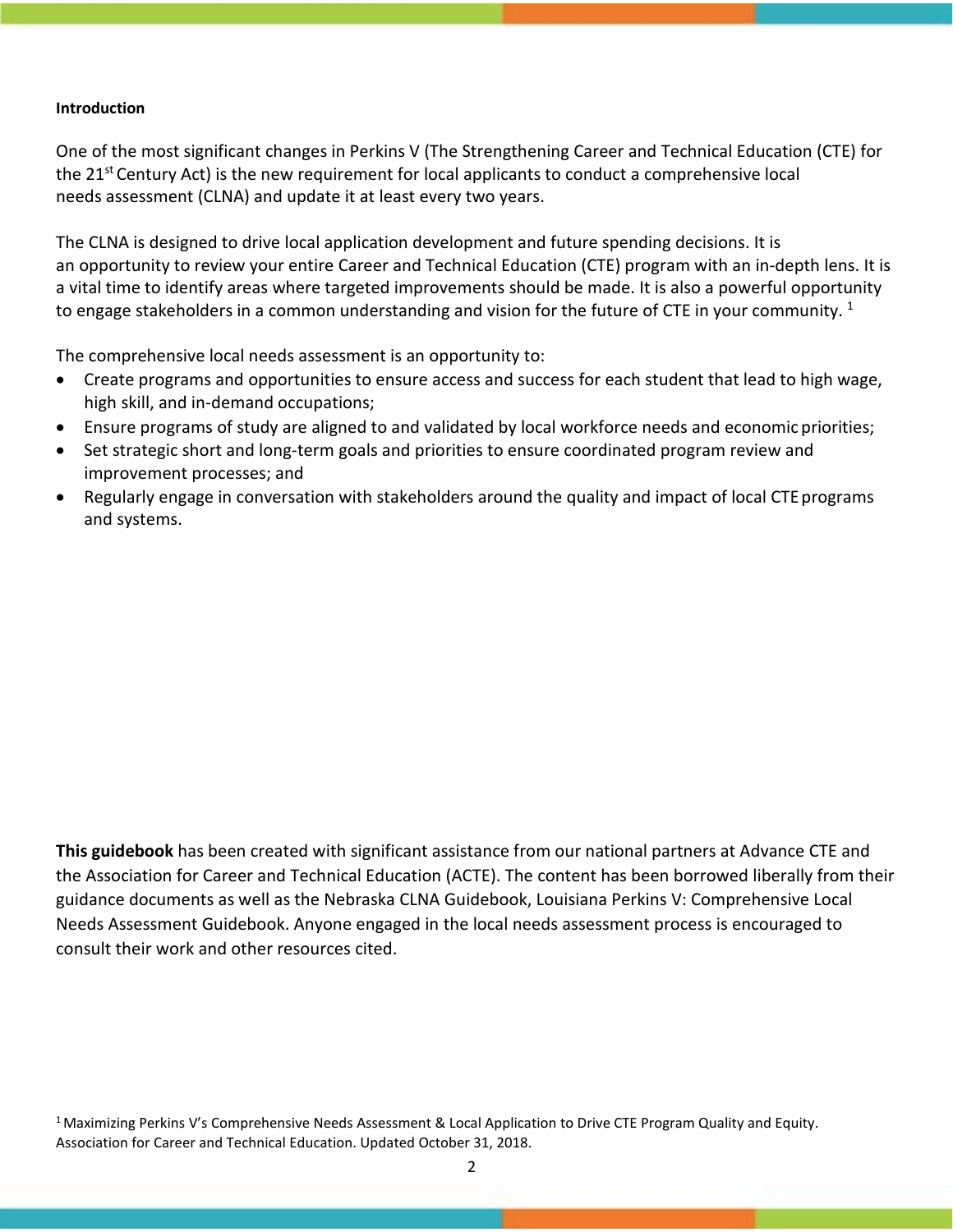#### **Introduction**

One of the most significant changes in Perkins V (The Strengthening Career and Technical Education (CTE) for the 21<sup>st</sup> Century Act) is the new requirement for local applicants to conduct a comprehensive local needs assessment (CLNA) and update it at least every two years.

The CLNA is designed to drive local application development and future spending decisions. It is an opportunity to review your entire Career and Technical Education (CTE) program with an in‐depth lens. It is a vital time to identify areas where targeted improvements should be made. It is also a powerful opportunity to engage stakeholders in a common understanding and vision for the future of CTE in your community.  $1$ 

The comprehensive local needs assessment is an opportunity to:

- Create programs and opportunities to ensure access and success for each student that lead to high wage, high skill, and in-demand occupations;
- Ensure programs of study are aligned to and validated by local workforce needs and economic priorities;
- Set strategic short and long‐term goals and priorities to ensure coordinated program review and improvement processes; and
- Regularly engage in conversation with stakeholders around the quality and impact of local CTE programs and systems.

**This guidebook** has been created with significant assistance from our national partners at Advance CTE and the Association for Career and Technical Education (ACTE). The content has been borrowed liberally from their guidance documents as well as the Nebraska CLNA Guidebook, Louisiana Perkins V: Comprehensive Local Needs Assessment Guidebook. Anyone engaged in the local needs assessment process is encouraged to consult their work and other resources cited.

<sup>1</sup> Maximizing Perkins V's Comprehensive Needs Assessment & Local Application to Drive CTE Program Quality and Equity. Association for Career and Technical Education. Updated October 31, 2018.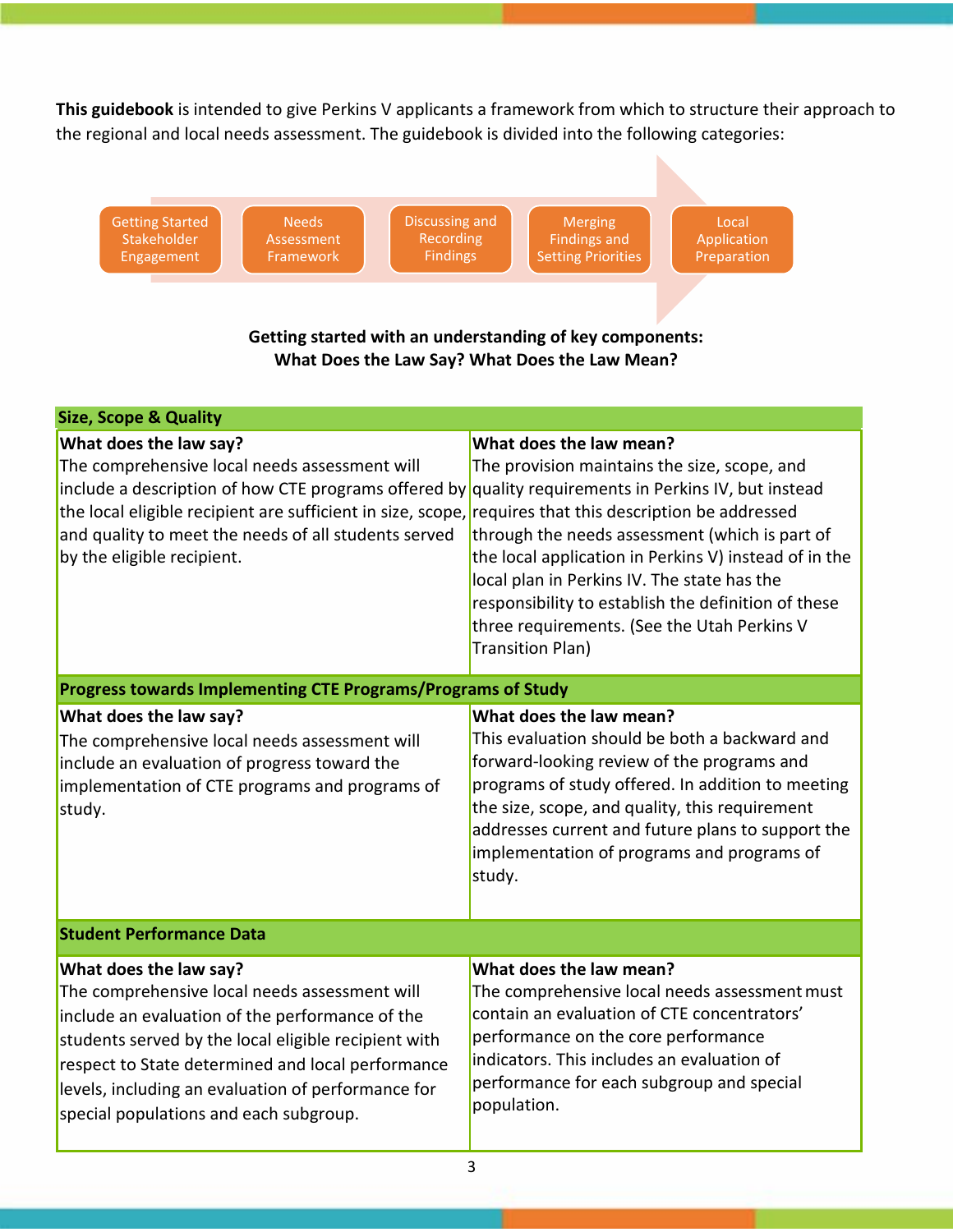**This guidebook** is intended to give Perkins V applicants a framework from which to structure their approach to the regional and local needs assessment. The guidebook is divided into the following categories:

| <b>Discussing and</b><br><b>Getting Started</b><br><b>Needs</b><br>Recording<br>Stakeholder<br>Assessment<br><b>Findings</b><br>Engagement<br>Framework                                                                                                                                                                                                                          | <b>Merging</b><br>Local<br><b>Findings and</b><br>Application<br><b>Setting Priorities</b><br>Preparation<br>Getting started with an understanding of key components:<br>What Does the Law Say? What Does the Law Mean?                                                                                                                                     |  |  |
|----------------------------------------------------------------------------------------------------------------------------------------------------------------------------------------------------------------------------------------------------------------------------------------------------------------------------------------------------------------------------------|-------------------------------------------------------------------------------------------------------------------------------------------------------------------------------------------------------------------------------------------------------------------------------------------------------------------------------------------------------------|--|--|
| <b>Size, Scope &amp; Quality</b>                                                                                                                                                                                                                                                                                                                                                 |                                                                                                                                                                                                                                                                                                                                                             |  |  |
| What does the law say?<br>The comprehensive local needs assessment will<br>include a description of how CTE programs offered by quality requirements in Perkins IV, but instead<br>the local eligible recipient are sufficient in size, scope, requires that this description be addressed<br>and quality to meet the needs of all students served<br>by the eligible recipient. | What does the law mean?<br>The provision maintains the size, scope, and<br>through the needs assessment (which is part of<br>the local application in Perkins V) instead of in the<br>local plan in Perkins IV. The state has the<br>responsibility to establish the definition of these<br>three requirements. (See the Utah Perkins V<br>Transition Plan) |  |  |
| Progress towards Implementing CTE Programs/Programs of Study                                                                                                                                                                                                                                                                                                                     |                                                                                                                                                                                                                                                                                                                                                             |  |  |
| What does the law say?<br>The comprehensive local needs assessment will<br>include an evaluation of progress toward the<br>implementation of CTE programs and programs of<br>study.                                                                                                                                                                                              | What does the law mean?<br>This evaluation should be both a backward and<br>forward-looking review of the programs and<br>programs of study offered. In addition to meeting<br>the size, scope, and quality, this requirement<br>addresses current and future plans to support the<br>implementation of programs and programs of<br>study.                  |  |  |
| <b>Student Performance Data</b>                                                                                                                                                                                                                                                                                                                                                  |                                                                                                                                                                                                                                                                                                                                                             |  |  |
| What does the law say?<br>The comprehensive local needs assessment will<br>include an evaluation of the performance of the<br>students served by the local eligible recipient with<br>respect to State determined and local performance<br>levels, including an evaluation of performance for<br>special populations and each subgroup.                                          | What does the law mean?<br>The comprehensive local needs assessment must<br>contain an evaluation of CTE concentrators'<br>performance on the core performance<br>indicators. This includes an evaluation of<br>performance for each subgroup and special<br>population.                                                                                    |  |  |

3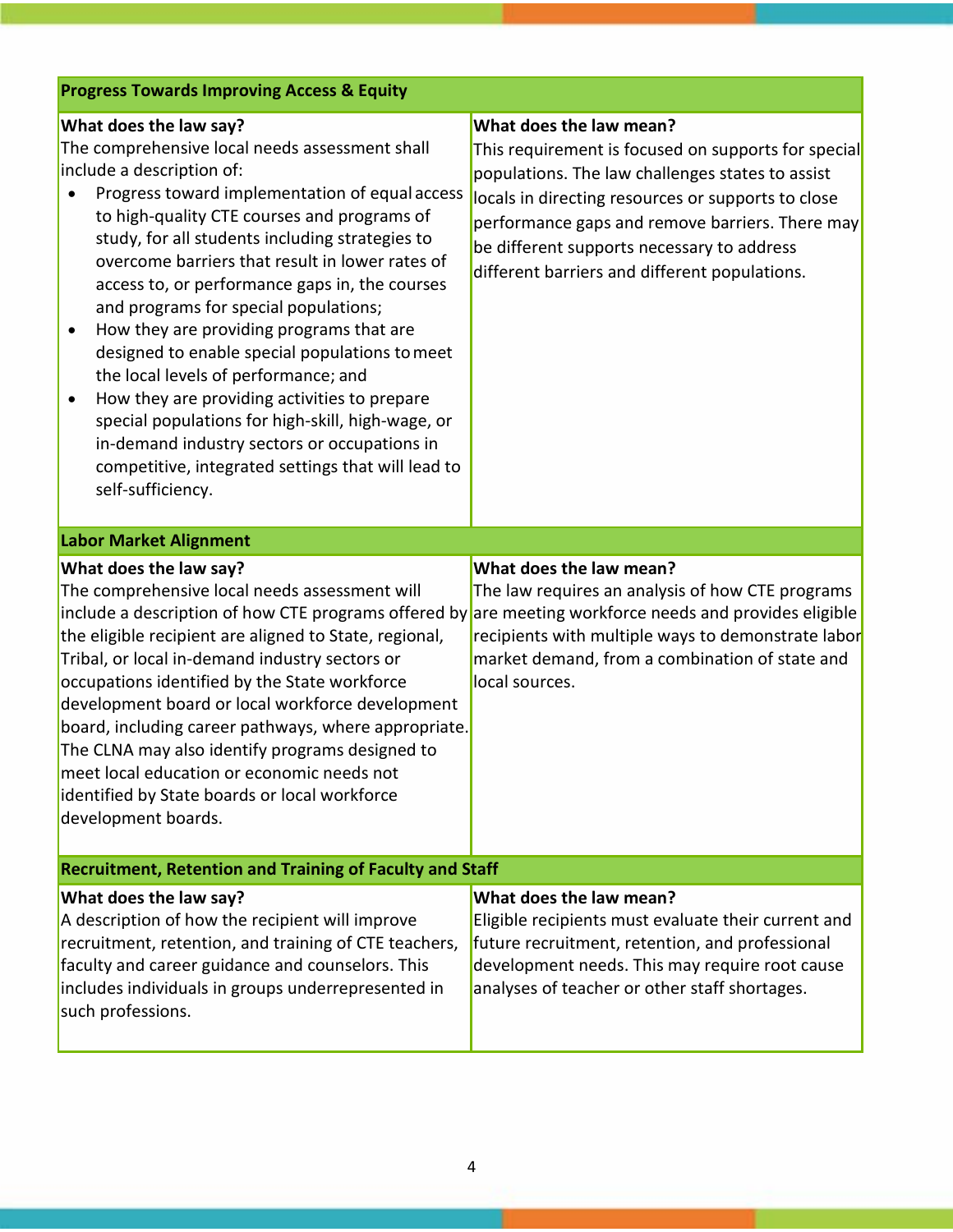| <b>Progress Towards Improving Access &amp; Equity</b>                                                                                                                                                                                                                                                                                                                                                                                                                                                                                                                                                                                                                                                                                                                                           |                                                                                                                                                                                                                                                                                                                                            |  |  |  |
|-------------------------------------------------------------------------------------------------------------------------------------------------------------------------------------------------------------------------------------------------------------------------------------------------------------------------------------------------------------------------------------------------------------------------------------------------------------------------------------------------------------------------------------------------------------------------------------------------------------------------------------------------------------------------------------------------------------------------------------------------------------------------------------------------|--------------------------------------------------------------------------------------------------------------------------------------------------------------------------------------------------------------------------------------------------------------------------------------------------------------------------------------------|--|--|--|
| What does the law say?<br>The comprehensive local needs assessment shall<br>include a description of:<br>Progress toward implementation of equal access<br>to high-quality CTE courses and programs of<br>study, for all students including strategies to<br>overcome barriers that result in lower rates of<br>access to, or performance gaps in, the courses<br>and programs for special populations;<br>How they are providing programs that are<br>٠<br>designed to enable special populations to meet<br>the local levels of performance; and<br>How they are providing activities to prepare<br>$\bullet$<br>special populations for high-skill, high-wage, or<br>in-demand industry sectors or occupations in<br>competitive, integrated settings that will lead to<br>self-sufficiency. | What does the law mean?<br>This requirement is focused on supports for special<br>populations. The law challenges states to assist<br>locals in directing resources or supports to close<br>performance gaps and remove barriers. There may<br>be different supports necessary to address<br>different barriers and different populations. |  |  |  |
| <b>Labor Market Alignment</b>                                                                                                                                                                                                                                                                                                                                                                                                                                                                                                                                                                                                                                                                                                                                                                   |                                                                                                                                                                                                                                                                                                                                            |  |  |  |
| What does the law say?<br>The comprehensive local needs assessment will<br>include a description of how CTE programs offered by are meeting workforce needs and provides eligible<br>the eligible recipient are aligned to State, regional,<br>Tribal, or local in-demand industry sectors or<br>occupations identified by the State workforce<br>development board or local workforce development<br>board, including career pathways, where appropriate.<br>The CLNA may also identify programs designed to<br>meet local education or economic needs not<br>identified by State boards or local workforce<br>development boards.                                                                                                                                                             | What does the law mean?<br>The law requires an analysis of how CTE programs<br>recipients with multiple ways to demonstrate labor<br>market demand, from a combination of state and<br>local sources.                                                                                                                                      |  |  |  |
| <b>Recruitment, Retention and Training of Faculty and Staff</b>                                                                                                                                                                                                                                                                                                                                                                                                                                                                                                                                                                                                                                                                                                                                 |                                                                                                                                                                                                                                                                                                                                            |  |  |  |
| What does the law say?<br>A description of how the recipient will improve<br>recruitment, retention, and training of CTE teachers,<br>faculty and career guidance and counselors. This<br>includes individuals in groups underrepresented in<br>such professions.                                                                                                                                                                                                                                                                                                                                                                                                                                                                                                                               | What does the law mean?<br>Eligible recipients must evaluate their current and<br>future recruitment, retention, and professional<br>development needs. This may require root cause<br>analyses of teacher or other staff shortages.                                                                                                       |  |  |  |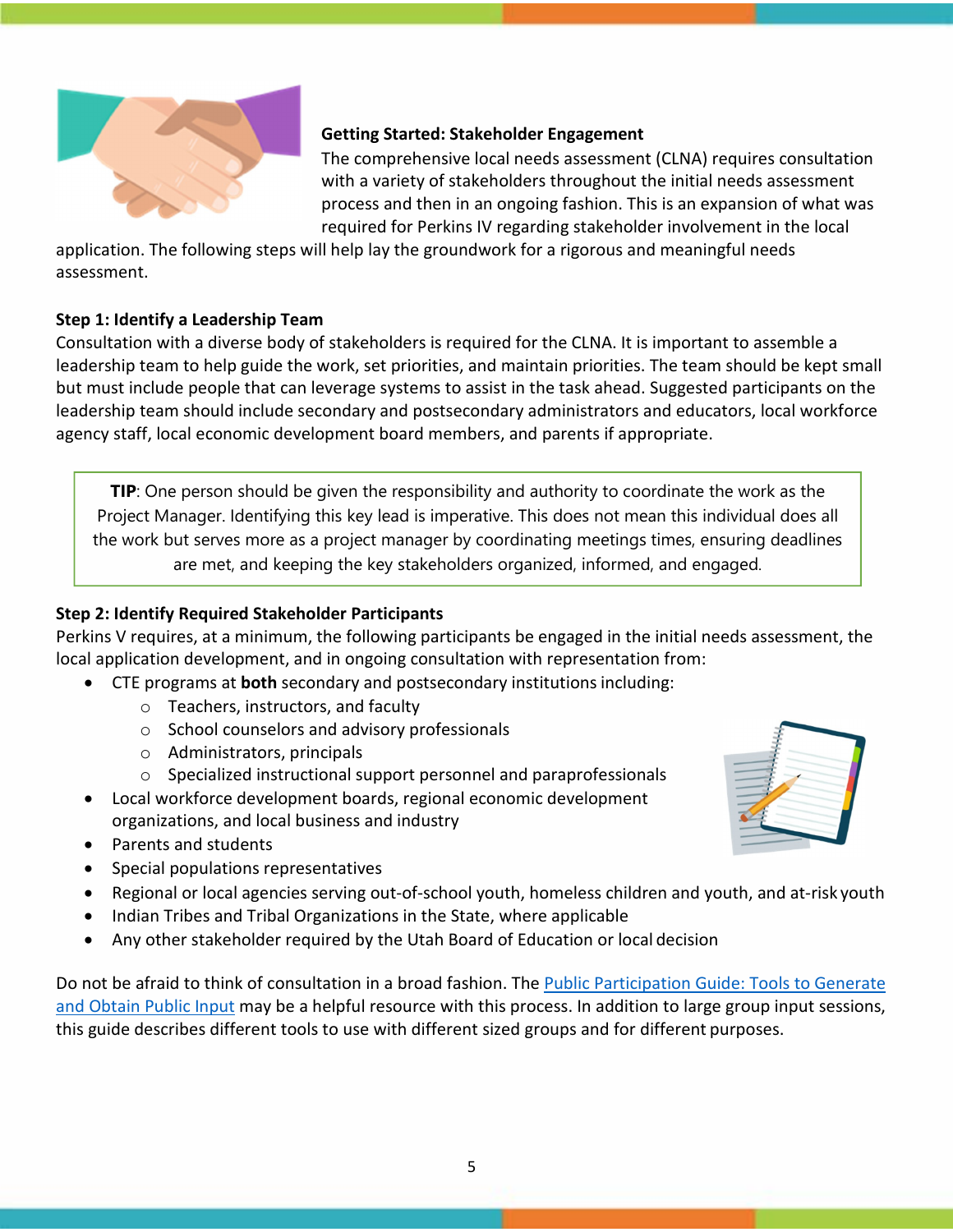

## **Getting Started: Stakeholder Engagement**

The comprehensive local needs assessment (CLNA) requires consultation with a variety of stakeholders throughout the initial needs assessment process and then in an ongoing fashion. This is an expansion of what was required for Perkins IV regarding stakeholder involvement in the local

application. The following steps will help lay the groundwork for a rigorous and meaningful needs assessment.

## **Step 1: Identify a Leadership Team**

Consultation with a diverse body of stakeholders is required for the CLNA. It is important to assemble a leadership team to help guide the work, set priorities, and maintain priorities. The team should be kept small but must include people that can leverage systems to assist in the task ahead. Suggested participants on the leadership team should include secondary and postsecondary administrators and educators, local workforce agency staff, local economic development board members, and parents if appropriate.

**TIP**: One person should be given the responsibility and authority to coordinate the work as the Project Manager. Identifying this key lead is imperative. This does not mean this individual does all the work but serves more as a project manager by coordinating meetings times, ensuring deadlines are met, and keeping the key stakeholders organized, informed, and engaged.

## **Step 2: Identify Required Stakeholder Participants**

Perkins V requires, at a minimum, the following participants be engaged in the initial needs assessment, the local application development, and in ongoing consultation with representation from:

- CTE programs at **both** secondary and postsecondary institutionsincluding:
	- o Teachers, instructors, and faculty
	- o School counselors and advisory professionals
	- o Administrators, principals
	- o Specialized instructional support personnel and paraprofessionals
- Local workforce development boards, regional economic development organizations, and local business and industry
- Parents and students
- Special populations representatives
- Regional or local agencies serving out‐of‐school youth, homeless children and youth, and at‐risk youth
- Indian Tribes and Tribal Organizations in the State, where applicable
- Any other stakeholder required by the Utah Board of Education or local decision

Do not be afraid to think of consultation in a broad fashion. The [Public Participation Guide: Tools to Generate](https://www.epa.gov/international-cooperation/public-participation-guide-tools-generate-and-obtain-public-input) [and Obtain Public Input](https://www.epa.gov/international-cooperation/public-participation-guide-tools-generate-and-obtain-public-input) may be a helpful resource with this process. In addition to large group input sessions, this guide describes different tools to use with different sized groups and for different purposes.

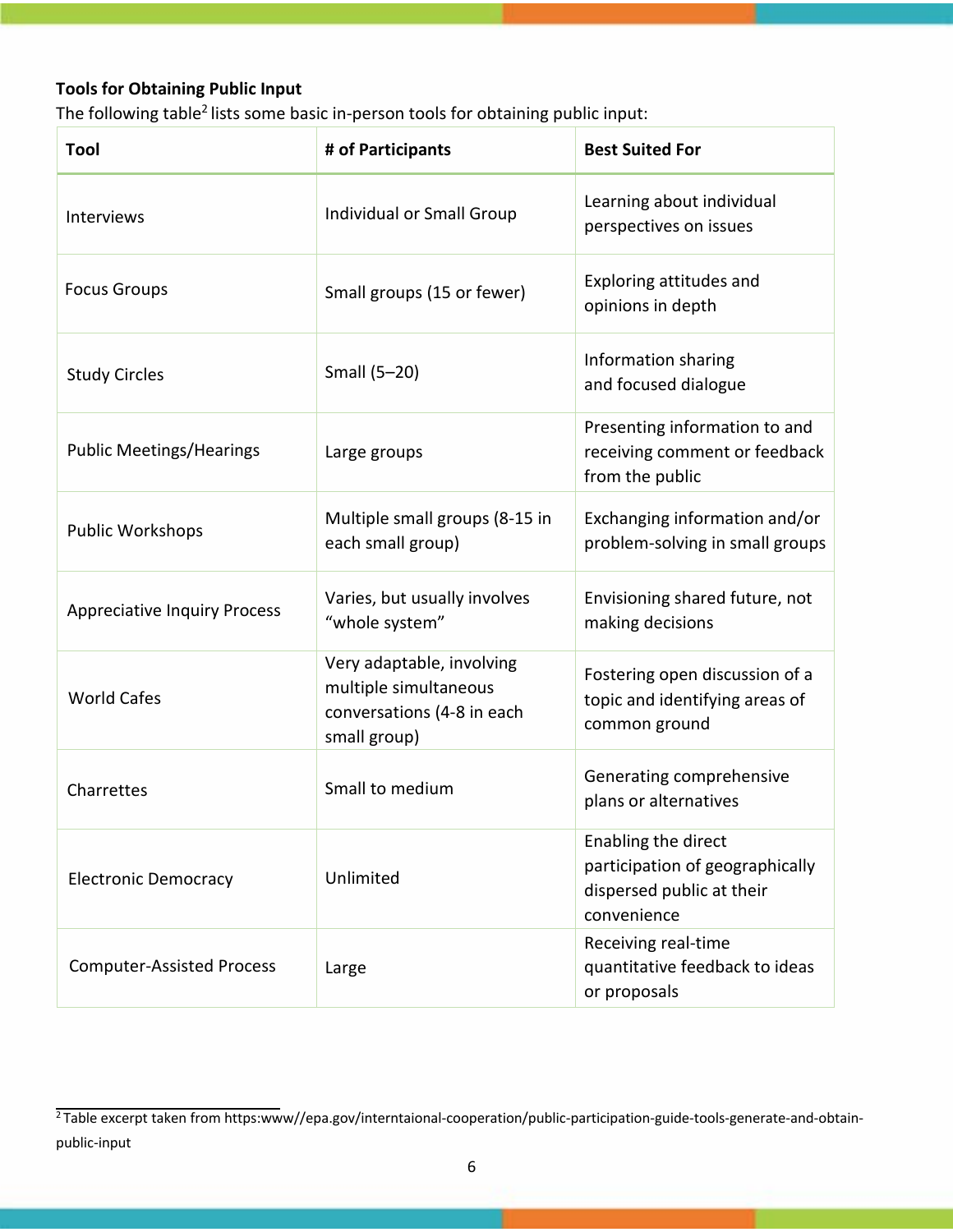# **Tools for Obtaining Public Input**

The following table<sup>2</sup> lists some basic in-person tools for obtaining public input:

| Tool                                | # of Participants                                                                                | <b>Best Suited For</b>                                                                             |
|-------------------------------------|--------------------------------------------------------------------------------------------------|----------------------------------------------------------------------------------------------------|
| Interviews                          | Individual or Small Group                                                                        | Learning about individual<br>perspectives on issues                                                |
| <b>Focus Groups</b>                 | Small groups (15 or fewer)                                                                       | Exploring attitudes and<br>opinions in depth                                                       |
| <b>Study Circles</b>                | Small (5-20)                                                                                     | Information sharing<br>and focused dialogue                                                        |
| <b>Public Meetings/Hearings</b>     | Large groups                                                                                     | Presenting information to and<br>receiving comment or feedback<br>from the public                  |
| <b>Public Workshops</b>             | Multiple small groups (8-15 in<br>each small group)                                              | Exchanging information and/or<br>problem-solving in small groups                                   |
| <b>Appreciative Inquiry Process</b> | Varies, but usually involves<br>"whole system"                                                   | Envisioning shared future, not<br>making decisions                                                 |
| <b>World Cafes</b>                  | Very adaptable, involving<br>multiple simultaneous<br>conversations (4-8 in each<br>small group) | Fostering open discussion of a<br>topic and identifying areas of<br>common ground                  |
| Charrettes                          | Small to medium                                                                                  | Generating comprehensive<br>plans or alternatives                                                  |
| <b>Electronic Democracy</b>         | Unlimited                                                                                        | Enabling the direct<br>participation of geographically<br>dispersed public at their<br>convenience |
| <b>Computer-Assisted Process</b>    | Large                                                                                            | Receiving real-time<br>quantitative feedback to ideas<br>or proposals                              |

 $\frac{1}{2}$ Table excerpt taken from [https:www//epa.gov/interntaional-cooperation/public-participation-guide-tools-generate-and-obtain](https://www.epa.gov/international-cooperation/public-participation-guide-tools-generate-and-obtain-public-input)[public-input](https://www.epa.gov/international-cooperation/public-participation-guide-tools-generate-and-obtain-public-input)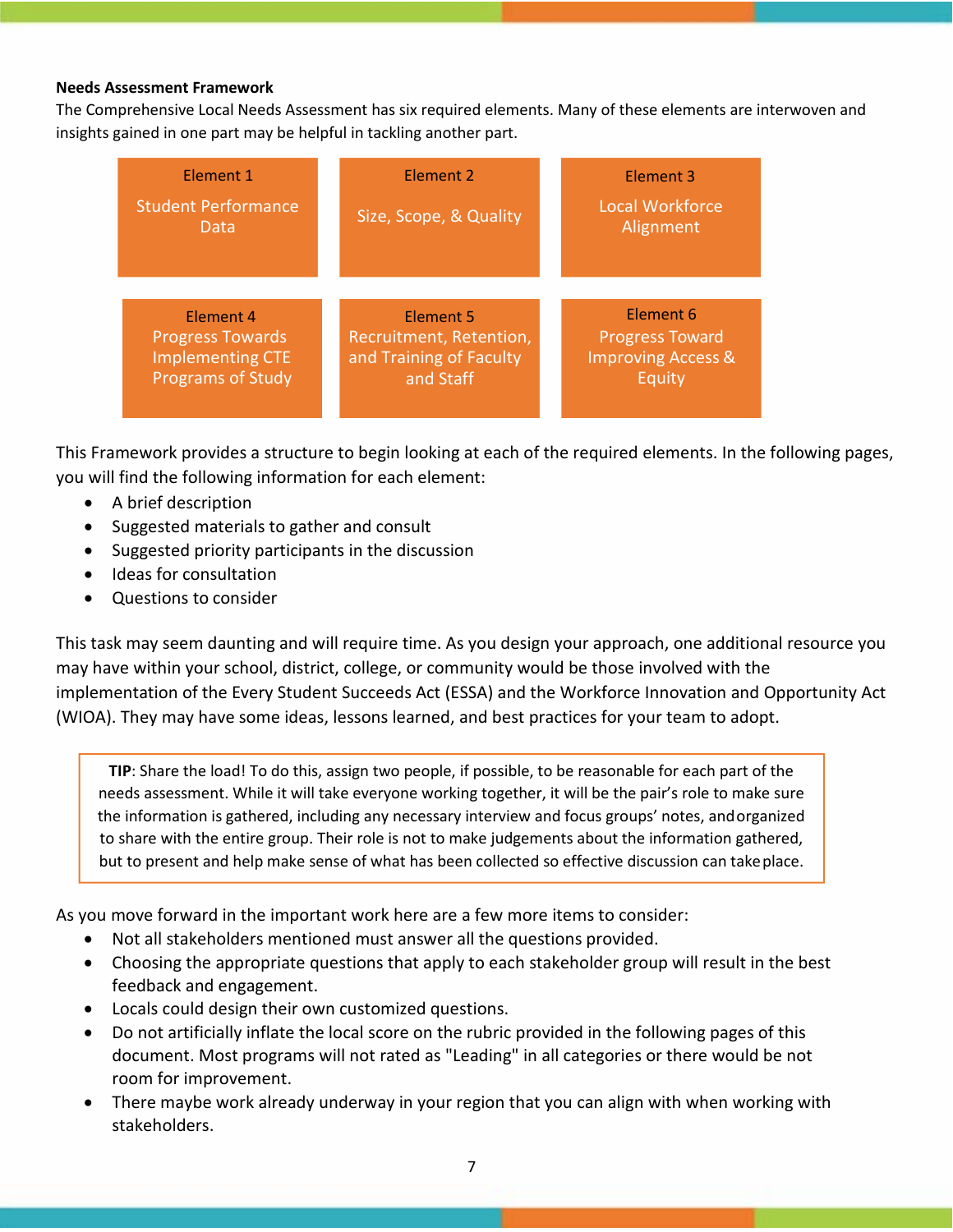#### **Needs Assessment Framework**

The Comprehensive Local Needs Assessment has six required elements. Many of these elements are interwoven and insights gained in one part may be helpful in tackling another part.

| <b>Element 1</b>                                                                                   | Element 2                                                                    | Element 3                                                         |
|----------------------------------------------------------------------------------------------------|------------------------------------------------------------------------------|-------------------------------------------------------------------|
| <b>Student Performance</b><br>Data                                                                 | Size, Scope, & Quality                                                       | <b>Local Workforce</b><br>Alignment                               |
|                                                                                                    |                                                                              | <b>Element 6</b>                                                  |
| <b>Element 4</b><br><b>Progress Towards</b><br><b>Implementing CTE</b><br><b>Programs of Study</b> | Element 5<br>Recruitment, Retention,<br>and Training of Faculty<br>and Staff | <b>Progress Toward</b><br><b>Improving Access &amp;</b><br>Equity |

This Framework provides a structure to begin looking at each of the required elements. In the following pages, you will find the following information for each element:

- A brief description
- Suggested materials to gather and consult
- Suggested priority participants in the discussion
- Ideas for consultation
- Questions to consider

This task may seem daunting and will require time. As you design your approach, one additional resource you may have within your school, district, college, or community would be those involved with the implementation of the Every Student Succeeds Act (ESSA) and the Workforce Innovation and Opportunity Act (WIOA). They may have some ideas, lessons learned, and best practices for your team to adopt.

**TIP**: Share the load! To do this, assign two people, if possible, to be reasonable for each part of the needs assessment. While it will take everyone working together, it will be the pair's role to make sure the information is gathered, including any necessary interview and focus groups' notes, andorganized to share with the entire group. Their role is not to make judgements about the information gathered, but to present and help make sense of what has been collected so effective discussion can takeplace.

As you move forward in the important work here are a few more items to consider:

- Not all stakeholders mentioned must answer all the questions provided.
- Choosing the appropriate questions that apply to each stakeholder group will result in the best feedback and engagement.
- Locals could design their own customized questions.
- Do not artificially inflate the local score on the rubric provided in the following pages of this document. Most programs will not rated as "Leading" in all categories or there would be not room for improvement.
- There maybe work already underway in your region that you can align with when working with stakeholders.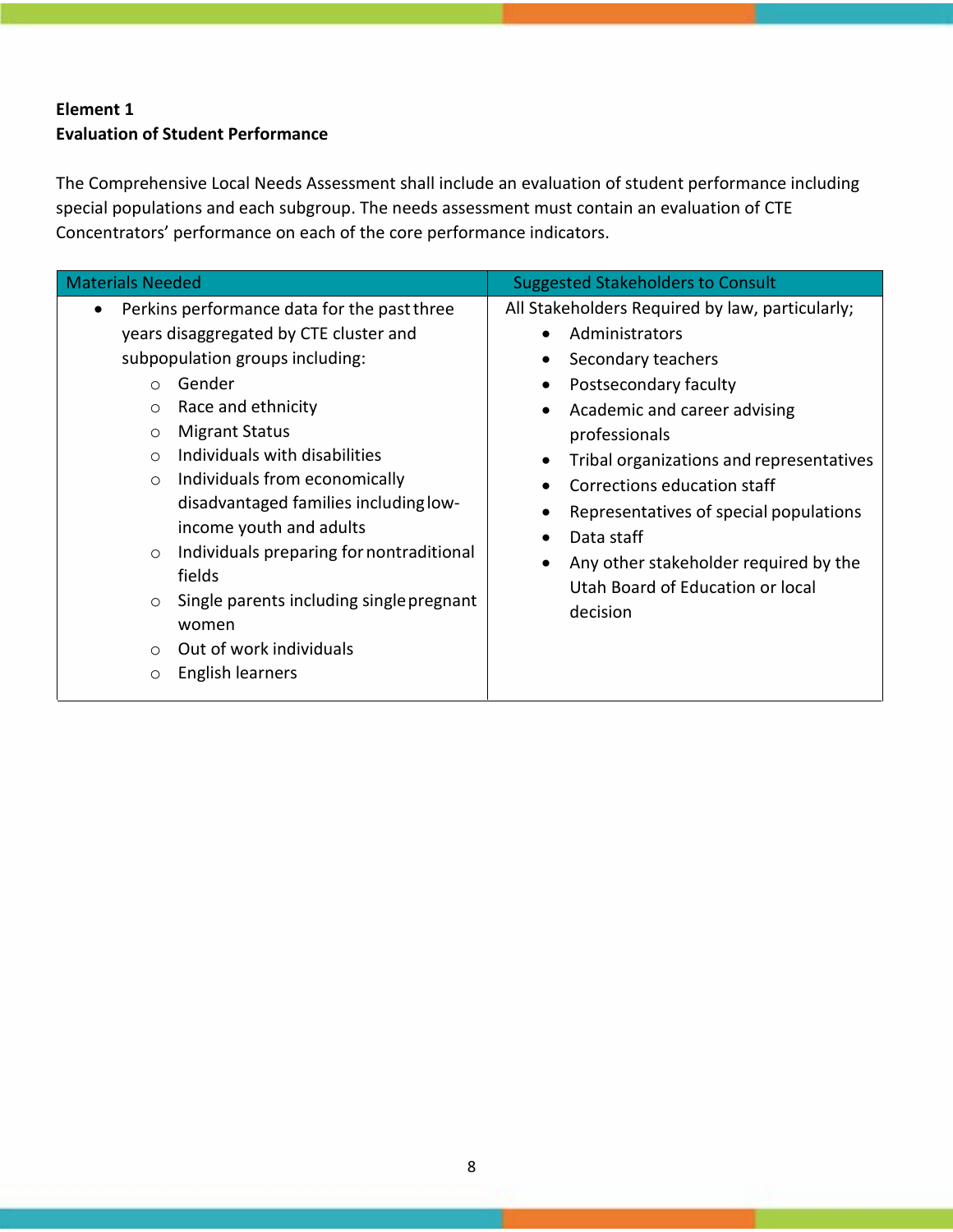# **Element 1 Evaluation of Student Performance**

The Comprehensive Local Needs Assessment shall include an evaluation of student performance including special populations and each subgroup. The needs assessment must contain an evaluation of CTE Concentrators' performance on each of the core performance indicators.

| <b>Materials Needed</b>                                                                                                                                                                                                                                                                                                                                                                                                                                                                                                                                                                      | <b>Suggested Stakeholders to Consult</b>                                                                                                                                                                                                                                                                                                                                                      |
|----------------------------------------------------------------------------------------------------------------------------------------------------------------------------------------------------------------------------------------------------------------------------------------------------------------------------------------------------------------------------------------------------------------------------------------------------------------------------------------------------------------------------------------------------------------------------------------------|-----------------------------------------------------------------------------------------------------------------------------------------------------------------------------------------------------------------------------------------------------------------------------------------------------------------------------------------------------------------------------------------------|
| Perkins performance data for the past three<br>years disaggregated by CTE cluster and<br>subpopulation groups including:<br>Gender<br>$\bigcirc$<br>Race and ethnicity<br>$\circ$<br><b>Migrant Status</b><br>$\circ$<br>Individuals with disabilities<br>$\bigcirc$<br>Individuals from economically<br>$\circ$<br>disadvantaged families including low-<br>income youth and adults<br>Individuals preparing for nontraditional<br>$\circ$<br>fields<br>Single parents including single pregnant<br>$\circ$<br>women<br>Out of work individuals<br>$\bigcap$<br>English learners<br>$\circ$ | All Stakeholders Required by law, particularly;<br>Administrators<br>Secondary teachers<br>Postsecondary faculty<br>Academic and career advising<br>professionals<br>Tribal organizations and representatives<br>Corrections education staff<br>Representatives of special populations<br>Data staff<br>Any other stakeholder required by the<br>Utah Board of Education or local<br>decision |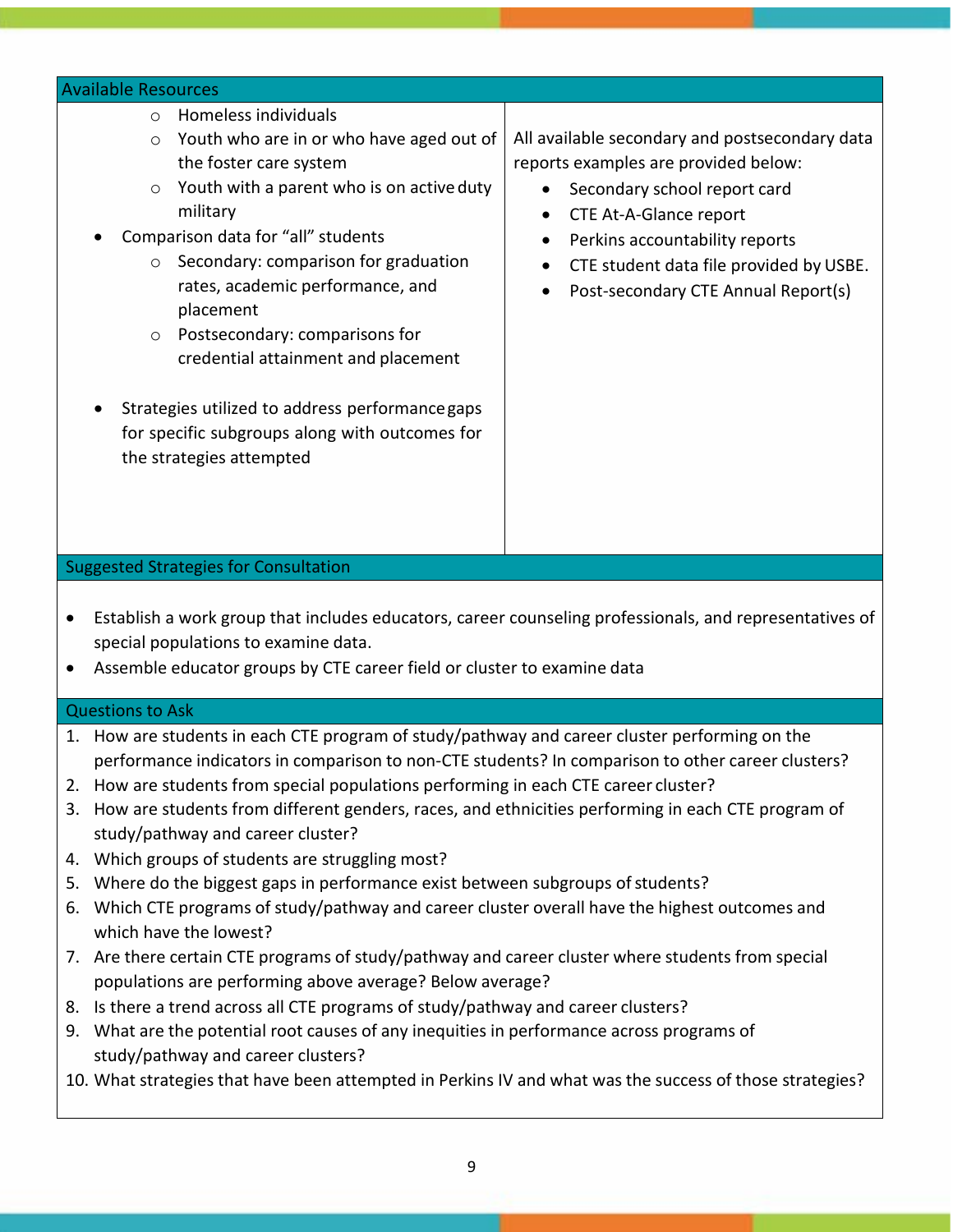#### Available Resources

- o Homeless individuals
- o Youth who are in or who have aged out of the foster care system
- $\circ$  Youth with a parent who is on active duty military
- Comparison data for "all" students
	- o Secondary: comparison for graduation rates, academic performance, and placement
	- o Postsecondary: comparisons for credential attainment and placement
- Strategies utilized to address performancegaps for specific subgroups along with outcomes for the strategies attempted

All available secondary and postsecondary data reports examples are provided below:

- Secondary school report card
- CTE At‐A‐Glance report
- Perkins accountability reports
- CTE student data file provided by USBE.
- Post‐secondary CTE Annual Report(s)

### Suggested Strategies for Consultation

- Establish a work group that includes educators, career counseling professionals, and representatives of special populations to examine data.
- Assemble educator groups by CTE career field or cluster to examine data

#### Questions to Ask

- 1. How are students in each CTE program of study/pathway and career cluster performing on the performance indicators in comparison to non-CTE students? In comparison to other career clusters?
- 2. How are students from special populations performing in each CTE career cluster?
- 3. How are students from different genders, races, and ethnicities performing in each CTE program of study/pathway and career cluster?
- 4. Which groups of students are struggling most?
- 5. Where do the biggest gaps in performance exist between subgroups of students?
- 6. Which CTE programs of study/pathway and career cluster overall have the highest outcomes and which have the lowest?
- 7. Are there certain CTE programs of study/pathway and career cluster where students from special populations are performing above average? Below average?
- 8. Is there a trend across all CTE programs of study/pathway and career clusters?
- 9. What are the potential root causes of any inequities in performance across programs of study/pathway and career clusters?
- 10. What strategies that have been attempted in Perkins IV and what was the success of those strategies?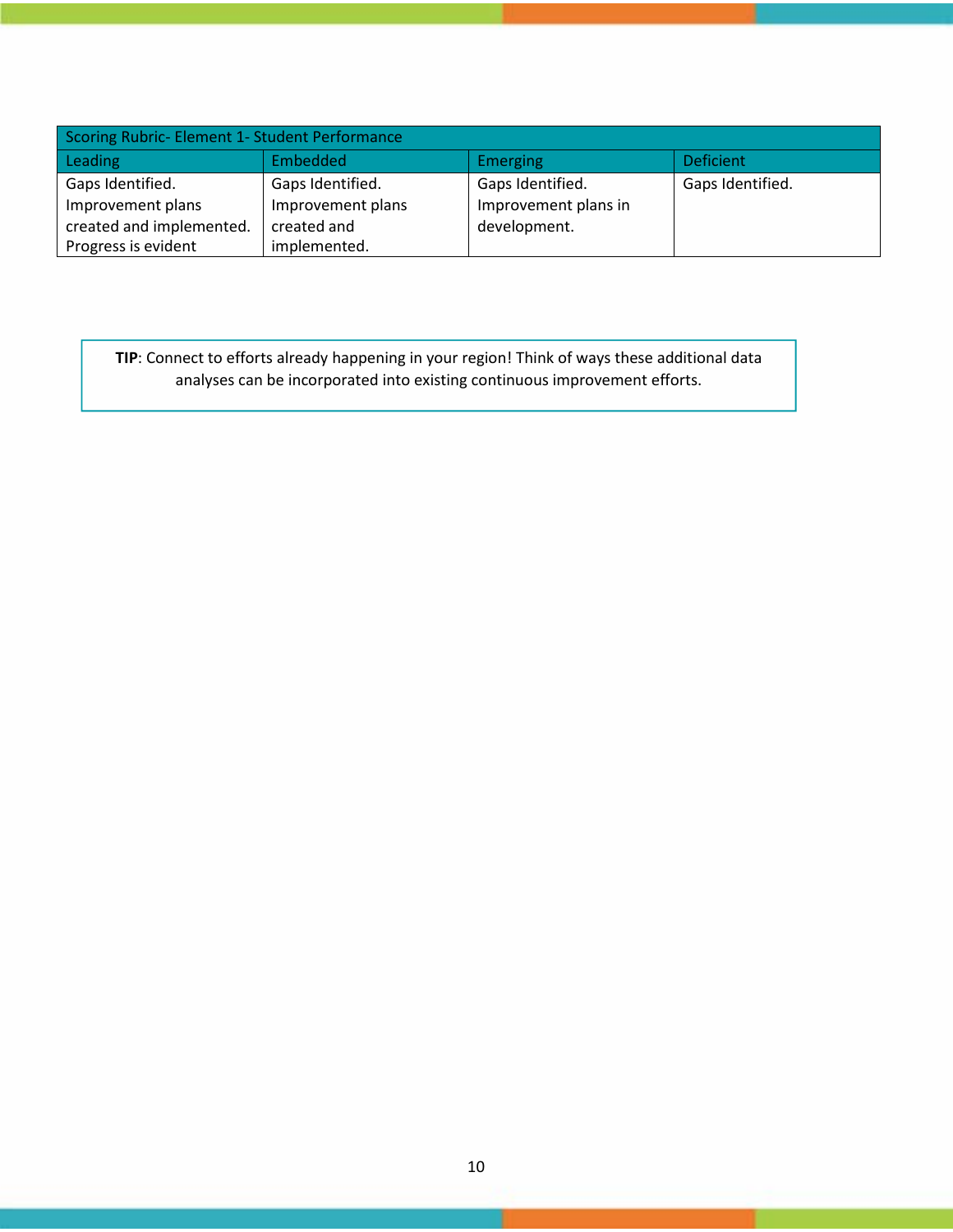| Scoring Rubric- Element 1- Student Performance |                   |                      |                  |
|------------------------------------------------|-------------------|----------------------|------------------|
| Leading                                        | Embedded          | <b>Emerging</b>      | <b>Deficient</b> |
| Gaps Identified.                               | Gaps Identified.  | Gaps Identified.     | Gaps Identified. |
| Improvement plans                              | Improvement plans | Improvement plans in |                  |
| created and implemented.                       | created and       | development.         |                  |
| Progress is evident                            | implemented.      |                      |                  |

**TIP**: Connect to efforts already happening in your region! Think of ways these additional data analyses can be incorporated into existing continuous improvement efforts.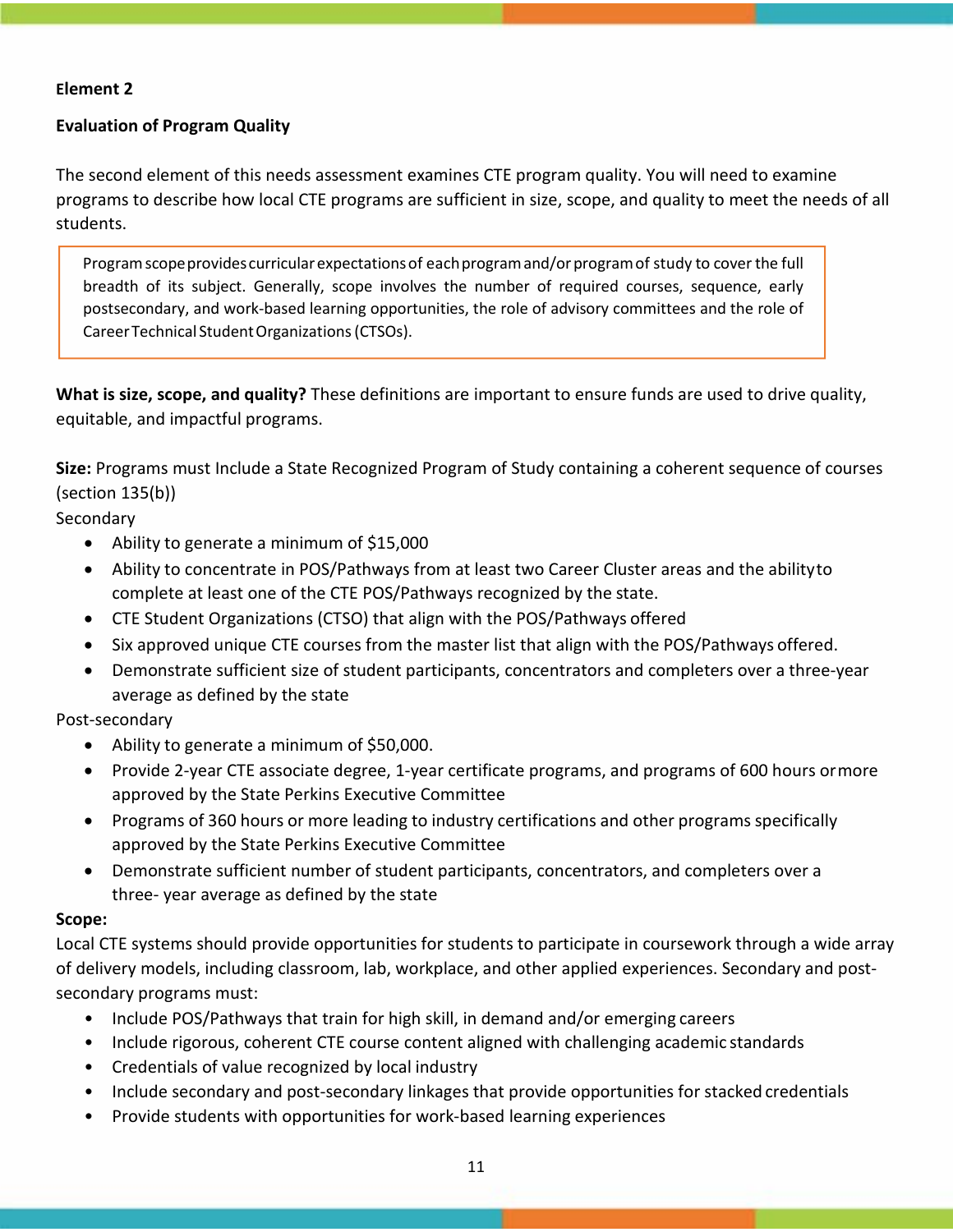## **Element 2**

## **Evaluation of Program Quality**

The second element of this needs assessment examines CTE program quality. You will need to examine programs to describe how local CTE programs are sufficient in size, scope, and quality to meet the needs of all students.

Programscopeprovides curricularexpectationsof eachprogramand/orprogramof study to cover the full breadth of its subject. Generally, scope involves the number of required courses, sequence, early postsecondary, and work‐based learning opportunities, the role of advisory committees and the role of CareerTechnical StudentOrganizations(CTSOs).

**What is size, scope, and quality?** These definitions are important to ensure funds are used to drive quality, equitable, and impactful programs.

**Size:** Programs must Include a State Recognized Program of Study containing a coherent sequence of courses (section 135(b))

Secondary

- Ability to generate a minimum of \$15,000
- Ability to concentrate in POS/Pathways from at least two Career Cluster areas and the abilityto complete at least one of the CTE POS/Pathways recognized by the state.
- CTE Student Organizations (CTSO) that align with the POS/Pathways offered
- Six approved unique CTE courses from the master list that align with the POS/Pathways offered.
- Demonstrate sufficient size of student participants, concentrators and completers over a three‐year average as defined by the state

### Post‐secondary

- Ability to generate a minimum of \$50,000.
- Provide 2‐year CTE associate degree, 1‐year certificate programs, and programs of 600 hours ormore approved by the State Perkins Executive Committee
- Programs of 360 hours or more leading to industry certifications and other programs specifically approved by the State Perkins Executive Committee
- Demonstrate sufficient number of student participants, concentrators, and completers over a three‐ year average as defined by the state

### **Scope:**

Local CTE systems should provide opportunities for students to participate in coursework through a wide array of delivery models, including classroom, lab, workplace, and other applied experiences. Secondary and post‐ secondary programs must:

- Include POS/Pathways that train for high skill, in demand and/or emerging careers
- Include rigorous, coherent CTE course content aligned with challenging academic standards
- Credentials of value recognized by local industry
- Include secondary and post‐secondary linkages that provide opportunities for stacked credentials
- Provide students with opportunities for work‐based learning experiences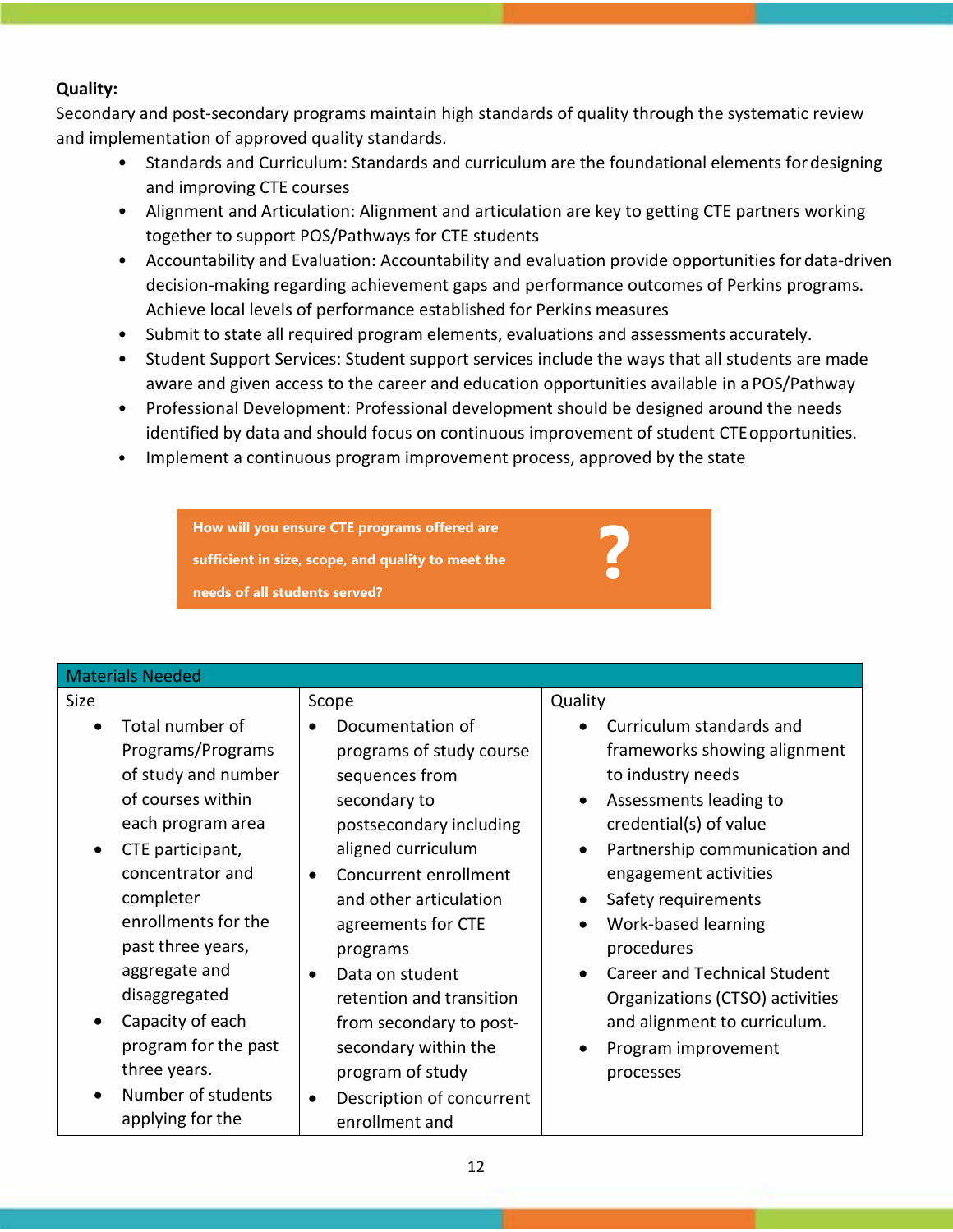## **Quality:**

Secondary and post‐secondary programs maintain high standards of quality through the systematic review and implementation of approved quality standards.

- Standards and Curriculum: Standards and curriculum are the foundational elements fordesigning and improving CTE courses
- Alignment and Articulation: Alignment and articulation are key to getting CTE partners working together to support POS/Pathways for CTE students
- Accountability and Evaluation: Accountability and evaluation provide opportunities for data‐driven decision‐making regarding achievement gaps and performance outcomes of Perkins programs. Achieve local levels of performance established for Perkins measures
- Submit to state all required program elements, evaluations and assessments accurately.
- Student Support Services: Student support services include the ways that all students are made aware and given access to the career and education opportunities available in a POS/Pathway
- Professional Development: Professional development should be designed around the needs identified by data and should focus on continuous improvement of student CTEopportunities.

**?**

• Implement a continuous program improvement process, approved by the state

**How will you ensure CTE programs offered are sufficient in size, scope, and quality to meet the** 

**needs of all students served?** 

| <b>Materials Needed</b>                                                                                                                                                                                                                                                                                                                                           |                                                                                                                                                                                                                                                                                                                                                                                                                             |                                                                                                                                                                                                                                                                                                                                                                                                                    |
|-------------------------------------------------------------------------------------------------------------------------------------------------------------------------------------------------------------------------------------------------------------------------------------------------------------------------------------------------------------------|-----------------------------------------------------------------------------------------------------------------------------------------------------------------------------------------------------------------------------------------------------------------------------------------------------------------------------------------------------------------------------------------------------------------------------|--------------------------------------------------------------------------------------------------------------------------------------------------------------------------------------------------------------------------------------------------------------------------------------------------------------------------------------------------------------------------------------------------------------------|
| <b>Size</b>                                                                                                                                                                                                                                                                                                                                                       | Scope                                                                                                                                                                                                                                                                                                                                                                                                                       | Quality                                                                                                                                                                                                                                                                                                                                                                                                            |
| Total number of<br>$\bullet$<br>Programs/Programs<br>of study and number<br>of courses within<br>each program area<br>CTE participant,<br>$\bullet$<br>concentrator and<br>completer<br>enrollments for the<br>past three years,<br>aggregate and<br>disaggregated<br>Capacity of each<br>program for the past<br>three years.<br>Number of students<br>$\bullet$ | Documentation of<br>$\bullet$<br>programs of study course<br>sequences from<br>secondary to<br>postsecondary including<br>aligned curriculum<br>Concurrent enrollment<br>$\bullet$<br>and other articulation<br>agreements for CTE<br>programs<br>Data on student<br>$\bullet$<br>retention and transition<br>from secondary to post-<br>secondary within the<br>program of study<br>Description of concurrent<br>$\bullet$ | Curriculum standards and<br>frameworks showing alignment<br>to industry needs<br>Assessments leading to<br>$\bullet$<br>credential(s) of value<br>Partnership communication and<br>engagement activities<br>Safety requirements<br>Work-based learning<br>procedures<br><b>Career and Technical Student</b><br>Organizations (CTSO) activities<br>and alignment to curriculum.<br>Program improvement<br>processes |
| applying for the                                                                                                                                                                                                                                                                                                                                                  | enrollment and                                                                                                                                                                                                                                                                                                                                                                                                              |                                                                                                                                                                                                                                                                                                                                                                                                                    |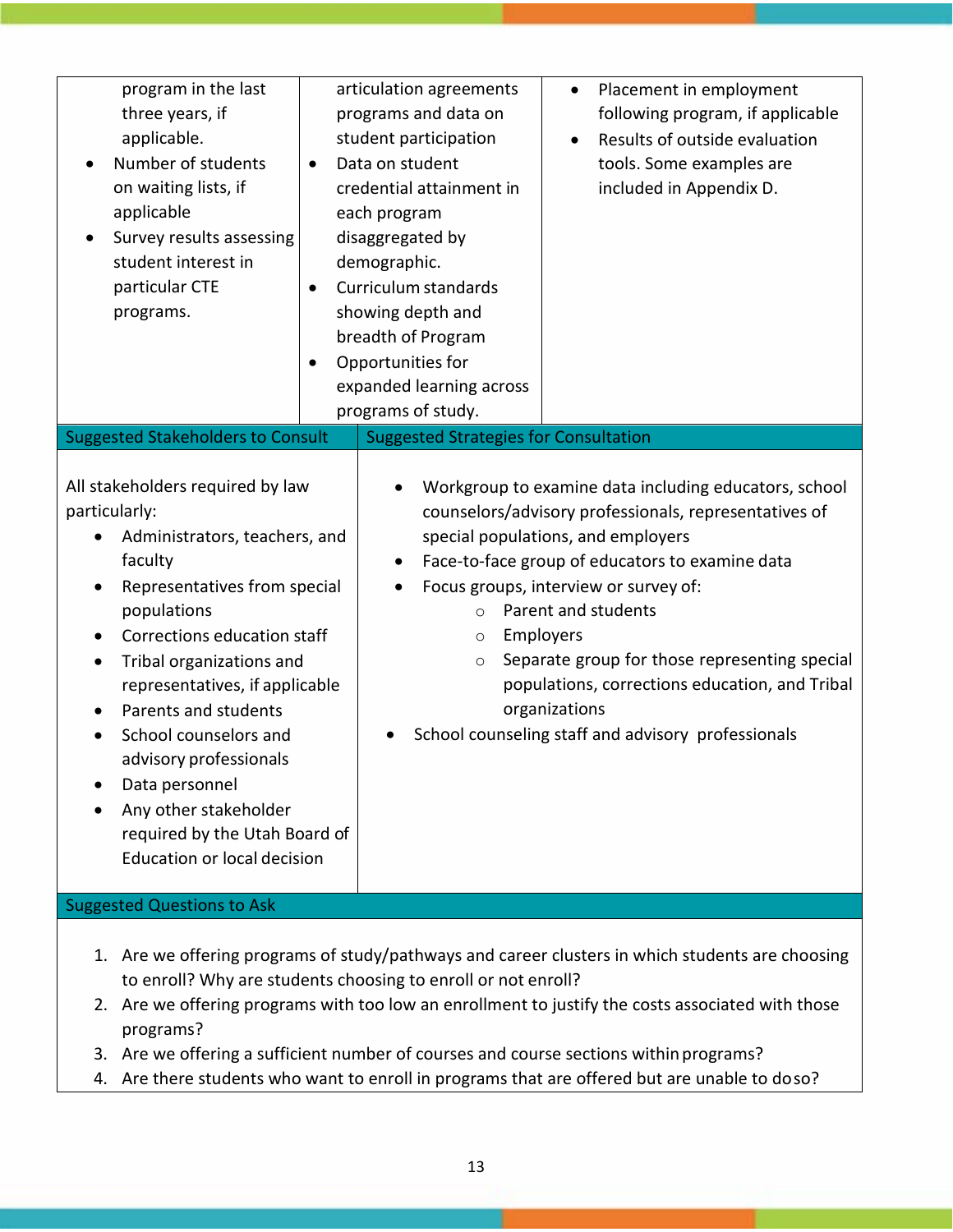| program in the last<br>three years, if<br>applicable.<br>Number of students<br>on waiting lists, if<br>applicable<br>Survey results assessing<br>student interest in<br>particular CTE<br>programs.<br><b>Suggested Stakeholders to Consult</b>                                                                                                                                                                                                                                                                                 | $\bullet$<br>$\bullet$<br>$\bullet$ | articulation agreements<br>programs and data on<br>student participation<br>Data on student<br>credential attainment in<br>each program<br>disaggregated by<br>demographic.<br>Curriculum standards<br>showing depth and<br>breadth of Program<br>Opportunities for<br>expanded learning across<br>programs of study.<br><b>Suggested Strategies for Consultation</b> | Placement in employment<br>$\bullet$<br>following program, if applicable<br>Results of outside evaluation<br>tools. Some examples are<br>included in Appendix D.                                                                                                                                                                                                                                                                                               |
|---------------------------------------------------------------------------------------------------------------------------------------------------------------------------------------------------------------------------------------------------------------------------------------------------------------------------------------------------------------------------------------------------------------------------------------------------------------------------------------------------------------------------------|-------------------------------------|-----------------------------------------------------------------------------------------------------------------------------------------------------------------------------------------------------------------------------------------------------------------------------------------------------------------------------------------------------------------------|----------------------------------------------------------------------------------------------------------------------------------------------------------------------------------------------------------------------------------------------------------------------------------------------------------------------------------------------------------------------------------------------------------------------------------------------------------------|
| All stakeholders required by law<br>particularly:<br>Administrators, teachers, and<br>faculty<br>Representatives from special<br>$\bullet$<br>populations<br>Corrections education staff<br>$\bullet$<br>Tribal organizations and<br>$\bullet$<br>representatives, if applicable<br>Parents and students<br>$\bullet$<br>School counselors and<br>advisory professionals<br>Data personnel<br>Any other stakeholder<br>required by the Utah Board of<br><b>Education or local decision</b><br><b>Suggested Questions to Ask</b> |                                     | $\bullet$<br>$\bullet$<br>$\circ$<br>$\circ$<br>$\circ$                                                                                                                                                                                                                                                                                                               | Workgroup to examine data including educators, school<br>counselors/advisory professionals, representatives of<br>special populations, and employers<br>Face-to-face group of educators to examine data<br>Focus groups, interview or survey of:<br>Parent and students<br>Employers<br>Separate group for those representing special<br>populations, corrections education, and Tribal<br>organizations<br>School counseling staff and advisory professionals |
|                                                                                                                                                                                                                                                                                                                                                                                                                                                                                                                                 |                                     |                                                                                                                                                                                                                                                                                                                                                                       |                                                                                                                                                                                                                                                                                                                                                                                                                                                                |

- 1. Are we offering programs of study/pathways and career clusters in which students are choosing to enroll? Why are students choosing to enroll or not enroll?
- 2. Are we offering programs with too low an enrollment to justify the costs associated with those programs?
- 3. Are we offering a sufficient number of courses and course sections withinprograms?
- 4. Are there students who want to enroll in programs that are offered but are unable to doso?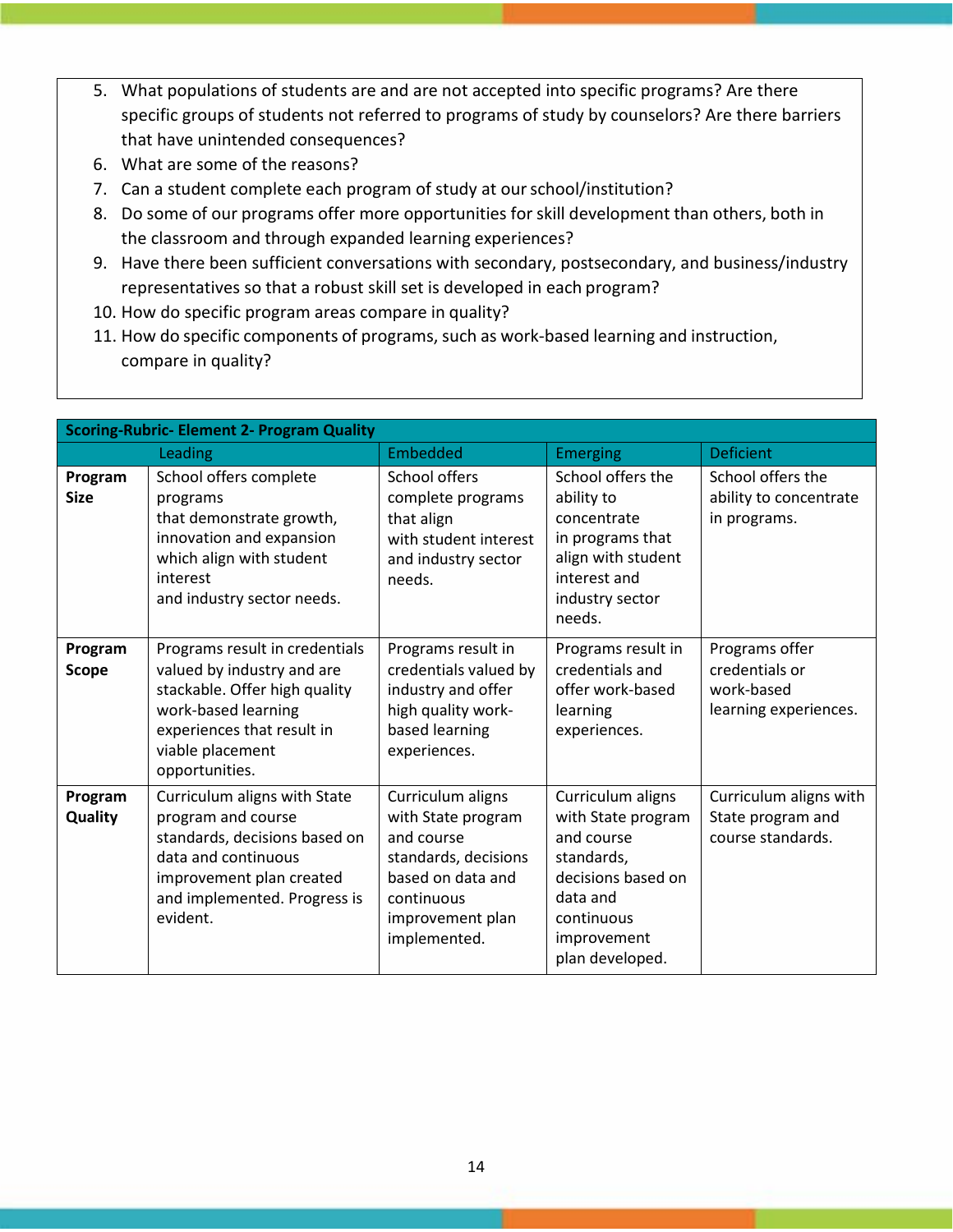- 5. What populations of students are and are not accepted into specific programs? Are there specific groups of students not referred to programs of study by counselors? Are there barriers that have unintended consequences?
- 6. What are some of the reasons?
- 7. Can a student complete each program of study at ourschool/institution?
- 8. Do some of our programs offer more opportunities for skill development than others, both in the classroom and through expanded learning experiences?
- 9. Have there been sufficient conversations with secondary, postsecondary, and business/industry representatives so that a robust skill set is developed in each program?
- 10. How do specific program areas compare in quality?
- 11. How do specific components of programs, such as work‐based learning and instruction, compare in quality?

| <b>Scoring-Rubric- Element 2- Program Quality</b> |                                                                                                                                                                                          |                                                                                                                                                      |                                                                                                                                                       |                                                                         |
|---------------------------------------------------|------------------------------------------------------------------------------------------------------------------------------------------------------------------------------------------|------------------------------------------------------------------------------------------------------------------------------------------------------|-------------------------------------------------------------------------------------------------------------------------------------------------------|-------------------------------------------------------------------------|
|                                                   | Leading                                                                                                                                                                                  | Embedded                                                                                                                                             | <b>Emerging</b>                                                                                                                                       | <b>Deficient</b>                                                        |
| Program<br><b>Size</b>                            | School offers complete<br>programs<br>that demonstrate growth,<br>innovation and expansion<br>which align with student<br>interest<br>and industry sector needs.                         | School offers<br>complete programs<br>that align<br>with student interest<br>and industry sector<br>needs.                                           | School offers the<br>ability to<br>concentrate<br>in programs that<br>align with student<br>interest and<br>industry sector<br>needs.                 | School offers the<br>ability to concentrate<br>in programs.             |
| Program<br><b>Scope</b>                           | Programs result in credentials<br>valued by industry and are<br>stackable. Offer high quality<br>work-based learning<br>experiences that result in<br>viable placement<br>opportunities. | Programs result in<br>credentials valued by<br>industry and offer<br>high quality work-<br>based learning<br>experiences.                            | Programs result in<br>credentials and<br>offer work-based<br>learning<br>experiences.                                                                 | Programs offer<br>credentials or<br>work-based<br>learning experiences. |
| Program<br><b>Quality</b>                         | Curriculum aligns with State<br>program and course<br>standards, decisions based on<br>data and continuous<br>improvement plan created<br>and implemented. Progress is<br>evident.       | Curriculum aligns<br>with State program<br>and course<br>standards, decisions<br>based on data and<br>continuous<br>improvement plan<br>implemented. | Curriculum aligns<br>with State program<br>and course<br>standards,<br>decisions based on<br>data and<br>continuous<br>improvement<br>plan developed. | Curriculum aligns with<br>State program and<br>course standards.        |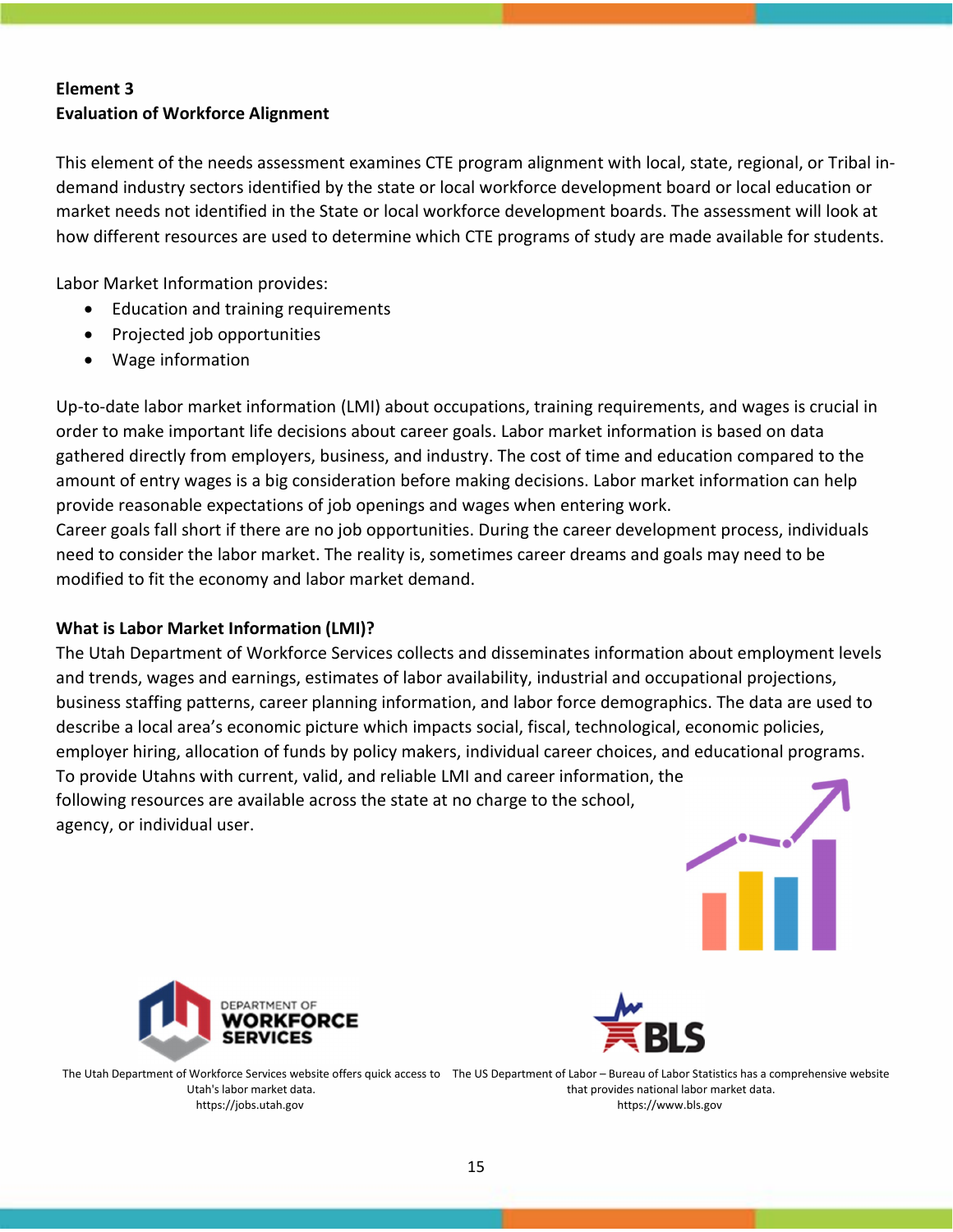## **Element 3 Evaluation of Workforce Alignment**

This element of the needs assessment examines CTE program alignment with local, state, regional, or Tribal in‐ demand industry sectors identified by the state or local workforce development board or local education or market needs not identified in the State or local workforce development boards. The assessment will look at how different resources are used to determine which CTE programs of study are made available for students.

Labor Market Information provides:

- Education and training requirements
- Projected job opportunities
- Wage information

Up‐to‐date labor market information (LMI) about occupations, training requirements, and wages is crucial in order to make important life decisions about career goals. Labor market information is based on data gathered directly from employers, business, and industry. The cost of time and education compared to the amount of entry wages is a big consideration before making decisions. Labor market information can help provide reasonable expectations of job openings and wages when entering work.

Career goals fall short if there are no job opportunities. During the career development process, individuals need to consider the labor market. The reality is, sometimes career dreams and goals may need to be modified to fit the economy and labor market demand.

## **What is Labor Market Information (LMI)?**

The Utah Department of Workforce Services collects and disseminates information about employment levels and trends, wages and earnings, estimates of labor availability, industrial and occupational projections, business staffing patterns, career planning information, and labor force demographics. The data are used to describe a local area's economic picture which impacts social, fiscal, technological, economic policies, employer hiring, allocation of funds by policy makers, individual career choices, and educational programs. To provide Utahns with current, valid, and reliable LMI and career information, the following resources are available across the state at no charge to the school, agency, or individual user.





The Utah Department of Workforce Services website offers quick access to The US Department of Labor – Bureau of Labor Statistics has a comprehensive website Utah's labor market data. https://jobs.utah.gov that provides national labor market data. [https://www.bls.gov](http://www.bls.gov/)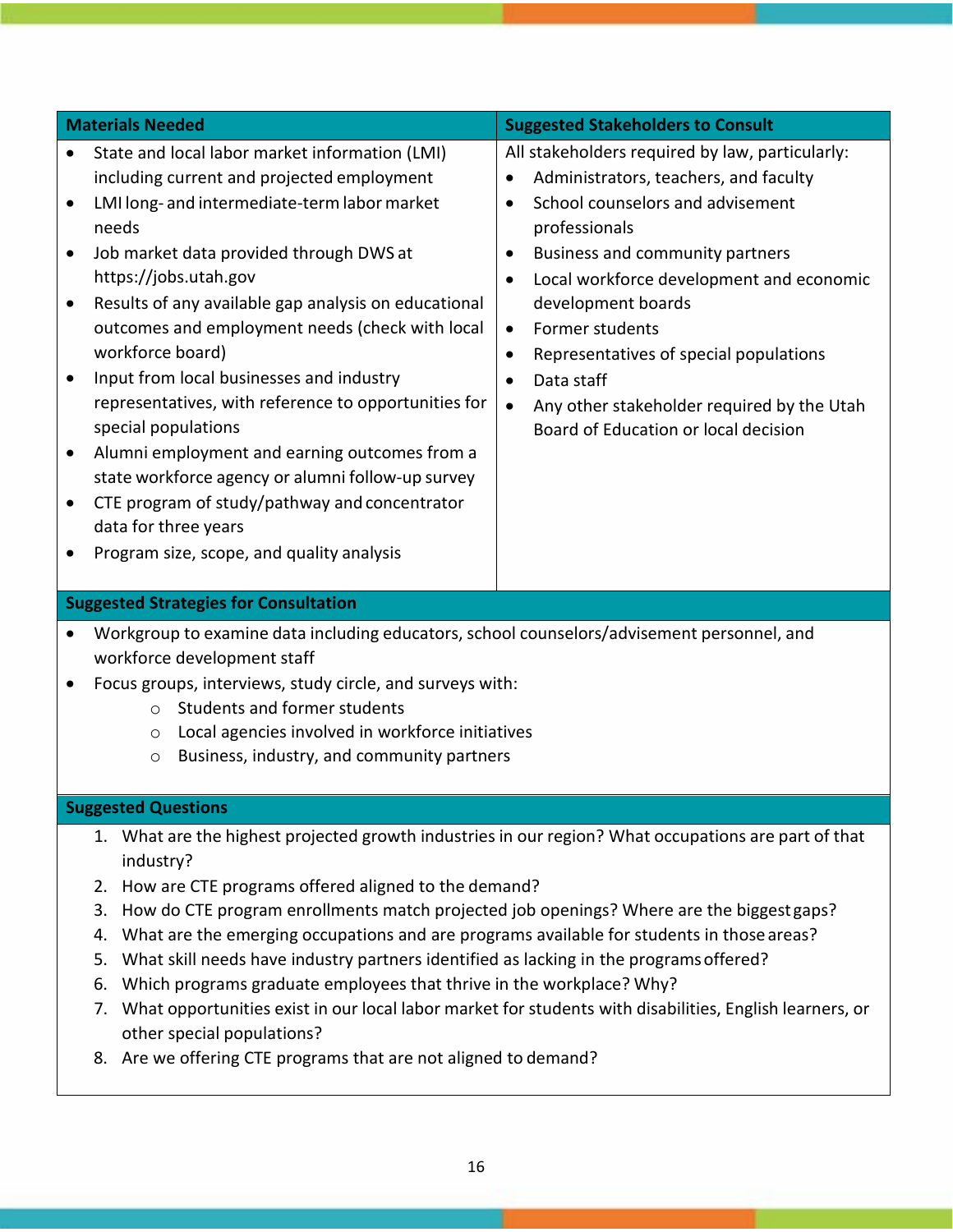|                                                  | <b>Materials Needed</b>                                                                                                                                                                                                                                                                                                                                                                                                                                                                                                                                                                                                                                                                                         | <b>Suggested Stakeholders to Consult</b>                                                                                                                                                                                                                                                                                                                                                                                                                                                                       |  |  |  |
|--------------------------------------------------|-----------------------------------------------------------------------------------------------------------------------------------------------------------------------------------------------------------------------------------------------------------------------------------------------------------------------------------------------------------------------------------------------------------------------------------------------------------------------------------------------------------------------------------------------------------------------------------------------------------------------------------------------------------------------------------------------------------------|----------------------------------------------------------------------------------------------------------------------------------------------------------------------------------------------------------------------------------------------------------------------------------------------------------------------------------------------------------------------------------------------------------------------------------------------------------------------------------------------------------------|--|--|--|
| $\bullet$<br>$\bullet$<br>$\bullet$<br>$\bullet$ | State and local labor market information (LMI)<br>including current and projected employment<br>LMI long- and intermediate-term labor market<br>needs<br>Job market data provided through DWS at<br>https://jobs.utah.gov<br>Results of any available gap analysis on educational<br>outcomes and employment needs (check with local<br>workforce board)<br>Input from local businesses and industry<br>representatives, with reference to opportunities for<br>special populations<br>Alumni employment and earning outcomes from a<br>state workforce agency or alumni follow-up survey<br>CTE program of study/pathway and concentrator<br>data for three years<br>Program size, scope, and quality analysis | All stakeholders required by law, particularly:<br>Administrators, teachers, and faculty<br>$\bullet$<br>School counselors and advisement<br>professionals<br>Business and community partners<br>$\bullet$<br>Local workforce development and economic<br>$\bullet$<br>development boards<br>Former students<br>$\bullet$<br>Representatives of special populations<br>$\bullet$<br>Data staff<br>$\bullet$<br>Any other stakeholder required by the Utah<br>$\bullet$<br>Board of Education or local decision |  |  |  |
|                                                  | <b>Suggested Strategies for Consultation</b>                                                                                                                                                                                                                                                                                                                                                                                                                                                                                                                                                                                                                                                                    |                                                                                                                                                                                                                                                                                                                                                                                                                                                                                                                |  |  |  |
| ٠                                                | Workgroup to examine data including educators, school counselors/advisement personnel, and<br>workforce development staff<br>Focus groups, interviews, study circle, and surveys with:<br>Students and former students<br>$\bigcirc$<br>Local agencies involved in workforce initiatives<br>O<br>Business, industry, and community partners<br>$\circ$                                                                                                                                                                                                                                                                                                                                                          |                                                                                                                                                                                                                                                                                                                                                                                                                                                                                                                |  |  |  |
|                                                  | <b>Suggested Questions</b>                                                                                                                                                                                                                                                                                                                                                                                                                                                                                                                                                                                                                                                                                      |                                                                                                                                                                                                                                                                                                                                                                                                                                                                                                                |  |  |  |
|                                                  | 1. What are the highest projected growth industries in our region? What occupations are part of that<br>industry?<br>How are CTE programs offered aligned to the demand?<br>2.<br>How do CTE program enrollments match projected job openings? Where are the biggest gaps?<br>3.<br>What are the emerging occupations and are programs available for students in those areas?<br>4.<br>What skill needs have industry partners identified as lacking in the programs offered?<br>5.                                                                                                                                                                                                                             |                                                                                                                                                                                                                                                                                                                                                                                                                                                                                                                |  |  |  |

- 6. Which programs graduate employees that thrive in the workplace? Why?
- 7. What opportunities exist in our local labor market for students with disabilities, English learners, or other special populations?
- 8. Are we offering CTE programs that are not aligned to demand?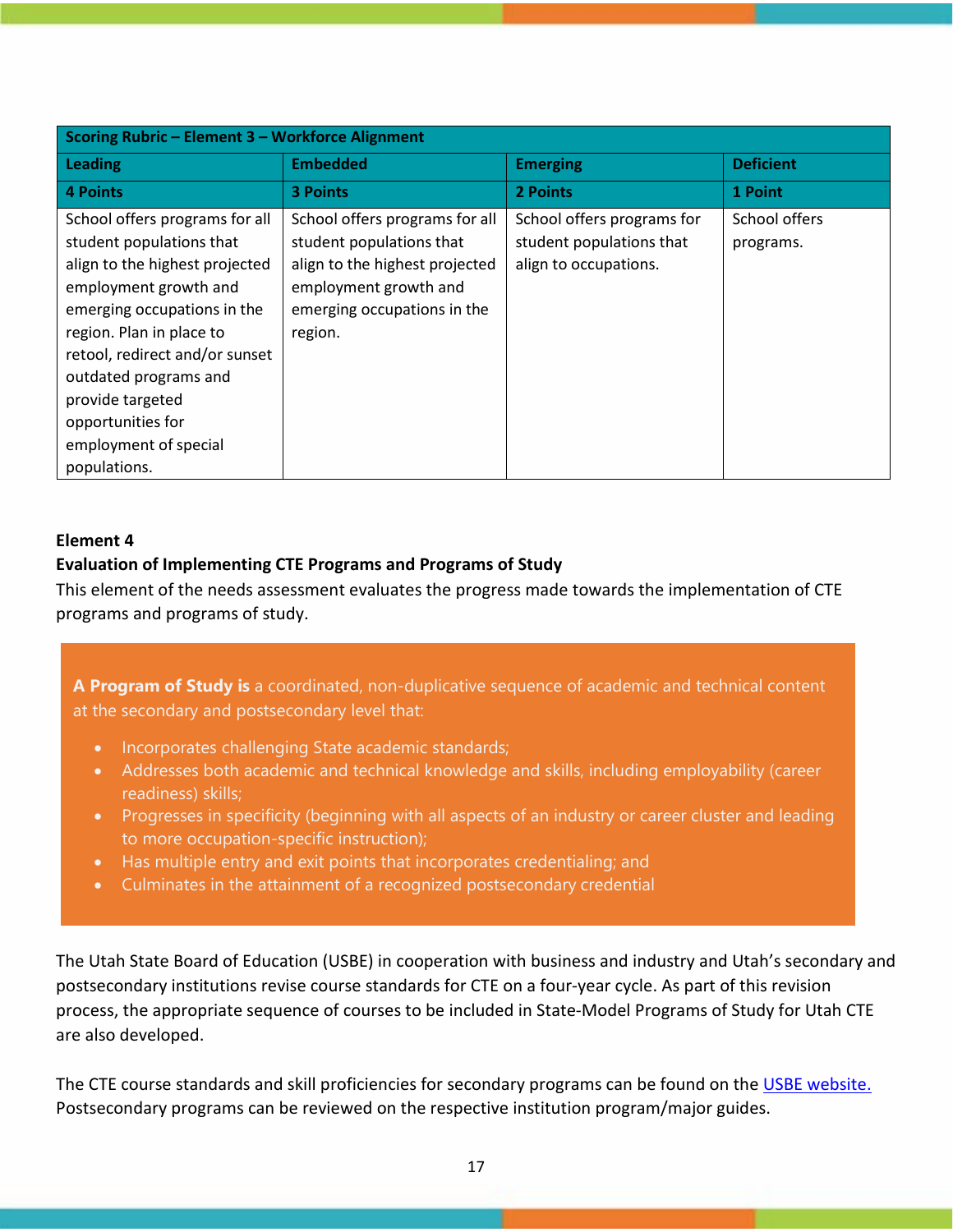| Scoring Rubric - Element 3 - Workforce Alignment                                                                                                                                                                                            |                                                                                                                                                                 |                                                                                 |                            |
|---------------------------------------------------------------------------------------------------------------------------------------------------------------------------------------------------------------------------------------------|-----------------------------------------------------------------------------------------------------------------------------------------------------------------|---------------------------------------------------------------------------------|----------------------------|
| Leading                                                                                                                                                                                                                                     | <b>Embedded</b>                                                                                                                                                 | <b>Emerging</b>                                                                 | <b>Deficient</b>           |
| <b>4 Points</b>                                                                                                                                                                                                                             | <b>3 Points</b>                                                                                                                                                 | 2 Points                                                                        | 1 Point                    |
| School offers programs for all<br>student populations that<br>align to the highest projected<br>employment growth and<br>emerging occupations in the<br>region. Plan in place to<br>retool, redirect and/or sunset<br>outdated programs and | School offers programs for all<br>student populations that<br>align to the highest projected<br>employment growth and<br>emerging occupations in the<br>region. | School offers programs for<br>student populations that<br>align to occupations. | School offers<br>programs. |
| provide targeted<br>opportunities for<br>employment of special                                                                                                                                                                              |                                                                                                                                                                 |                                                                                 |                            |
| populations.                                                                                                                                                                                                                                |                                                                                                                                                                 |                                                                                 |                            |

## **Element 4**

## **Evaluation of Implementing CTE Programs and Programs of Study**

This element of the needs assessment evaluates the progress made towards the implementation of CTE programs and programs of study.

**A Program of Study is** a coordinated, non-duplicative sequence of academic and technical content at the secondary and postsecondary level that:

- Incorporates challenging State academic standards;
- Addresses both academic and technical knowledge and skills, including employability (career readiness) skills;
- Progresses in specificity (beginning with all aspects of an industry or career cluster and leading to more occupation-specific instruction);
- Has multiple entry and exit points that incorporates credentialing; and
- Culminates in the attainment of a recognized postsecondary credential

The Utah State Board of Education (USBE) in cooperation with business and industry and Utah's secondary and postsecondary institutions revise course standards for CTE on a four‐year cycle. As part of this revision process, the appropriate sequence of courses to be included in State‐Model Programs of Study for Utah CTE are also developed.

The CTE course standards and skill proficiencies for secondary programs can be found on the [USBE website.](https://www.schools.utah.gov/cte) Postsecondary programs can be reviewed on the respective institution program/major guides.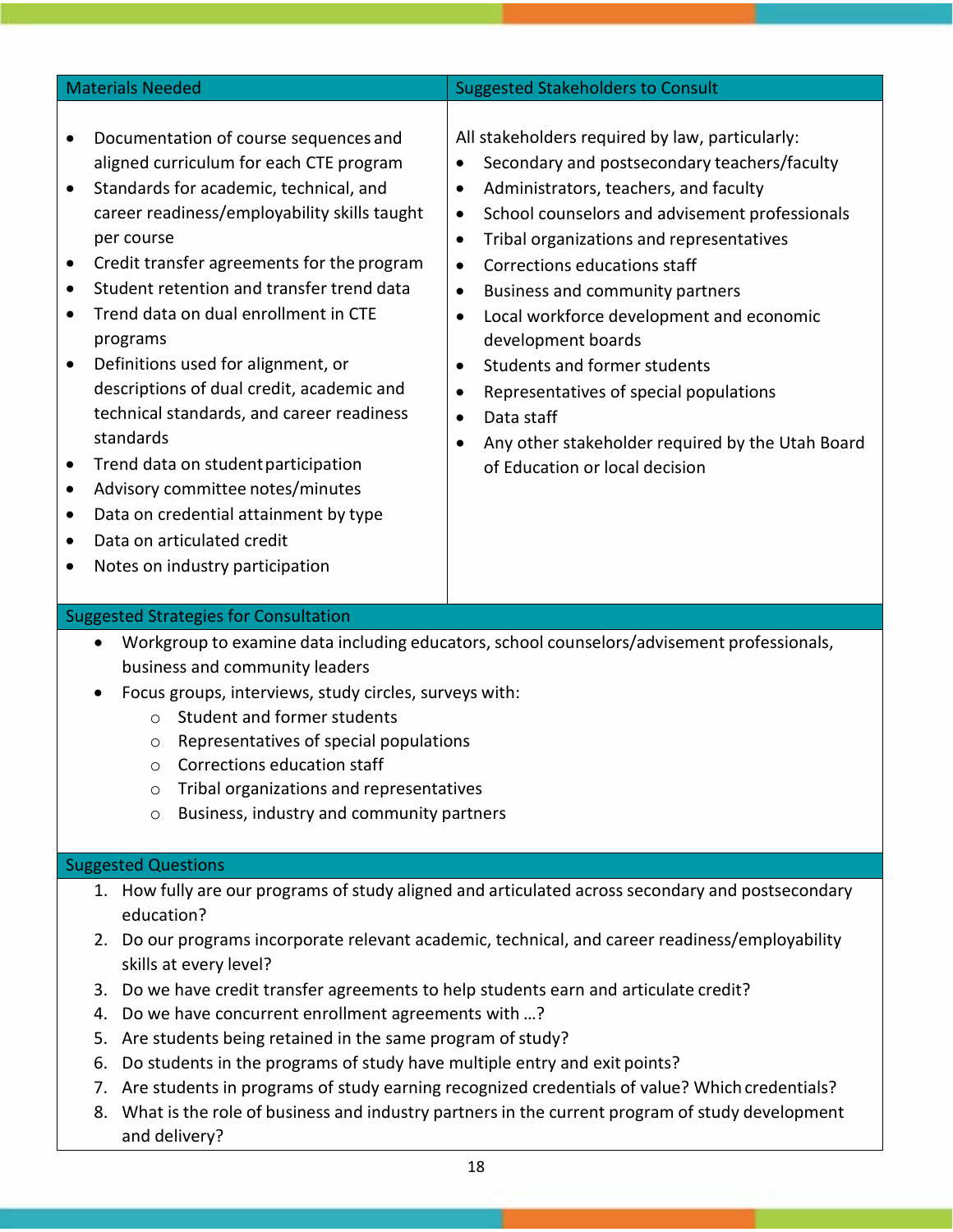| <b>Materials Needed</b>                                                                                                                                                                                                                                                                                                                                                                                                                                                                                                                                                                                                                                                                                                                                                                     | <b>Suggested Stakeholders to Consult</b>                                                                                                                                                                                                                                                                                                                                                                                                                                                                                                                                                                                                                                                    |
|---------------------------------------------------------------------------------------------------------------------------------------------------------------------------------------------------------------------------------------------------------------------------------------------------------------------------------------------------------------------------------------------------------------------------------------------------------------------------------------------------------------------------------------------------------------------------------------------------------------------------------------------------------------------------------------------------------------------------------------------------------------------------------------------|---------------------------------------------------------------------------------------------------------------------------------------------------------------------------------------------------------------------------------------------------------------------------------------------------------------------------------------------------------------------------------------------------------------------------------------------------------------------------------------------------------------------------------------------------------------------------------------------------------------------------------------------------------------------------------------------|
| Documentation of course sequences and<br>aligned curriculum for each CTE program<br>Standards for academic, technical, and<br>$\bullet$<br>career readiness/employability skills taught<br>per course<br>Credit transfer agreements for the program<br>$\bullet$<br>Student retention and transfer trend data<br>$\bullet$<br>Trend data on dual enrollment in CTE<br>$\bullet$<br>programs<br>Definitions used for alignment, or<br>$\bullet$<br>descriptions of dual credit, academic and<br>technical standards, and career readiness<br>standards<br>Trend data on student participation<br>٠<br>Advisory committee notes/minutes<br>$\bullet$<br>Data on credential attainment by type<br>٠<br>Data on articulated credit<br>$\bullet$<br>Notes on industry participation<br>$\bullet$ | All stakeholders required by law, particularly:<br>Secondary and postsecondary teachers/faculty<br>$\bullet$<br>Administrators, teachers, and faculty<br>$\bullet$<br>School counselors and advisement professionals<br>$\bullet$<br>Tribal organizations and representatives<br>$\bullet$<br>Corrections educations staff<br>$\bullet$<br>Business and community partners<br>$\bullet$<br>Local workforce development and economic<br>$\bullet$<br>development boards<br>Students and former students<br>$\bullet$<br>Representatives of special populations<br>$\bullet$<br>Data staff<br>$\bullet$<br>Any other stakeholder required by the Utah Board<br>of Education or local decision |

#### Suggested Strategies for Consultation

- Workgroup to examine data including educators, school counselors/advisement professionals, business and community leaders
- Focus groups, interviews, study circles, surveys with:
	- o Student and former students
	- o Representatives of special populations
	- o Corrections education staff
	- o Tribal organizations and representatives
	- o Business, industry and community partners

#### Suggested Questions

- 1. How fully are our programs of study aligned and articulated across secondary and postsecondary education?
- 2. Do our programs incorporate relevant academic, technical, and career readiness/employability skills at every level?
- 3. Do we have credit transfer agreements to help students earn and articulate credit?
- 4. Do we have concurrent enrollment agreements with …?
- 5. Are students being retained in the same program of study?
- 6. Do students in the programs of study have multiple entry and exit points?
- 7. Are students in programs of study earning recognized credentials of value? Which credentials?
- 8. What is the role of business and industry partners in the current program of study development and delivery?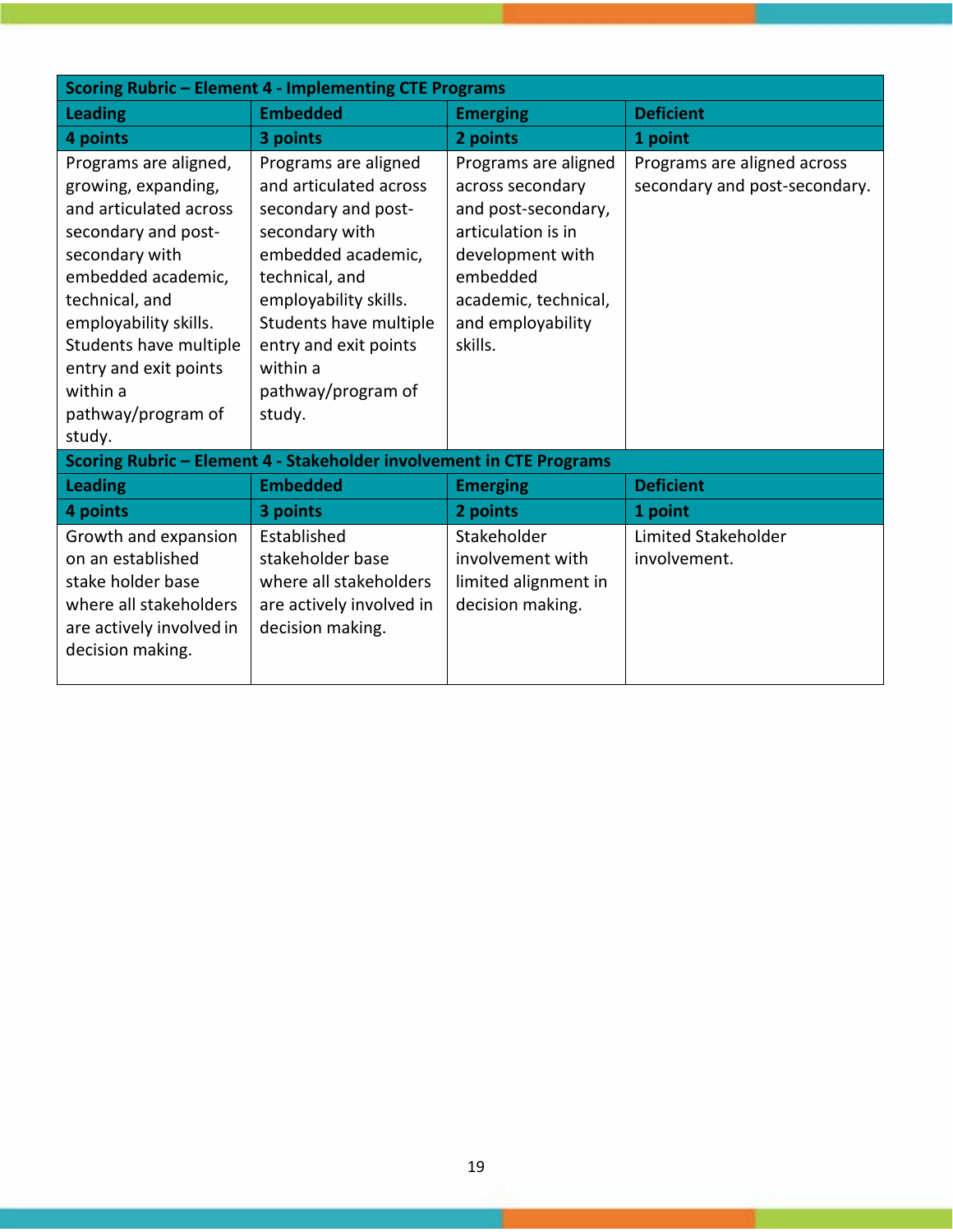| Scoring Rubric - Element 4 - Implementing CTE Programs                                                                                                                                                                                                                          |                                                                                                                                                                                                                                                         |                                                                                                                                                                               |                                                              |  |  |
|---------------------------------------------------------------------------------------------------------------------------------------------------------------------------------------------------------------------------------------------------------------------------------|---------------------------------------------------------------------------------------------------------------------------------------------------------------------------------------------------------------------------------------------------------|-------------------------------------------------------------------------------------------------------------------------------------------------------------------------------|--------------------------------------------------------------|--|--|
| <b>Leading</b>                                                                                                                                                                                                                                                                  | <b>Embedded</b>                                                                                                                                                                                                                                         | <b>Emerging</b>                                                                                                                                                               | <b>Deficient</b>                                             |  |  |
| 4 points                                                                                                                                                                                                                                                                        | 3 points                                                                                                                                                                                                                                                | 2 points                                                                                                                                                                      | 1 point                                                      |  |  |
| Programs are aligned,<br>growing, expanding,<br>and articulated across<br>secondary and post-<br>secondary with<br>embedded academic,<br>technical, and<br>employability skills.<br>Students have multiple<br>entry and exit points<br>within a<br>pathway/program of<br>study. | Programs are aligned<br>and articulated across<br>secondary and post-<br>secondary with<br>embedded academic,<br>technical, and<br>employability skills.<br>Students have multiple<br>entry and exit points<br>within a<br>pathway/program of<br>study. | Programs are aligned<br>across secondary<br>and post-secondary,<br>articulation is in<br>development with<br>embedded<br>academic, technical,<br>and employability<br>skills. | Programs are aligned across<br>secondary and post-secondary. |  |  |
|                                                                                                                                                                                                                                                                                 | Scoring Rubric - Element 4 - Stakeholder involvement in CTE Programs                                                                                                                                                                                    |                                                                                                                                                                               |                                                              |  |  |
| <b>Leading</b>                                                                                                                                                                                                                                                                  | <b>Embedded</b>                                                                                                                                                                                                                                         | <b>Emerging</b>                                                                                                                                                               | <b>Deficient</b>                                             |  |  |
| 4 points                                                                                                                                                                                                                                                                        | 3 points                                                                                                                                                                                                                                                | 2 points                                                                                                                                                                      | 1 point                                                      |  |  |
| Growth and expansion<br>on an established<br>stake holder base<br>where all stakeholders<br>are actively involved in<br>decision making.                                                                                                                                        | Established<br>stakeholder base<br>where all stakeholders<br>are actively involved in<br>decision making.                                                                                                                                               | Stakeholder<br>involvement with<br>limited alignment in<br>decision making.                                                                                                   | Limited Stakeholder<br>involvement.                          |  |  |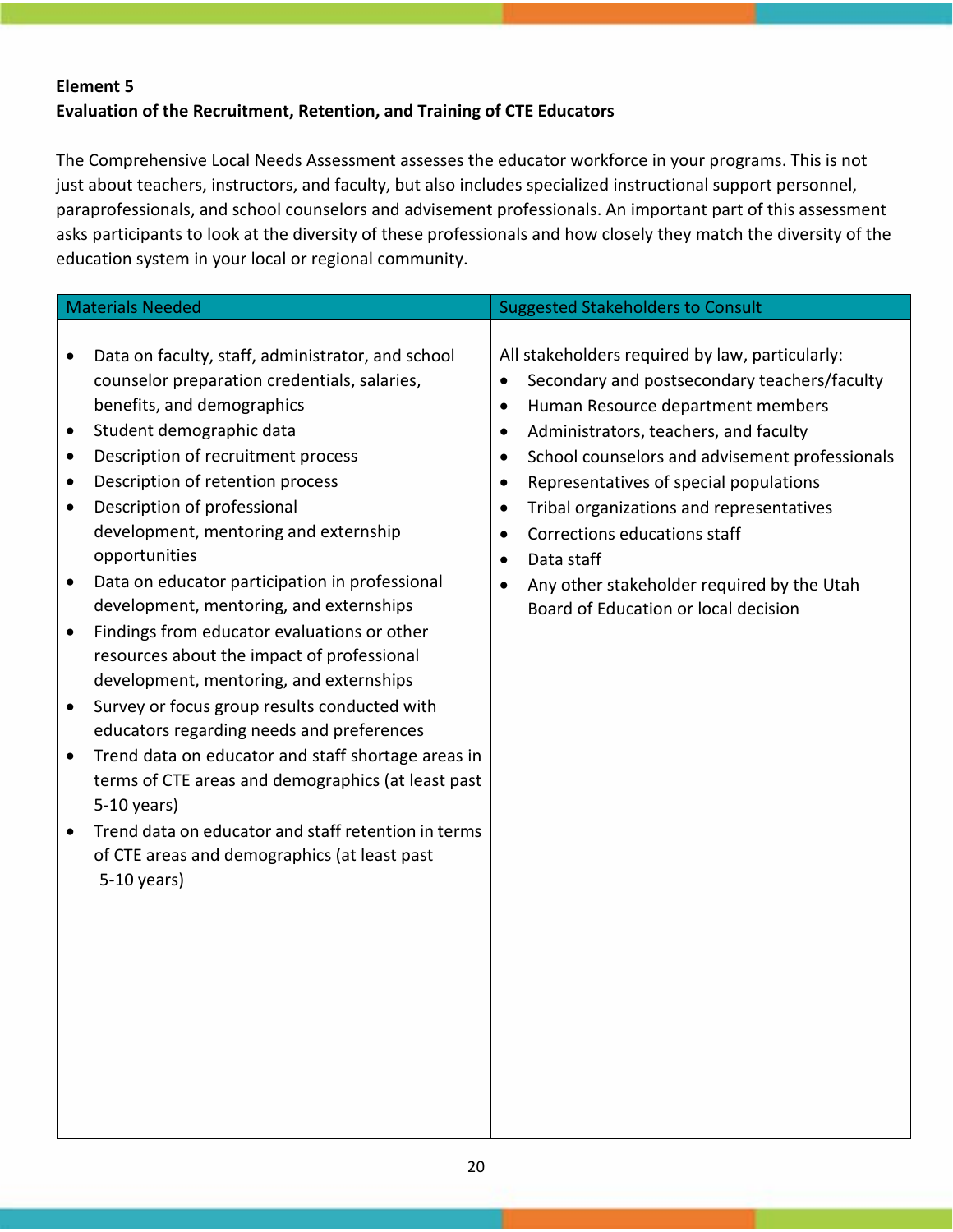# **Element 5 Evaluation of the Recruitment, Retention, and Training of CTE Educators**

The Comprehensive Local Needs Assessment assesses the educator workforce in your programs. This is not just about teachers, instructors, and faculty, but also includes specialized instructional support personnel, paraprofessionals, and school counselors and advisement professionals. An important part of this assessment asks participants to look at the diversity of these professionals and how closely they match the diversity of the education system in your local or regional community.

|           | <b>Materials Needed</b>                                                                                                         |                        | <b>Suggested Stakeholders to Consult</b>                                                                                             |
|-----------|---------------------------------------------------------------------------------------------------------------------------------|------------------------|--------------------------------------------------------------------------------------------------------------------------------------|
|           |                                                                                                                                 |                        |                                                                                                                                      |
| $\bullet$ | Data on faculty, staff, administrator, and school<br>counselor preparation credentials, salaries,<br>benefits, and demographics | $\bullet$<br>$\bullet$ | All stakeholders required by law, particularly:<br>Secondary and postsecondary teachers/faculty<br>Human Resource department members |
| $\bullet$ | Student demographic data                                                                                                        |                        |                                                                                                                                      |
|           |                                                                                                                                 | $\bullet$              | Administrators, teachers, and faculty                                                                                                |
| $\bullet$ | Description of recruitment process                                                                                              | $\bullet$              | School counselors and advisement professionals                                                                                       |
| $\bullet$ | Description of retention process                                                                                                | $\bullet$              | Representatives of special populations                                                                                               |
| $\bullet$ | Description of professional                                                                                                     | $\bullet$              | Tribal organizations and representatives                                                                                             |
|           | development, mentoring and externship                                                                                           | $\bullet$              | Corrections educations staff                                                                                                         |
|           | opportunities                                                                                                                   | $\bullet$              | Data staff                                                                                                                           |
| $\bullet$ | Data on educator participation in professional                                                                                  | $\bullet$              | Any other stakeholder required by the Utah                                                                                           |
|           | development, mentoring, and externships                                                                                         |                        | Board of Education or local decision                                                                                                 |
| $\bullet$ | Findings from educator evaluations or other                                                                                     |                        |                                                                                                                                      |
|           | resources about the impact of professional                                                                                      |                        |                                                                                                                                      |
|           | development, mentoring, and externships                                                                                         |                        |                                                                                                                                      |
| $\bullet$ | Survey or focus group results conducted with                                                                                    |                        |                                                                                                                                      |
|           | educators regarding needs and preferences                                                                                       |                        |                                                                                                                                      |
| $\bullet$ | Trend data on educator and staff shortage areas in                                                                              |                        |                                                                                                                                      |
|           | terms of CTE areas and demographics (at least past                                                                              |                        |                                                                                                                                      |
|           | 5-10 years)                                                                                                                     |                        |                                                                                                                                      |
| $\bullet$ | Trend data on educator and staff retention in terms                                                                             |                        |                                                                                                                                      |
|           | of CTE areas and demographics (at least past                                                                                    |                        |                                                                                                                                      |
|           | 5-10 years)                                                                                                                     |                        |                                                                                                                                      |
|           |                                                                                                                                 |                        |                                                                                                                                      |
|           |                                                                                                                                 |                        |                                                                                                                                      |
|           |                                                                                                                                 |                        |                                                                                                                                      |
|           |                                                                                                                                 |                        |                                                                                                                                      |
|           |                                                                                                                                 |                        |                                                                                                                                      |
|           |                                                                                                                                 |                        |                                                                                                                                      |
|           |                                                                                                                                 |                        |                                                                                                                                      |
|           |                                                                                                                                 |                        |                                                                                                                                      |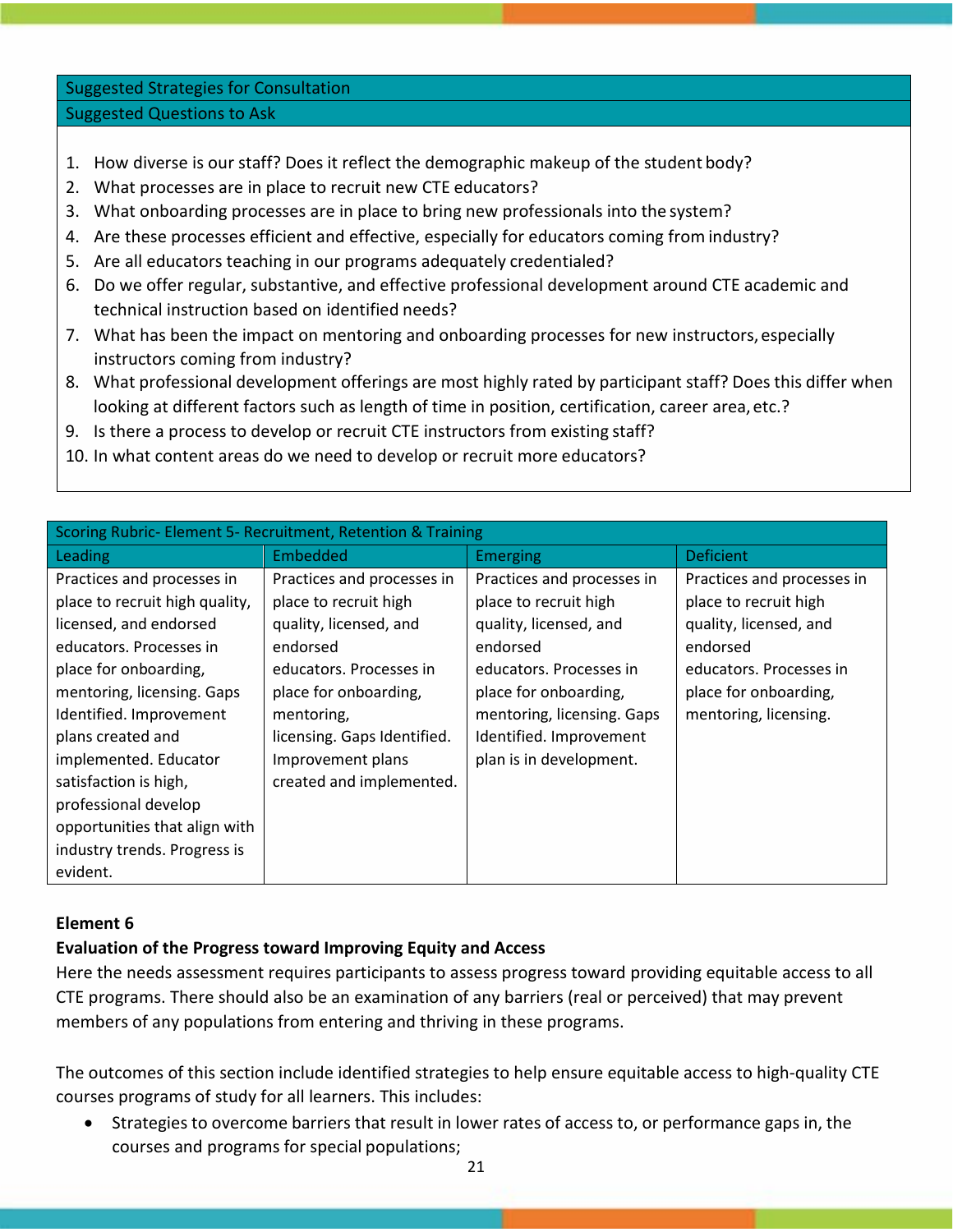Suggested Strategies for Consultation Suggested Questions to Ask

- 1. How diverse is our staff? Does it reflect the demographic makeup of the student body?
- 2. What processes are in place to recruit new CTE educators?
- 3. What onboarding processes are in place to bring new professionals into the system?
- 4. Are these processes efficient and effective, especially for educators coming from industry?
- 5. Are all educators teaching in our programs adequately credentialed?
- 6. Do we offer regular, substantive, and effective professional development around CTE academic and technical instruction based on identified needs?
- 7. What has been the impact on mentoring and onboarding processes for new instructors, especially instructors coming from industry?
- 8. What professional development offerings are most highly rated by participant staff? Does this differ when looking at different factors such as length of time in position, certification, career area, etc.?
- 9. Is there a process to develop or recruit CTE instructors from existing staff?
- 10. In what content areas do we need to develop or recruit more educators?

| <b>Deficient</b><br><b>Emerging</b>                                                                                                                                                                                                                                                                                                                                                                         |
|-------------------------------------------------------------------------------------------------------------------------------------------------------------------------------------------------------------------------------------------------------------------------------------------------------------------------------------------------------------------------------------------------------------|
|                                                                                                                                                                                                                                                                                                                                                                                                             |
| Practices and processes in<br>Practices and processes in<br>place to recruit high<br>place to recruit high<br>quality, licensed, and<br>quality, licensed, and<br>endorsed<br>endorsed<br>educators. Processes in<br>educators. Processes in<br>place for onboarding,<br>place for onboarding,<br>mentoring, licensing. Gaps<br>mentoring, licensing.<br>Identified. Improvement<br>plan is in development. |
|                                                                                                                                                                                                                                                                                                                                                                                                             |

## **Element 6**

## **Evaluation of the Progress toward Improving Equity and Access**

Here the needs assessment requires participants to assess progress toward providing equitable access to all CTE programs. There should also be an examination of any barriers (real or perceived) that may prevent members of any populations from entering and thriving in these programs.

The outcomes of this section include identified strategies to help ensure equitable access to high‐quality CTE courses programs of study for all learners. This includes:

• Strategies to overcome barriers that result in lower rates of access to, or performance gaps in, the courses and programs for special populations;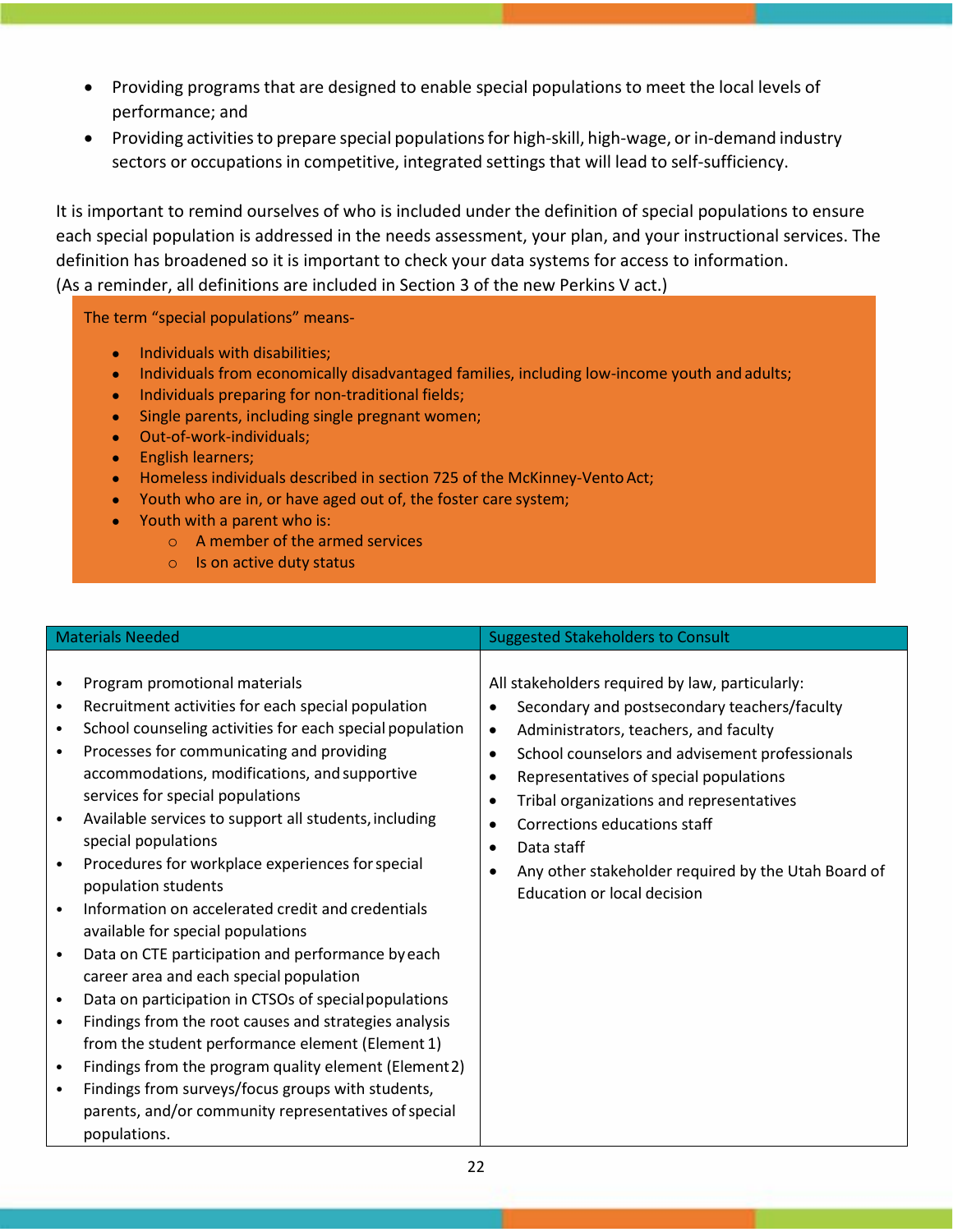- Providing programs that are designed to enable special populations to meet the local levels of performance; and
- Providing activities to prepare special populations for high-skill, high-wage, or in-demand industry sectors or occupations in competitive, integrated settings that will lead to self-sufficiency.

It is important to remind ourselves of who is included under the definition of special populations to ensure each special population is addressed in the needs assessment, your plan, and your instructional services. The definition has broadened so it is important to check your data systems for access to information. (As a reminder, all definitions are included in Section 3 of the new Perkins V act.)

The term "special populations" means‐

- Individuals with disabilities;
- Individuals from economically disadvantaged families, including low-income youth and adults;
- Individuals preparing for non-traditional fields;
- Single parents, including single pregnant women;
- Out-of-work-individuals;
- English learners;
- Homeless individuals described in section 725 of the McKinney-Vento Act;
- Youth who are in, or have aged out of, the foster care system;
- Youth with a parent who is:
	- o A member of the armed services
	- o Is on active duty status

| <b>Materials Needed</b>                                                                                                                                                                                                                                                                                                                                                                                                                                                                                                                                                                                                                                                                                                                                                                                                                                                                                                                                                                                                                                                               | <b>Suggested Stakeholders to Consult</b>                                                                                                                                                                                                                                                                                                                                                                                                                                                           |
|---------------------------------------------------------------------------------------------------------------------------------------------------------------------------------------------------------------------------------------------------------------------------------------------------------------------------------------------------------------------------------------------------------------------------------------------------------------------------------------------------------------------------------------------------------------------------------------------------------------------------------------------------------------------------------------------------------------------------------------------------------------------------------------------------------------------------------------------------------------------------------------------------------------------------------------------------------------------------------------------------------------------------------------------------------------------------------------|----------------------------------------------------------------------------------------------------------------------------------------------------------------------------------------------------------------------------------------------------------------------------------------------------------------------------------------------------------------------------------------------------------------------------------------------------------------------------------------------------|
| Program promotional materials<br>Recruitment activities for each special population<br>$\bullet$<br>School counseling activities for each special population<br>$\bullet$<br>Processes for communicating and providing<br>٠<br>accommodations, modifications, and supportive<br>services for special populations<br>Available services to support all students, including<br>special populations<br>Procedures for workplace experiences for special<br>population students<br>Information on accelerated credit and credentials<br>available for special populations<br>Data on CTE participation and performance by each<br>career area and each special population<br>Data on participation in CTSOs of special populations<br>$\bullet$<br>Findings from the root causes and strategies analysis<br>$\bullet$<br>from the student performance element (Element 1)<br>Findings from the program quality element (Element 2)<br>$\bullet$<br>Findings from surveys/focus groups with students,<br>$\bullet$<br>parents, and/or community representatives of special<br>populations. | All stakeholders required by law, particularly:<br>Secondary and postsecondary teachers/faculty<br>Administrators, teachers, and faculty<br>$\bullet$<br>School counselors and advisement professionals<br>$\bullet$<br>Representatives of special populations<br>$\bullet$<br>Tribal organizations and representatives<br>$\bullet$<br>Corrections educations staff<br>$\bullet$<br>Data staff<br>$\bullet$<br>Any other stakeholder required by the Utah Board of<br>Education or local decision |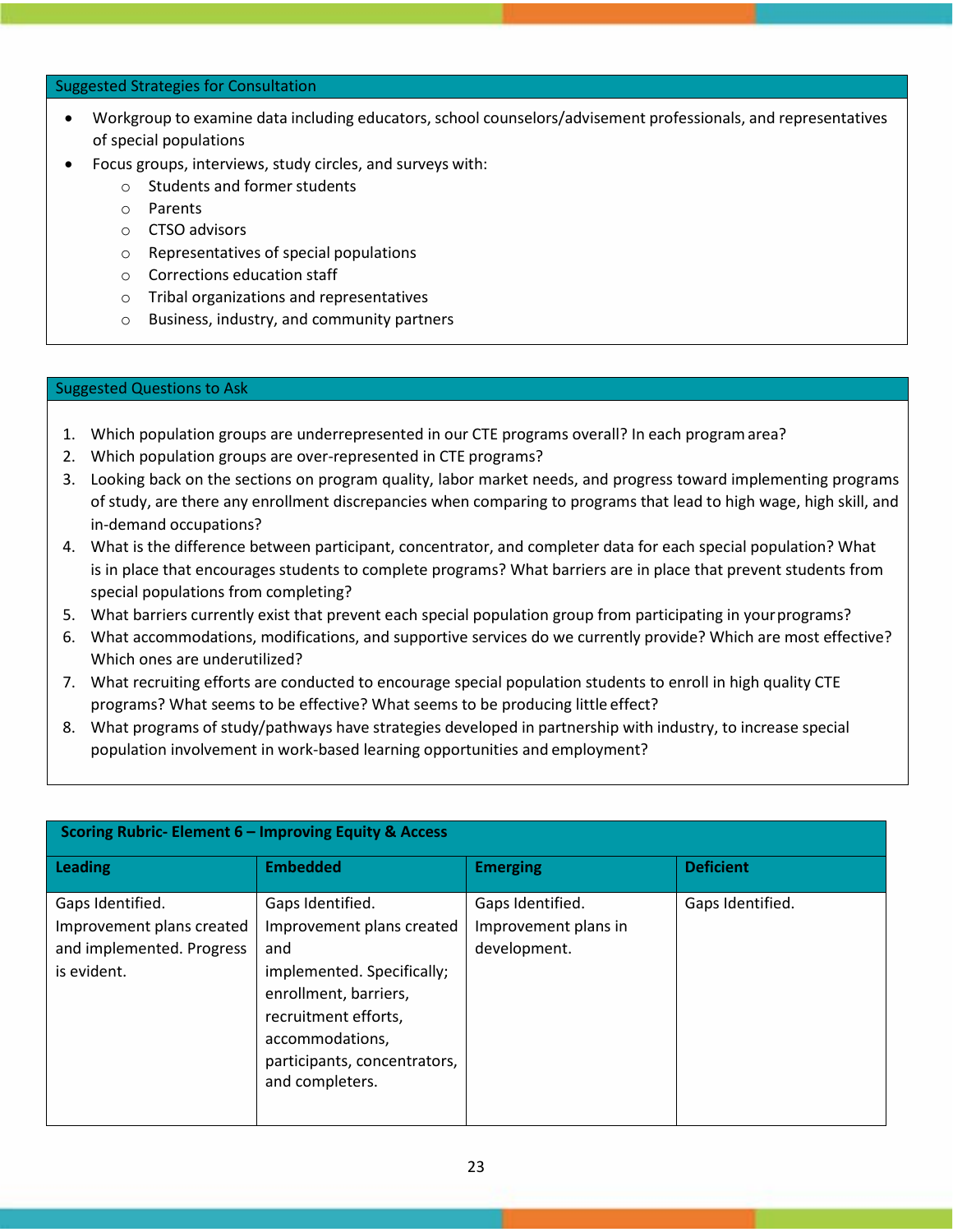#### Suggested Strategies for Consultation

- Workgroup to examine data including educators, school counselors/advisement professionals, and representatives of special populations
- Focus groups, interviews, study circles, and surveys with:
	- o Students and former students
	- o Parents
	- o CTSO advisors
	- o Representatives of special populations
	- o Corrections education staff
	- o Tribal organizations and representatives
	- o Business, industry, and community partners

#### Suggested Questions to Ask

- 1. Which population groups are underrepresented in our CTE programs overall? In each programarea?
- 2. Which population groups are over-represented in CTE programs?
- 3. Looking back on the sections on program quality, labor market needs, and progress toward implementing programs of study, are there any enrollment discrepancies when comparing to programs that lead to high wage, high skill, and in‐demand occupations?
- 4. What is the difference between participant, concentrator, and completer data for each special population? What is in place that encourages students to complete programs? What barriers are in place that prevent students from special populations from completing?
- 5. What barriers currently exist that prevent each special population group from participating in yourprograms?
- 6. What accommodations, modifications, and supportive services do we currently provide? Which are most effective? Which ones are underutilized?
- 7. What recruiting efforts are conducted to encourage special population students to enroll in high quality CTE programs? What seems to be effective? What seems to be producing little effect?
- 8. What programs of study/pathways have strategies developed in partnership with industry, to increase special population involvement in work‐based learning opportunities and employment?

| $\frac{1}{2}$ Scoring Kubric- Element $\sigma$ – improving Equity & Access                |                                                                                                                                                                                                           |                                                          |                  |  |
|-------------------------------------------------------------------------------------------|-----------------------------------------------------------------------------------------------------------------------------------------------------------------------------------------------------------|----------------------------------------------------------|------------------|--|
| Leading                                                                                   | <b>Embedded</b>                                                                                                                                                                                           | <b>Emerging</b>                                          | <b>Deficient</b> |  |
| Gaps Identified.<br>Improvement plans created<br>and implemented. Progress<br>is evident. | Gaps Identified.<br>Improvement plans created<br>and<br>implemented. Specifically;<br>enrollment, barriers,<br>recruitment efforts,<br>accommodations,<br>participants, concentrators,<br>and completers. | Gaps Identified.<br>Improvement plans in<br>development. | Gaps Identified. |  |

#### **Scoring Rubric‐ Element 6 – Improving Equity & Access**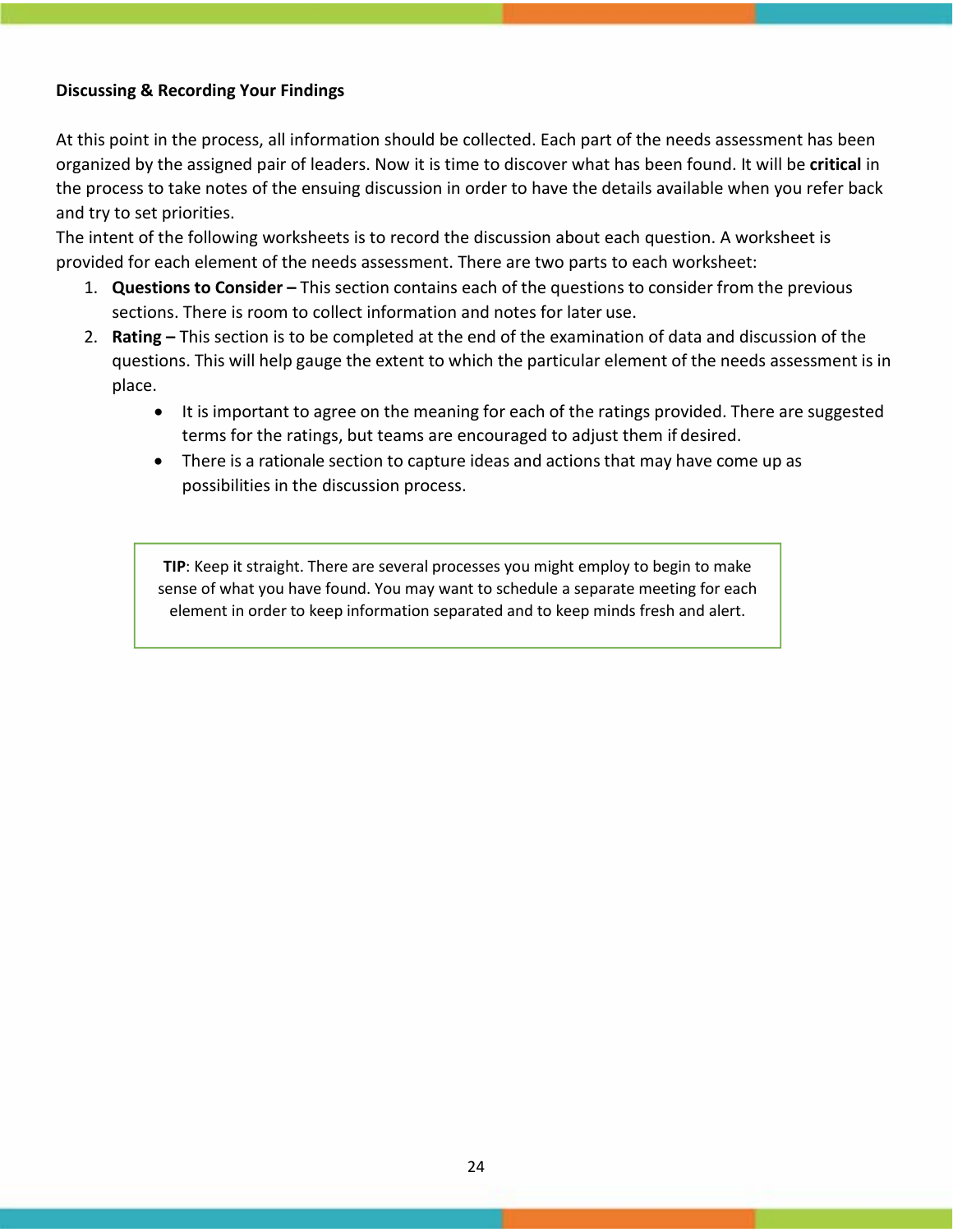## **Discussing & Recording Your Findings**

At this point in the process, all information should be collected. Each part of the needs assessment has been organized by the assigned pair of leaders. Now it is time to discover what has been found. It will be **critical** in the process to take notes of the ensuing discussion in order to have the details available when you refer back and try to set priorities.

The intent of the following worksheets is to record the discussion about each question. A worksheet is provided for each element of the needs assessment. There are two parts to each worksheet:

- 1. **Questions to Consider** This section contains each of the questions to consider from the previous sections. There is room to collect information and notes for later use.
- 2. **Rating** This section is to be completed at the end of the examination of data and discussion of the questions. This will help gauge the extent to which the particular element of the needs assessment is in place.
	- It is important to agree on the meaning for each of the ratings provided. There are suggested terms for the ratings, but teams are encouraged to adjust them if desired.
	- There is a rationale section to capture ideas and actions that may have come up as possibilities in the discussion process.

**TIP**: Keep it straight. There are several processes you might employ to begin to make sense of what you have found. You may want to schedule a separate meeting for each element in order to keep information separated and to keep minds fresh and alert.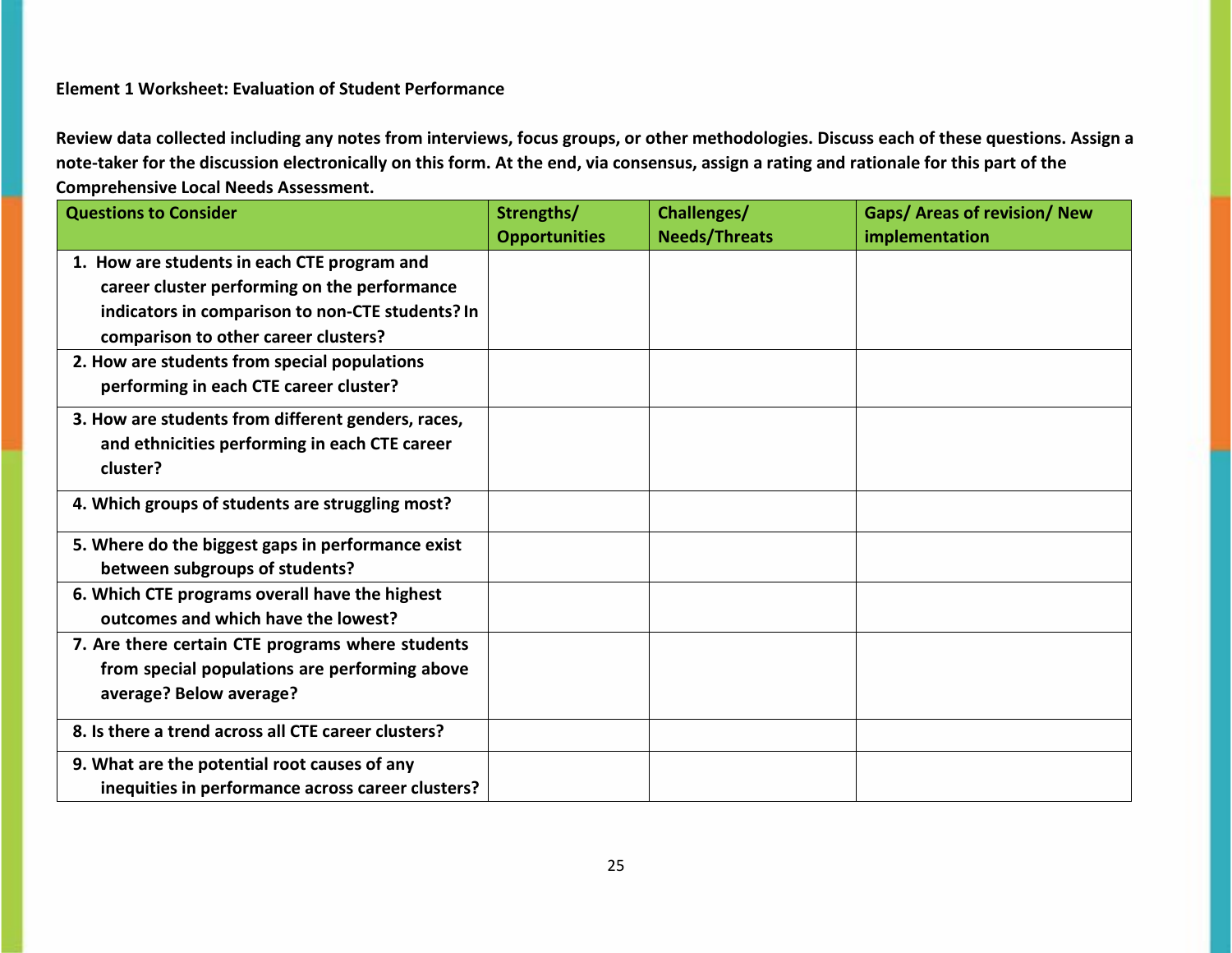## **Element 1 Worksheet: Evaluation of Student Performance**

| <b>Questions to Consider</b>                        | Strengths/           | Challenges/          | <b>Gaps/ Areas of revision/ New</b> |
|-----------------------------------------------------|----------------------|----------------------|-------------------------------------|
|                                                     | <b>Opportunities</b> | <b>Needs/Threats</b> | implementation                      |
| 1. How are students in each CTE program and         |                      |                      |                                     |
| career cluster performing on the performance        |                      |                      |                                     |
| indicators in comparison to non-CTE students? In    |                      |                      |                                     |
| comparison to other career clusters?                |                      |                      |                                     |
| 2. How are students from special populations        |                      |                      |                                     |
| performing in each CTE career cluster?              |                      |                      |                                     |
| 3. How are students from different genders, races,  |                      |                      |                                     |
| and ethnicities performing in each CTE career       |                      |                      |                                     |
| cluster?                                            |                      |                      |                                     |
| 4. Which groups of students are struggling most?    |                      |                      |                                     |
| 5. Where do the biggest gaps in performance exist   |                      |                      |                                     |
| between subgroups of students?                      |                      |                      |                                     |
| 6. Which CTE programs overall have the highest      |                      |                      |                                     |
| outcomes and which have the lowest?                 |                      |                      |                                     |
| 7. Are there certain CTE programs where students    |                      |                      |                                     |
| from special populations are performing above       |                      |                      |                                     |
| average? Below average?                             |                      |                      |                                     |
| 8. Is there a trend across all CTE career clusters? |                      |                      |                                     |
| 9. What are the potential root causes of any        |                      |                      |                                     |
| inequities in performance across career clusters?   |                      |                      |                                     |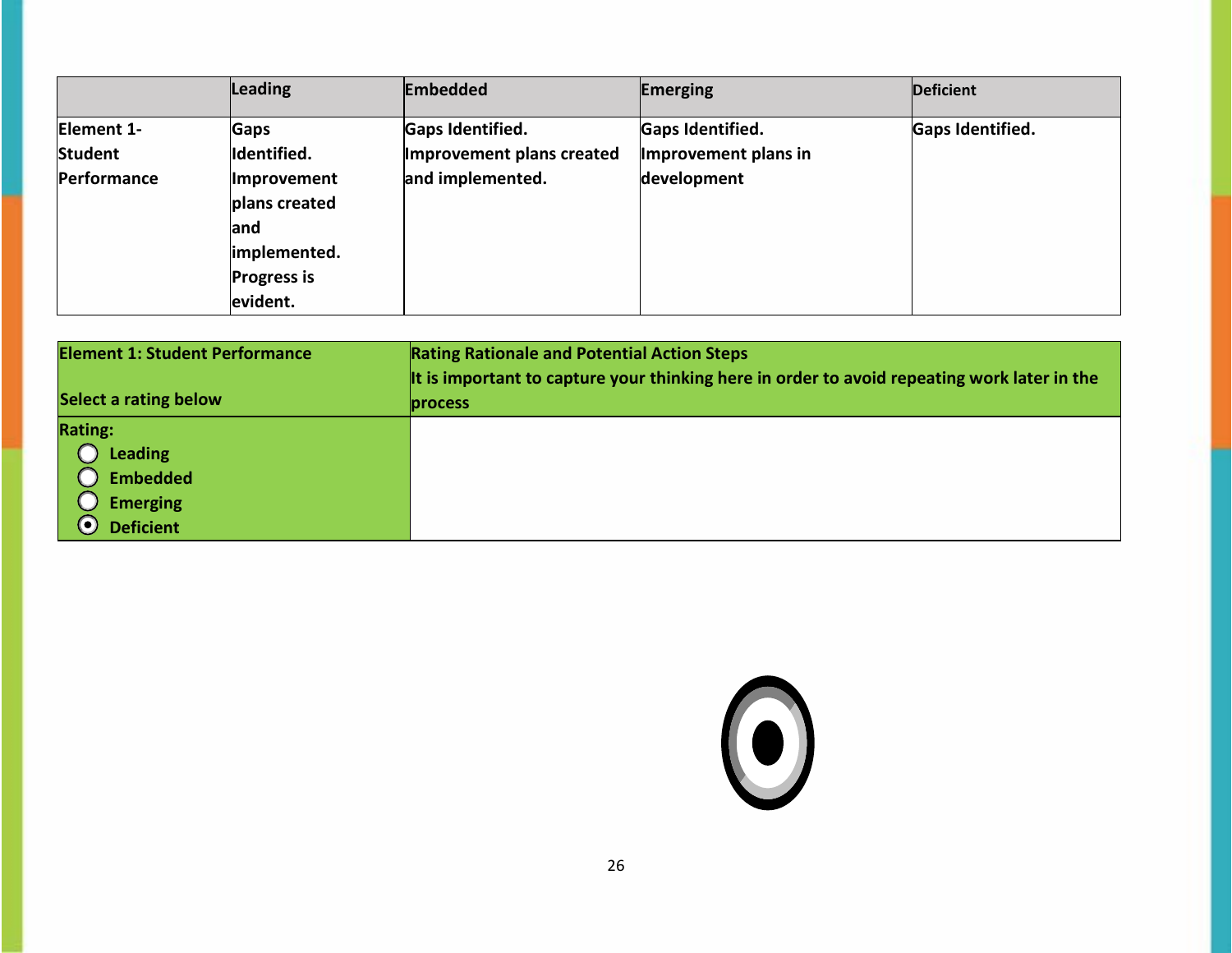|             | Leading            | <b>Embedded</b>           | <b>Emerging</b>      | <b>Deficient</b>        |
|-------------|--------------------|---------------------------|----------------------|-------------------------|
| Element 1-  | <b>Gaps</b>        | Gaps Identified.          | Gaps Identified.     | <b>Gaps Identified.</b> |
| Student     | Identified.        | Improvement plans created | Improvement plans in |                         |
| Performance | Improvement        | and implemented.          | development          |                         |
|             | plans created      |                           |                      |                         |
|             | land               |                           |                      |                         |
|             | implemented.       |                           |                      |                         |
|             | <b>Progress is</b> |                           |                      |                         |
|             | evident.           |                           |                      |                         |

| <b>Element 1: Student Performance</b><br><b>Rating Rationale and Potential Action Steps</b> |                                                                                             |
|---------------------------------------------------------------------------------------------|---------------------------------------------------------------------------------------------|
|                                                                                             | It is important to capture your thinking here in order to avoid repeating work later in the |
| Select a rating below                                                                       | <b>process</b>                                                                              |
| <b>Rating:</b>                                                                              |                                                                                             |
| Leading                                                                                     |                                                                                             |
| <b>Embedded</b>                                                                             |                                                                                             |
| <b>Emerging</b>                                                                             |                                                                                             |
| $\boldsymbol{\odot}$<br><b>Deficient</b>                                                    |                                                                                             |

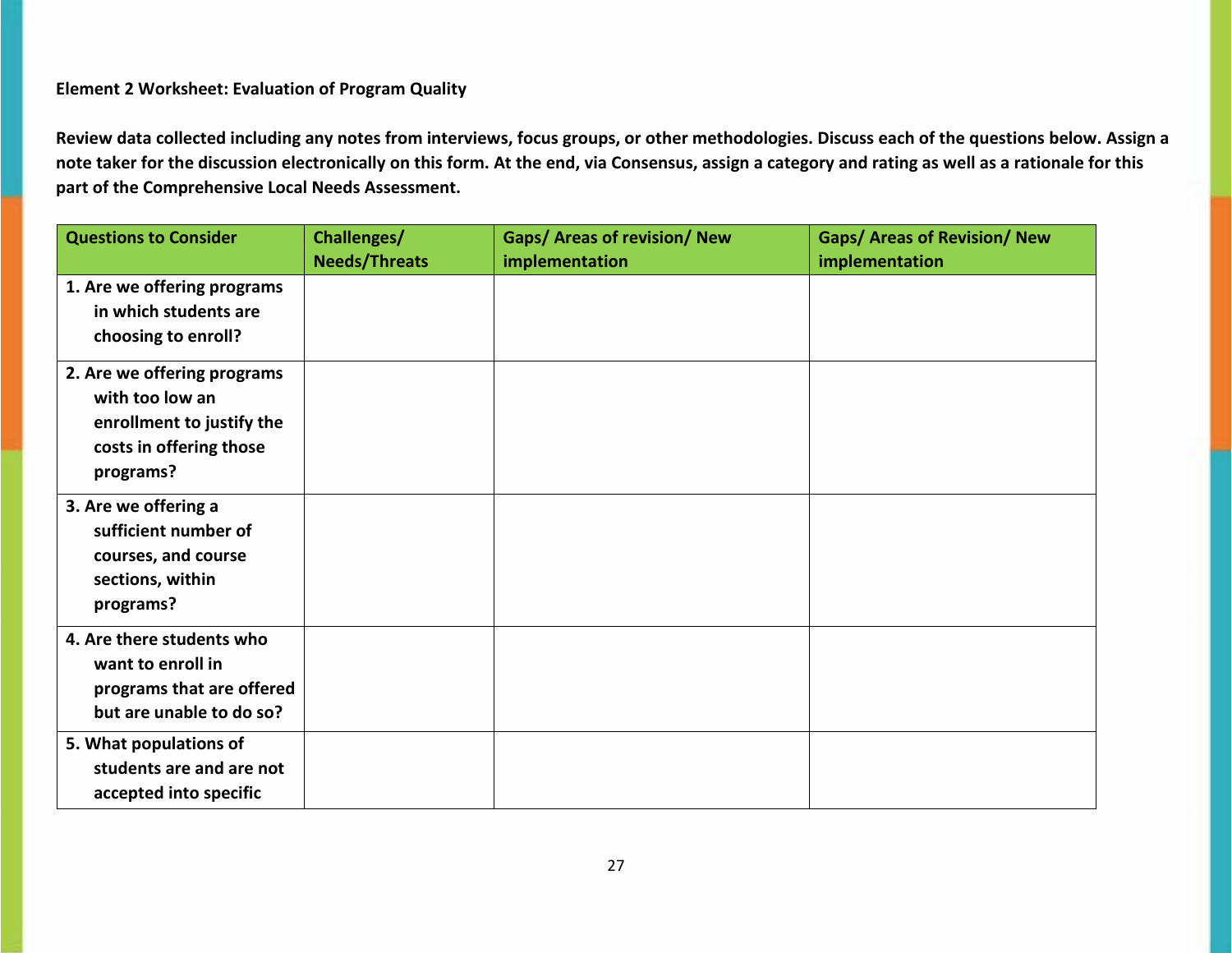## **Element 2 Worksheet: Evaluation of Program Quality**

| <b>Questions to Consider</b> | Challenges/          | <b>Gaps/ Areas of revision/ New</b> | <b>Gaps/ Areas of Revision/ New</b> |
|------------------------------|----------------------|-------------------------------------|-------------------------------------|
|                              | <b>Needs/Threats</b> | implementation                      | implementation                      |
| 1. Are we offering programs  |                      |                                     |                                     |
| in which students are        |                      |                                     |                                     |
| choosing to enroll?          |                      |                                     |                                     |
| 2. Are we offering programs  |                      |                                     |                                     |
| with too low an              |                      |                                     |                                     |
| enrollment to justify the    |                      |                                     |                                     |
| costs in offering those      |                      |                                     |                                     |
| programs?                    |                      |                                     |                                     |
| 3. Are we offering a         |                      |                                     |                                     |
| sufficient number of         |                      |                                     |                                     |
| courses, and course          |                      |                                     |                                     |
| sections, within             |                      |                                     |                                     |
| programs?                    |                      |                                     |                                     |
| 4. Are there students who    |                      |                                     |                                     |
| want to enroll in            |                      |                                     |                                     |
| programs that are offered    |                      |                                     |                                     |
| but are unable to do so?     |                      |                                     |                                     |
| 5. What populations of       |                      |                                     |                                     |
| students are and are not     |                      |                                     |                                     |
| accepted into specific       |                      |                                     |                                     |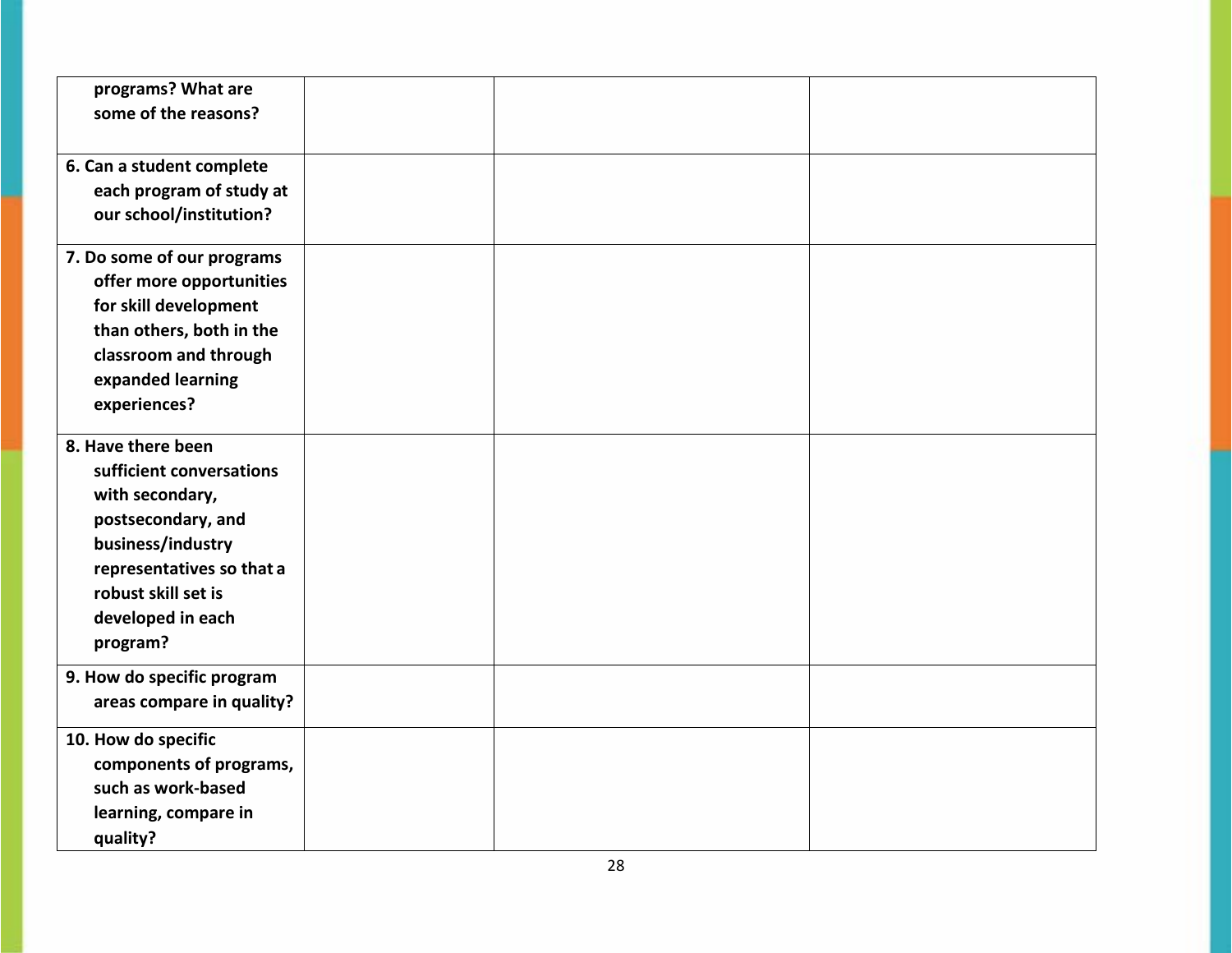| programs? What are<br>some of the reasons? |  |  |
|--------------------------------------------|--|--|
|                                            |  |  |
| 6. Can a student complete                  |  |  |
| each program of study at                   |  |  |
| our school/institution?                    |  |  |
| 7. Do some of our programs                 |  |  |
| offer more opportunities                   |  |  |
| for skill development                      |  |  |
| than others, both in the                   |  |  |
| classroom and through                      |  |  |
| expanded learning                          |  |  |
| experiences?                               |  |  |
| 8. Have there been                         |  |  |
| sufficient conversations                   |  |  |
| with secondary,                            |  |  |
| postsecondary, and                         |  |  |
| business/industry                          |  |  |
| representatives so that a                  |  |  |
| robust skill set is                        |  |  |
| developed in each                          |  |  |
| program?                                   |  |  |
| 9. How do specific program                 |  |  |
| areas compare in quality?                  |  |  |
| 10. How do specific                        |  |  |
| components of programs,                    |  |  |
| such as work-based                         |  |  |
| learning, compare in                       |  |  |
| quality?                                   |  |  |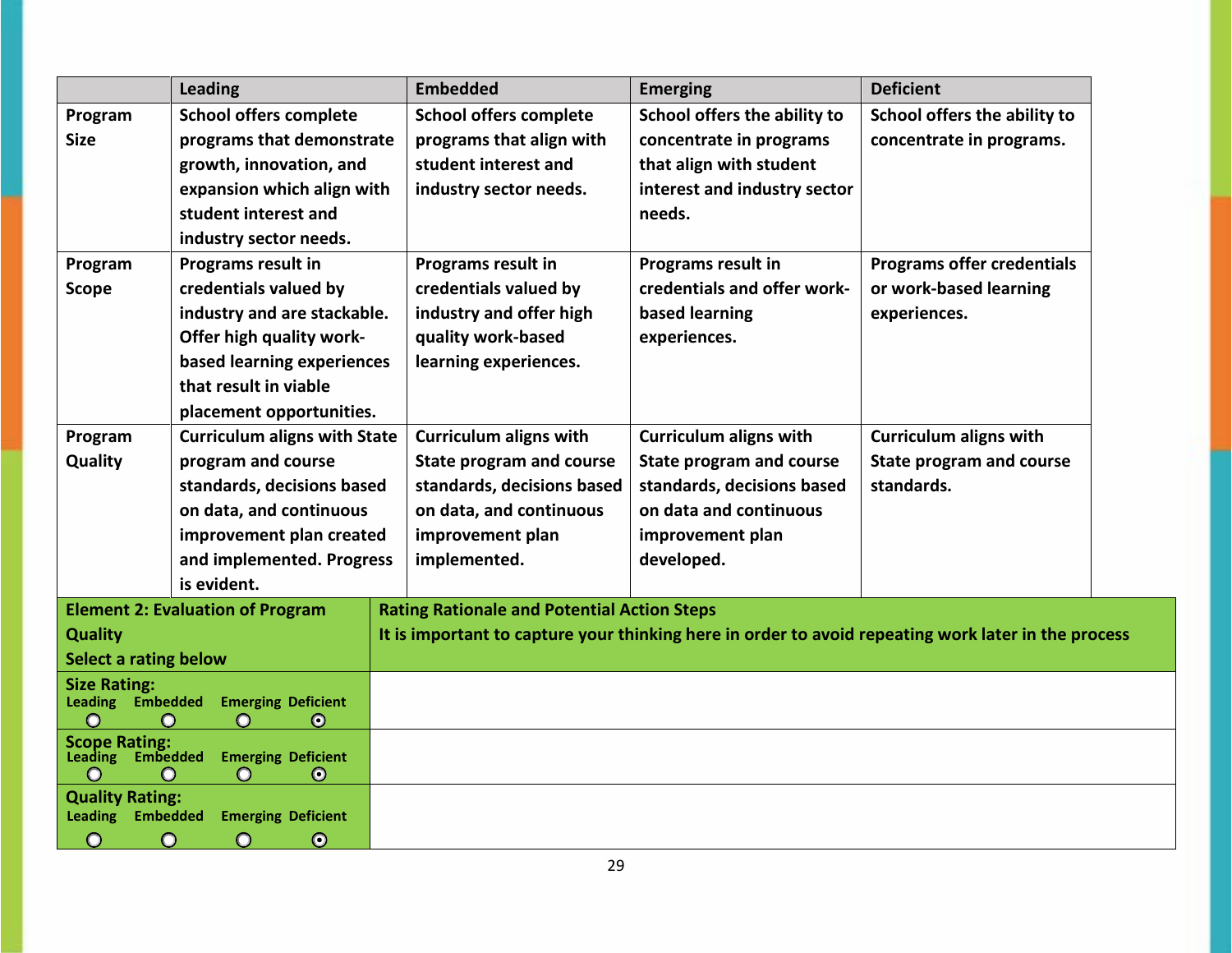|                                                                                                     | Leading                                           | <b>Embedded</b>                                                                                     | <b>Emerging</b>                 | <b>Deficient</b>                  |
|-----------------------------------------------------------------------------------------------------|---------------------------------------------------|-----------------------------------------------------------------------------------------------------|---------------------------------|-----------------------------------|
| Program                                                                                             | <b>School offers complete</b>                     | <b>School offers complete</b>                                                                       | School offers the ability to    | School offers the ability to      |
| <b>Size</b>                                                                                         | programs that demonstrate                         | programs that align with                                                                            | concentrate in programs         | concentrate in programs.          |
|                                                                                                     | growth, innovation, and                           | student interest and                                                                                | that align with student         |                                   |
|                                                                                                     | expansion which align with                        | industry sector needs.                                                                              | interest and industry sector    |                                   |
|                                                                                                     | student interest and                              |                                                                                                     | needs.                          |                                   |
|                                                                                                     | industry sector needs.                            |                                                                                                     |                                 |                                   |
| Program                                                                                             | <b>Programs result in</b>                         | Programs result in                                                                                  | <b>Programs result in</b>       | <b>Programs offer credentials</b> |
| <b>Scope</b>                                                                                        | credentials valued by                             | credentials valued by                                                                               | credentials and offer work-     | or work-based learning            |
|                                                                                                     | industry and are stackable.                       | industry and offer high                                                                             | based learning                  | experiences.                      |
|                                                                                                     | Offer high quality work-                          | quality work-based                                                                                  | experiences.                    |                                   |
|                                                                                                     | based learning experiences                        | learning experiences.                                                                               |                                 |                                   |
|                                                                                                     | that result in viable                             |                                                                                                     |                                 |                                   |
|                                                                                                     | placement opportunities.                          |                                                                                                     |                                 |                                   |
| Program                                                                                             | <b>Curriculum aligns with State</b>               | <b>Curriculum aligns with</b>                                                                       | <b>Curriculum aligns with</b>   | <b>Curriculum aligns with</b>     |
| Quality                                                                                             | program and course                                | <b>State program and course</b>                                                                     | <b>State program and course</b> | <b>State program and course</b>   |
|                                                                                                     | standards, decisions based                        | standards, decisions based                                                                          | standards, decisions based      | standards.                        |
|                                                                                                     | on data, and continuous                           | on data, and continuous                                                                             | on data and continuous          |                                   |
|                                                                                                     | improvement plan created                          | improvement plan                                                                                    | improvement plan                |                                   |
|                                                                                                     | and implemented. Progress                         | implemented.                                                                                        | developed.                      |                                   |
|                                                                                                     | is evident.                                       |                                                                                                     |                                 |                                   |
|                                                                                                     | <b>Element 2: Evaluation of Program</b>           | <b>Rating Rationale and Potential Action Steps</b>                                                  |                                 |                                   |
| <b>Quality</b>                                                                                      |                                                   | It is important to capture your thinking here in order to avoid repeating work later in the process |                                 |                                   |
| <b>Select a rating below</b>                                                                        |                                                   |                                                                                                     |                                 |                                   |
| <b>Size Rating:</b>                                                                                 |                                                   |                                                                                                     |                                 |                                   |
| <b>Leading Embedded</b><br><b>Emerging Deficient</b><br>$\odot$<br>$\bigcirc$<br>$\Omega$<br>$\cap$ |                                                   |                                                                                                     |                                 |                                   |
| <b>Scope Rating:</b>                                                                                |                                                   |                                                                                                     |                                 |                                   |
| Leading Embedded                                                                                    | <b>Emerging Deficient</b><br>$\bullet$<br>$\circ$ |                                                                                                     |                                 |                                   |
| <b>Quality Rating:</b>                                                                              |                                                   |                                                                                                     |                                 |                                   |
| <b>Leading Embedded</b>                                                                             | <b>Emerging Deficient</b>                         |                                                                                                     |                                 |                                   |
| $\circ$<br>$\odot$                                                                                  | $\circ$<br>$\odot$                                |                                                                                                     |                                 |                                   |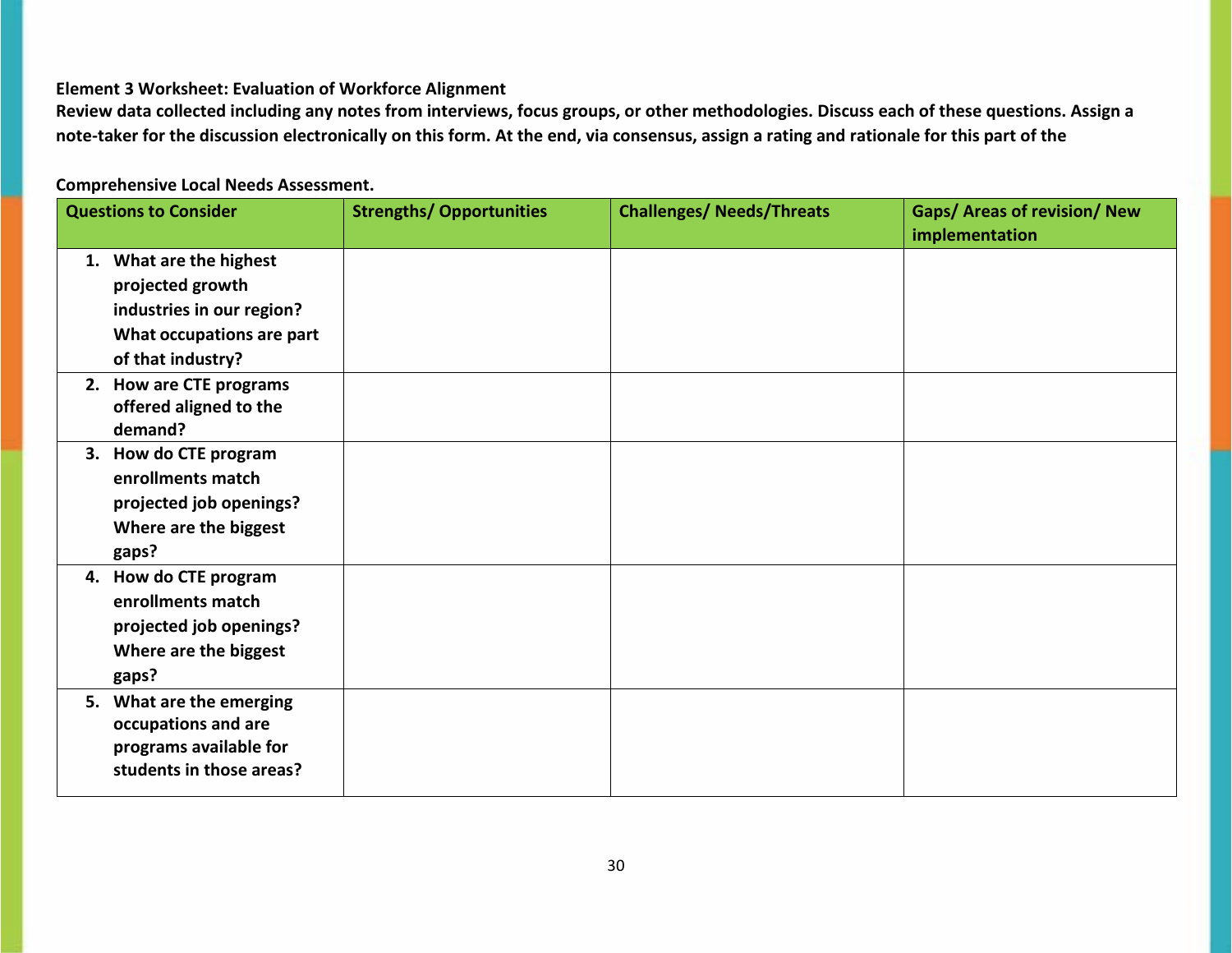### **Element 3 Worksheet: Evaluation of Workforce Alignment**

**Review data collected including any notes from interviews, focus groups, or other methodologies. Discuss each of these questions. Assign a note‐taker for the discussion electronically on this form. At the end, via consensus, assign a rating and rationale for this part of the** 

## **Comprehensive Local Needs Assessment.**

| <b>Questions to Consider</b>                                                                                               | <b>Strengths/ Opportunities</b> | <b>Challenges/ Needs/Threats</b> | <b>Gaps/ Areas of revision/ New</b><br>implementation |
|----------------------------------------------------------------------------------------------------------------------------|---------------------------------|----------------------------------|-------------------------------------------------------|
| 1. What are the highest<br>projected growth<br>industries in our region?<br>What occupations are part<br>of that industry? |                                 |                                  |                                                       |
| 2. How are CTE programs<br>offered aligned to the<br>demand?                                                               |                                 |                                  |                                                       |
| 3. How do CTE program<br>enrollments match<br>projected job openings?<br>Where are the biggest<br>gaps?                    |                                 |                                  |                                                       |
| 4. How do CTE program<br>enrollments match<br>projected job openings?<br>Where are the biggest<br>gaps?                    |                                 |                                  |                                                       |
| 5. What are the emerging<br>occupations and are<br>programs available for<br>students in those areas?                      |                                 |                                  |                                                       |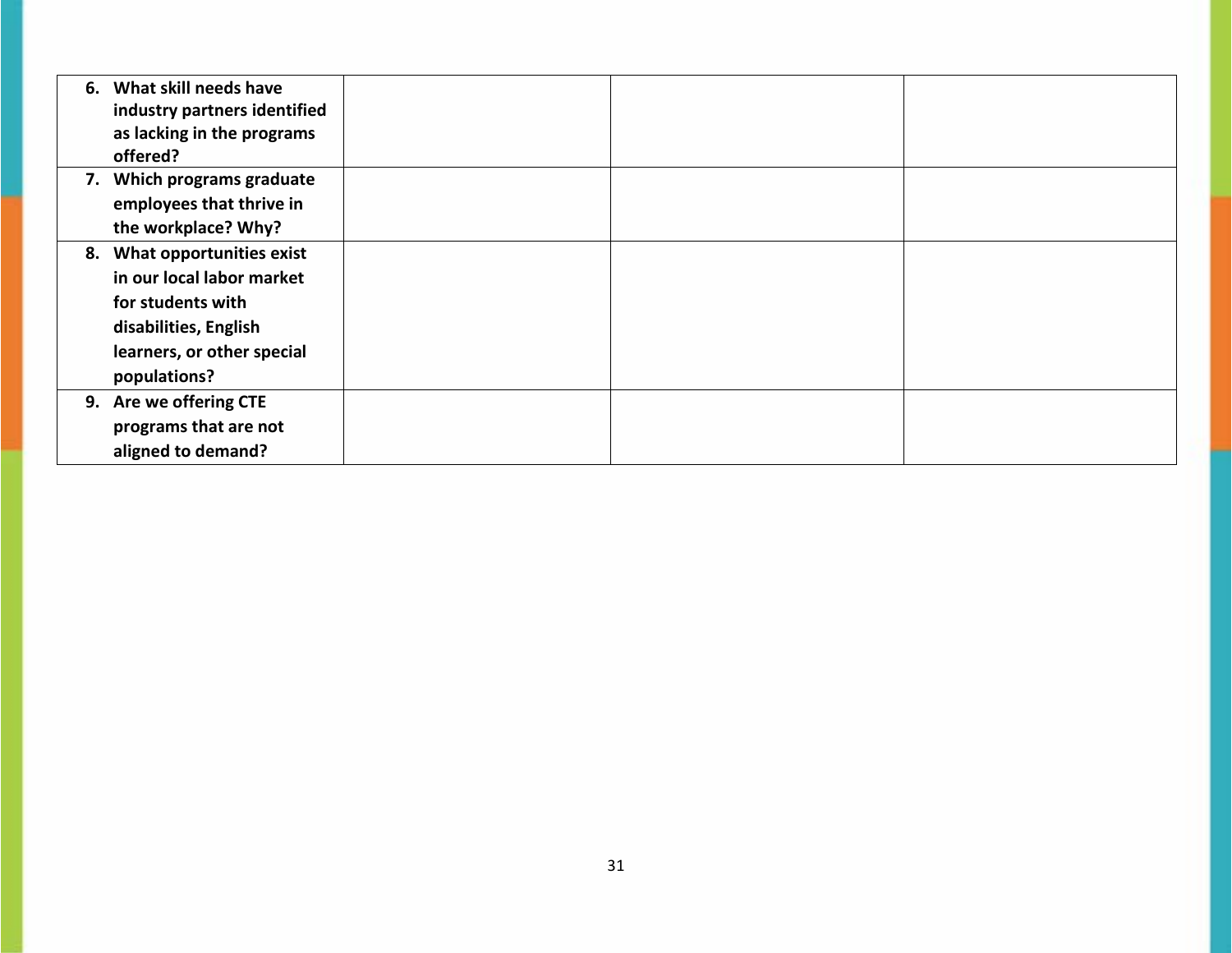| 6. | What skill needs have<br>industry partners identified<br>as lacking in the programs<br>offered?                                                          |  |  |
|----|----------------------------------------------------------------------------------------------------------------------------------------------------------|--|--|
|    | 7. Which programs graduate<br>employees that thrive in<br>the workplace? Why?                                                                            |  |  |
| 8. | <b>What opportunities exist</b><br>in our local labor market<br>for students with<br>disabilities, English<br>learners, or other special<br>populations? |  |  |
|    | 9. Are we offering CTE<br>programs that are not<br>aligned to demand?                                                                                    |  |  |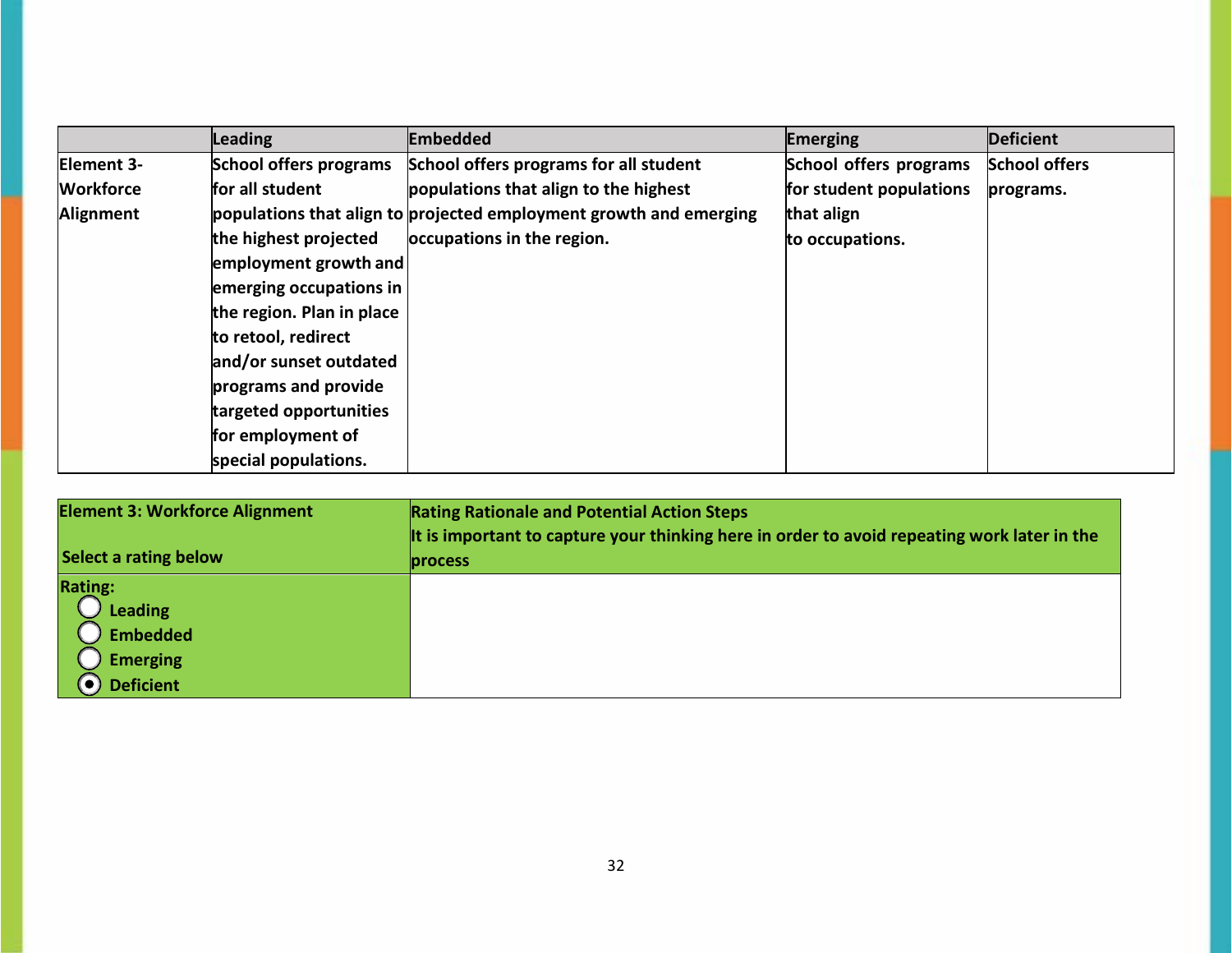|                  | Leading                       | <b>Embedded</b>                                                    | Emerging                | <b>Deficient</b>     |
|------------------|-------------------------------|--------------------------------------------------------------------|-------------------------|----------------------|
| Element 3-       | <b>School offers programs</b> | School offers programs for all student                             | School offers programs  | <b>School offers</b> |
| <b>Workforce</b> | for all student               | populations that align to the highest                              | for student populations | programs.            |
| Alignment        |                               | populations that align to projected employment growth and emerging | that align              |                      |
|                  | the highest projected         | occupations in the region.                                         | to occupations.         |                      |
|                  | employment growth and         |                                                                    |                         |                      |
|                  | emerging occupations in       |                                                                    |                         |                      |
|                  | the region. Plan in place     |                                                                    |                         |                      |
|                  | to retool, redirect           |                                                                    |                         |                      |
|                  | and/or sunset outdated        |                                                                    |                         |                      |
|                  | programs and provide          |                                                                    |                         |                      |
|                  | targeted opportunities        |                                                                    |                         |                      |
|                  | for employment of             |                                                                    |                         |                      |
|                  | special populations.          |                                                                    |                         |                      |

| <b>Element 3: Workforce Alignment</b>                                                      | <b>Rating Rationale and Potential Action Steps</b>                                          |  |  |
|--------------------------------------------------------------------------------------------|---------------------------------------------------------------------------------------------|--|--|
|                                                                                            | It is important to capture your thinking here in order to avoid repeating work later in the |  |  |
| Select a rating below                                                                      | <b>process</b>                                                                              |  |  |
| <b>Rating:</b><br><b>Leading</b><br><b>Embedded</b><br><b>Emerging</b><br><b>Deficient</b> |                                                                                             |  |  |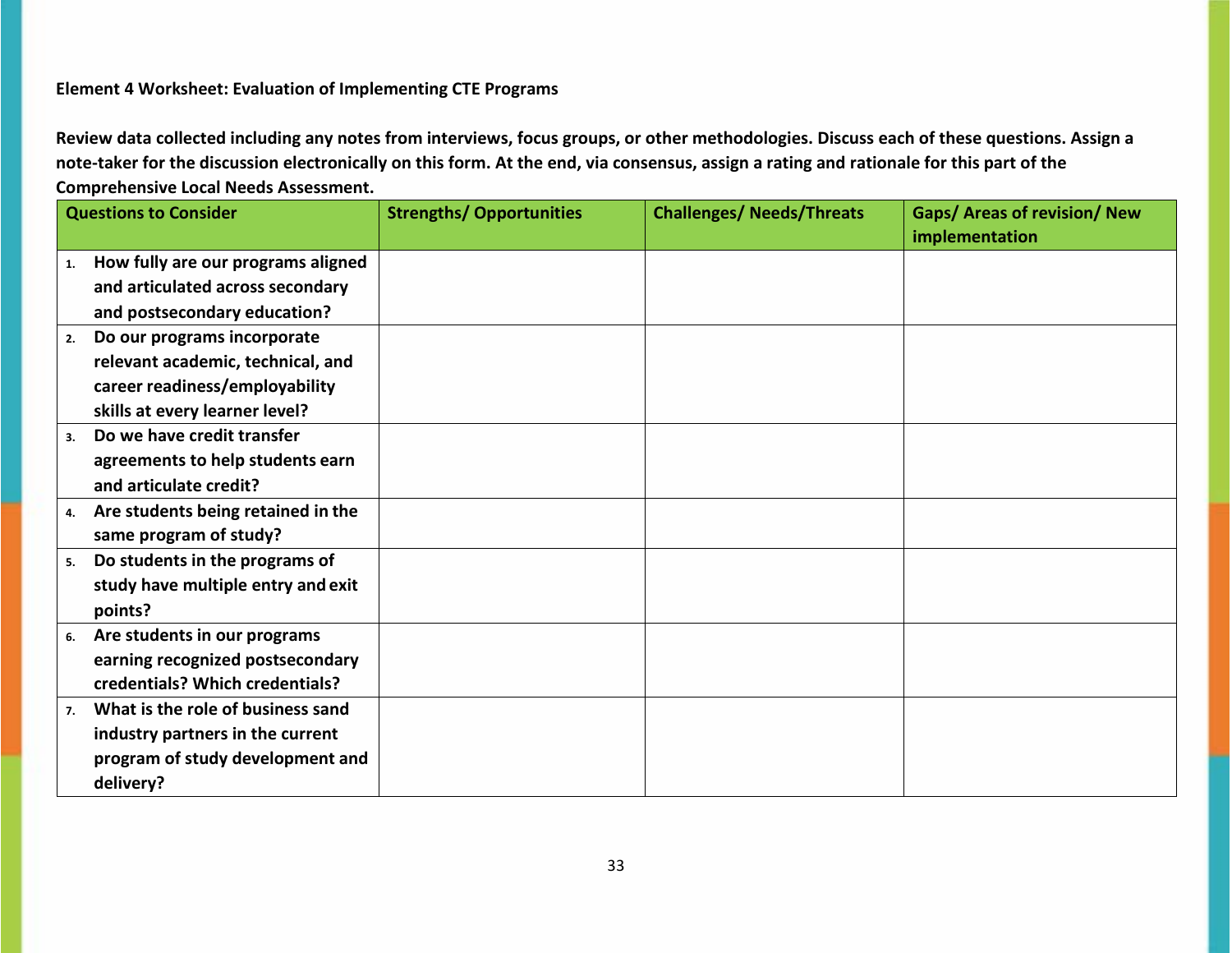## **Element 4 Worksheet: Evaluation of Implementing CTE Programs**

| <b>Questions to Consider</b>             | <b>Strengths/ Opportunities</b> | <b>Challenges/ Needs/Threats</b> | <b>Gaps/ Areas of revision/ New</b> |
|------------------------------------------|---------------------------------|----------------------------------|-------------------------------------|
| How fully are our programs aligned       |                                 |                                  | implementation                      |
| 1.                                       |                                 |                                  |                                     |
| and articulated across secondary         |                                 |                                  |                                     |
| and postsecondary education?             |                                 |                                  |                                     |
| Do our programs incorporate<br>2.        |                                 |                                  |                                     |
| relevant academic, technical, and        |                                 |                                  |                                     |
| career readiness/employability           |                                 |                                  |                                     |
| skills at every learner level?           |                                 |                                  |                                     |
| Do we have credit transfer<br>3.         |                                 |                                  |                                     |
| agreements to help students earn         |                                 |                                  |                                     |
| and articulate credit?                   |                                 |                                  |                                     |
| Are students being retained in the<br>4. |                                 |                                  |                                     |
| same program of study?                   |                                 |                                  |                                     |
| Do students in the programs of<br>5.     |                                 |                                  |                                     |
| study have multiple entry and exit       |                                 |                                  |                                     |
| points?                                  |                                 |                                  |                                     |
| Are students in our programs<br>6.       |                                 |                                  |                                     |
| earning recognized postsecondary         |                                 |                                  |                                     |
| credentials? Which credentials?          |                                 |                                  |                                     |
| What is the role of business sand<br>7.  |                                 |                                  |                                     |
| industry partners in the current         |                                 |                                  |                                     |
| program of study development and         |                                 |                                  |                                     |
| delivery?                                |                                 |                                  |                                     |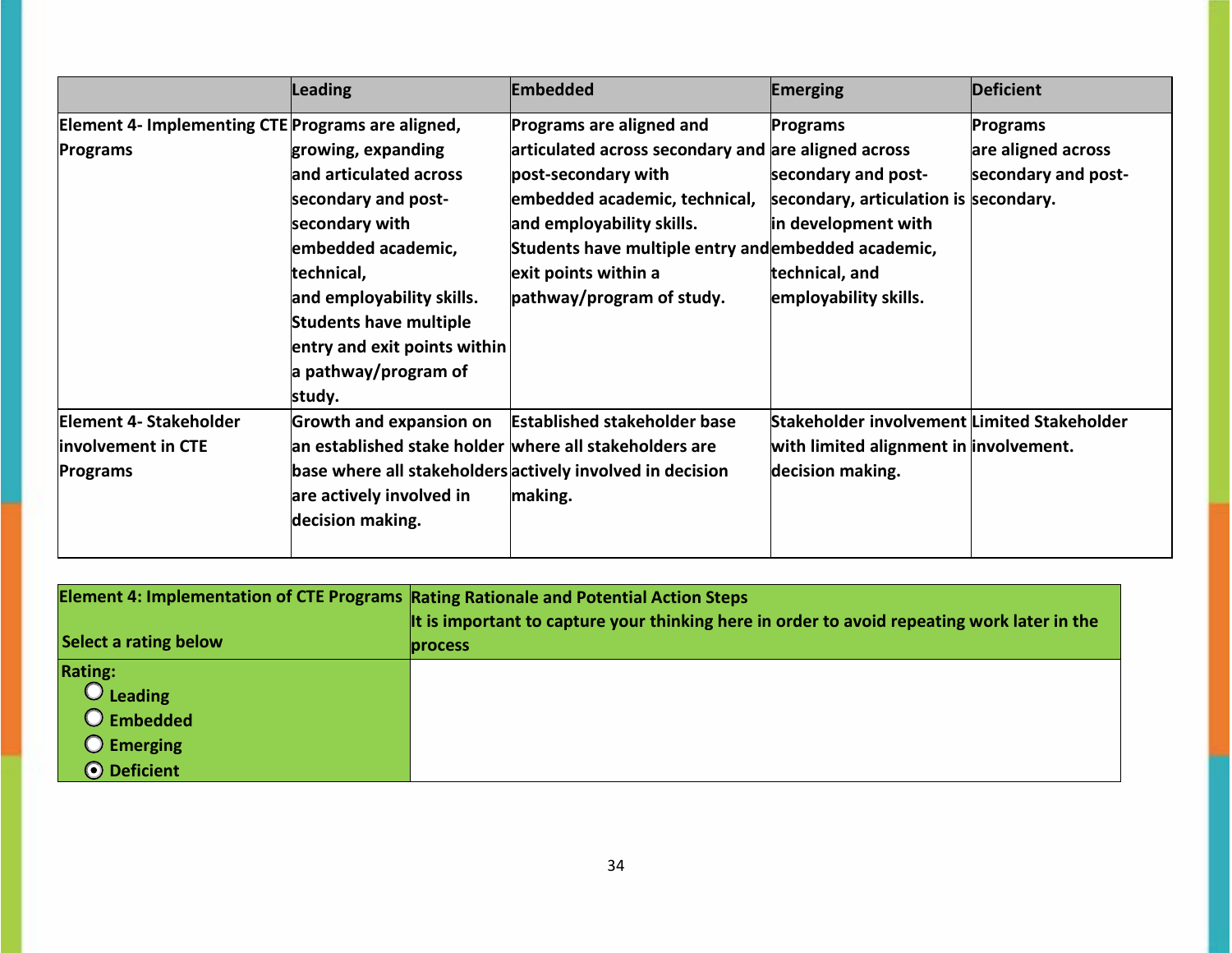|                                                   | Leading                                                | <b>Embedded</b>                                           | <b>Emerging</b>                             | <b>Deficient</b>    |
|---------------------------------------------------|--------------------------------------------------------|-----------------------------------------------------------|---------------------------------------------|---------------------|
| Element 4- Implementing CTE Programs are aligned, |                                                        | Programs are aligned and                                  | Programs                                    | Programs            |
| <b>Programs</b>                                   | growing, expanding                                     | articulated across secondary and are aligned across       |                                             | are aligned across  |
|                                                   | and articulated across                                 | post-secondary with                                       | secondary and post-                         | secondary and post- |
|                                                   | secondary and post-                                    | embedded academic, technical,                             | secondary, articulation is secondary.       |                     |
|                                                   | secondary with                                         | and employability skills.                                 | in development with                         |                     |
|                                                   | embedded academic,                                     | Students have multiple entry and embedded academic,       |                                             |                     |
|                                                   | technical,                                             | exit points within a                                      | technical, and                              |                     |
|                                                   | and employability skills.                              | pathway/program of study.                                 | employability skills.                       |                     |
|                                                   | <b>Students have multiple</b>                          |                                                           |                                             |                     |
|                                                   | entry and exit points within                           |                                                           |                                             |                     |
|                                                   | a pathway/program of                                   |                                                           |                                             |                     |
|                                                   | study.                                                 |                                                           |                                             |                     |
| Element 4- Stakeholder                            | <b>Growth and expansion on</b>                         | <b>Established stakeholder base</b>                       | Stakeholder involvement Limited Stakeholder |                     |
| involvement in CTE                                | an established stake holder where all stakeholders are |                                                           | with limited alignment in involvement.      |                     |
| Programs                                          |                                                        | base where all stakeholders actively involved in decision | decision making.                            |                     |
|                                                   | are actively involved in                               | making.                                                   |                                             |                     |
|                                                   | decision making.                                       |                                                           |                                             |                     |
|                                                   |                                                        |                                                           |                                             |                     |

| Element 4: Implementation of CTE Programs Rating Rationale and Potential Action Steps |                                                                                                               |
|---------------------------------------------------------------------------------------|---------------------------------------------------------------------------------------------------------------|
| Select a rating below                                                                 | It is important to capture your thinking here in order to avoid repeating work later in the<br><b>process</b> |
| <b>Rating:</b>                                                                        |                                                                                                               |
| $\bigcirc$ Leading                                                                    |                                                                                                               |
| O Embedded                                                                            |                                                                                                               |
| <b>O</b> Emerging                                                                     |                                                                                                               |
| O Deficient                                                                           |                                                                                                               |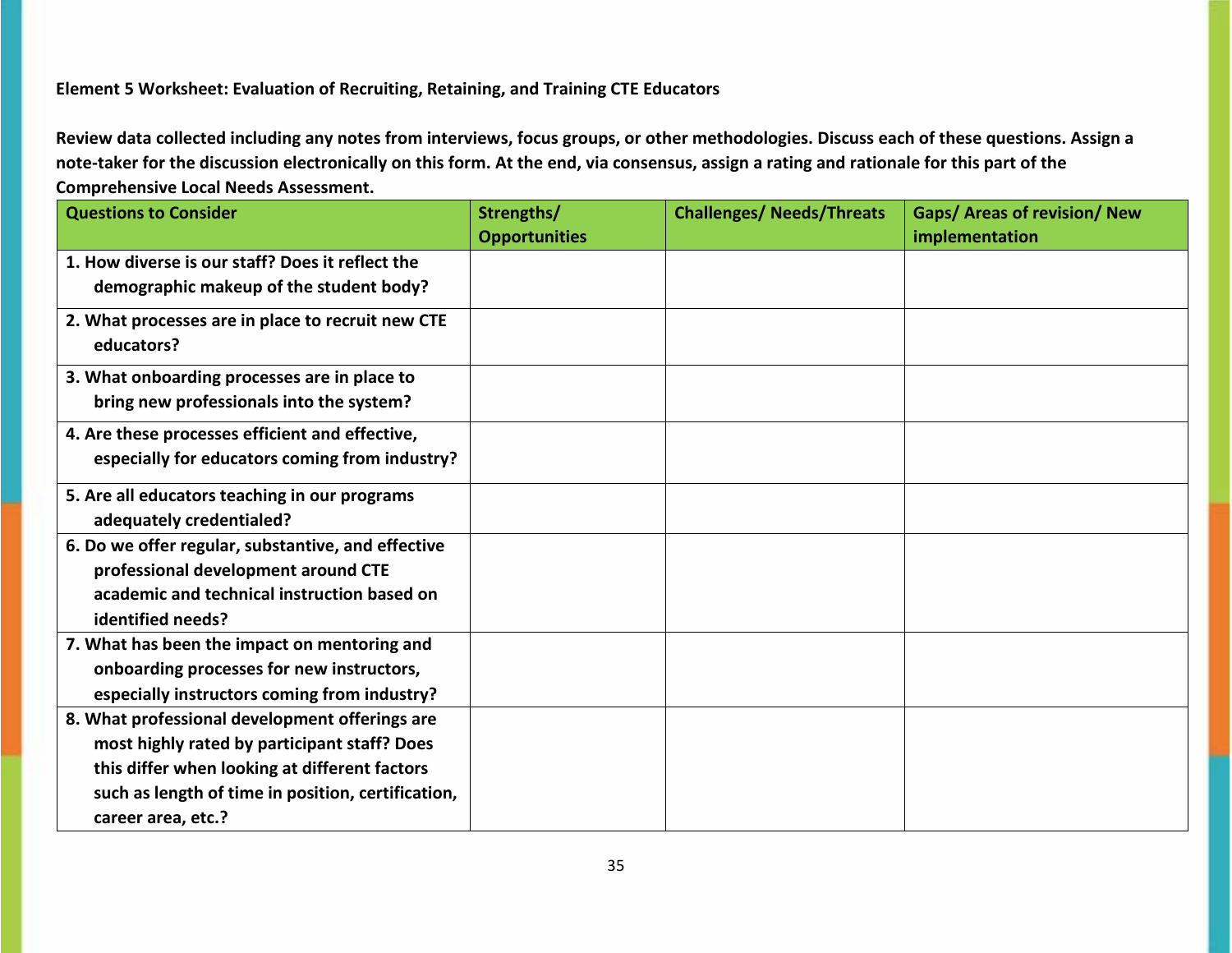## **Element 5 Worksheet: Evaluation of Recruiting, Retaining, and Training CTE Educators**

| <b>Questions to Consider</b>                       | Strengths/           | <b>Challenges/ Needs/Threats</b> | Gaps/ Areas of revision/ New |
|----------------------------------------------------|----------------------|----------------------------------|------------------------------|
|                                                    | <b>Opportunities</b> |                                  | implementation               |
| 1. How diverse is our staff? Does it reflect the   |                      |                                  |                              |
| demographic makeup of the student body?            |                      |                                  |                              |
| 2. What processes are in place to recruit new CTE  |                      |                                  |                              |
| educators?                                         |                      |                                  |                              |
| 3. What onboarding processes are in place to       |                      |                                  |                              |
| bring new professionals into the system?           |                      |                                  |                              |
| 4. Are these processes efficient and effective,    |                      |                                  |                              |
| especially for educators coming from industry?     |                      |                                  |                              |
| 5. Are all educators teaching in our programs      |                      |                                  |                              |
| adequately credentialed?                           |                      |                                  |                              |
| 6. Do we offer regular, substantive, and effective |                      |                                  |                              |
| professional development around CTE                |                      |                                  |                              |
| academic and technical instruction based on        |                      |                                  |                              |
| identified needs?                                  |                      |                                  |                              |
| 7. What has been the impact on mentoring and       |                      |                                  |                              |
| onboarding processes for new instructors,          |                      |                                  |                              |
| especially instructors coming from industry?       |                      |                                  |                              |
| 8. What professional development offerings are     |                      |                                  |                              |
| most highly rated by participant staff? Does       |                      |                                  |                              |
| this differ when looking at different factors      |                      |                                  |                              |
| such as length of time in position, certification, |                      |                                  |                              |
| career area, etc.?                                 |                      |                                  |                              |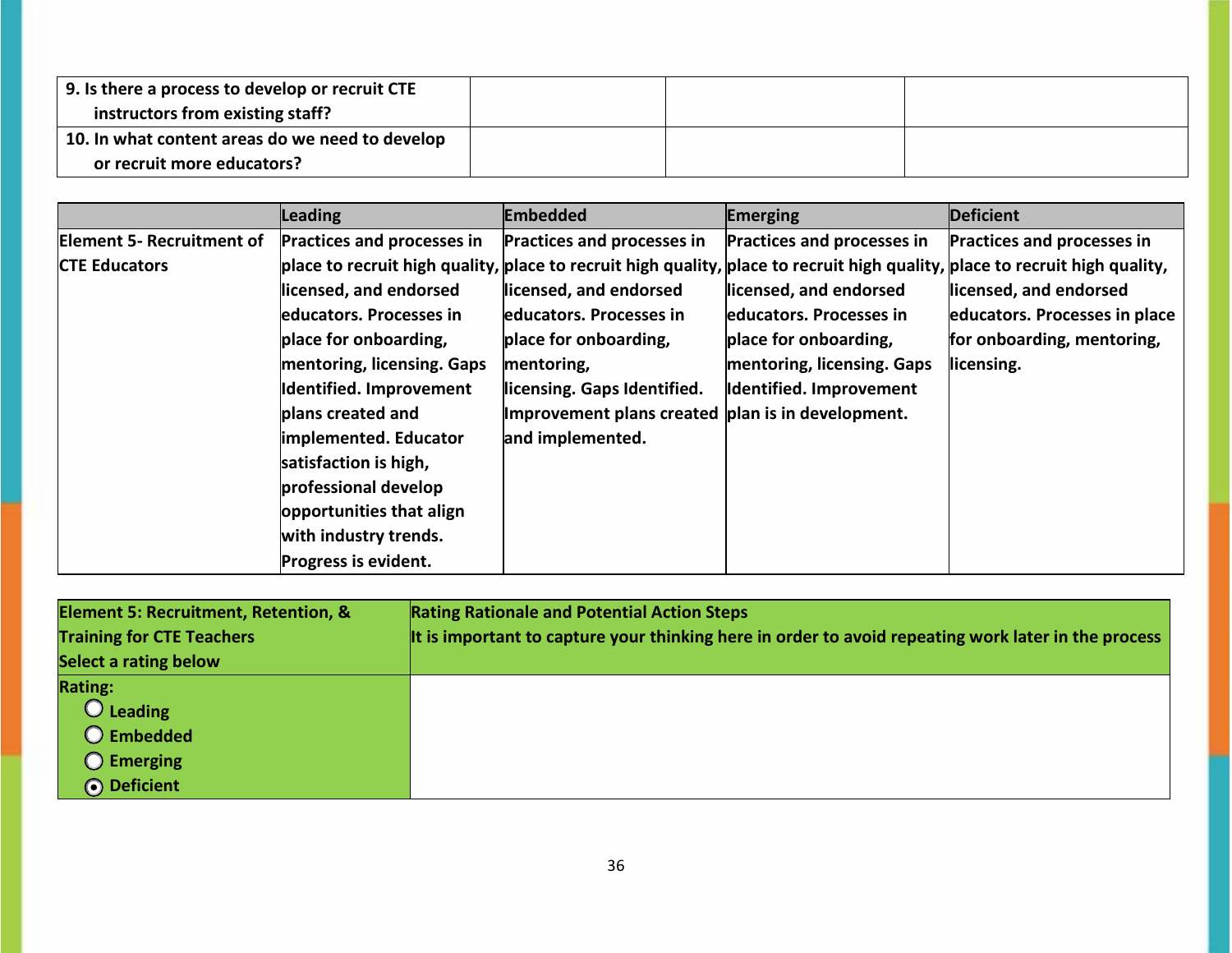| 9. Is there a process to develop or recruit CTE |  |  |
|-------------------------------------------------|--|--|
| instructors from existing staff?                |  |  |
| 10. In what content areas do we need to develop |  |  |
| or recruit more educators?                      |  |  |

|                                  | <b>Leading</b>                    | Embedded                                          | <b>Emerging</b>            | <b>Deficient</b>                                                                                                            |
|----------------------------------|-----------------------------------|---------------------------------------------------|----------------------------|-----------------------------------------------------------------------------------------------------------------------------|
| <b>Element 5- Recruitment of</b> | <b>Practices and processes in</b> | Practices and processes in                        | Practices and processes in | Practices and processes in                                                                                                  |
| <b>CTE Educators</b>             |                                   |                                                   |                            | place to recruit high quality, place to recruit high quality, place to recruit high quality, place to recruit high quality, |
|                                  | licensed, and endorsed            | licensed, and endorsed                            | licensed, and endorsed     | licensed, and endorsed                                                                                                      |
|                                  | educators. Processes in           | educators. Processes in                           | educators. Processes in    | educators. Processes in place                                                                                               |
|                                  | place for onboarding,             | place for onboarding,                             | place for onboarding,      | for onboarding, mentoring,                                                                                                  |
|                                  | mentoring, licensing. Gaps        | mentoring,                                        | mentoring, licensing. Gaps | licensing.                                                                                                                  |
|                                  | Identified. Improvement           | licensing. Gaps Identified.                       | Identified. Improvement    |                                                                                                                             |
|                                  | plans created and                 | Improvement plans created plan is in development. |                            |                                                                                                                             |
|                                  | implemented. Educator             | and implemented.                                  |                            |                                                                                                                             |
|                                  | satisfaction is high,             |                                                   |                            |                                                                                                                             |
|                                  | professional develop              |                                                   |                            |                                                                                                                             |
|                                  | opportunities that align          |                                                   |                            |                                                                                                                             |
|                                  | with industry trends.             |                                                   |                            |                                                                                                                             |
|                                  | Progress is evident.              |                                                   |                            |                                                                                                                             |

| Element 5: Recruitment, Retention, & | <b>Rating Rationale and Potential Action Steps</b>                                                  |
|--------------------------------------|-----------------------------------------------------------------------------------------------------|
| <b>Training for CTE Teachers</b>     | It is important to capture your thinking here in order to avoid repeating work later in the process |
| Select a rating below                |                                                                                                     |
| <b>Rating:</b>                       |                                                                                                     |
| $\bigcirc$ Leading                   |                                                                                                     |
| O Embedded                           |                                                                                                     |
| $\bigcirc$ Emerging                  |                                                                                                     |
| O Deficient                          |                                                                                                     |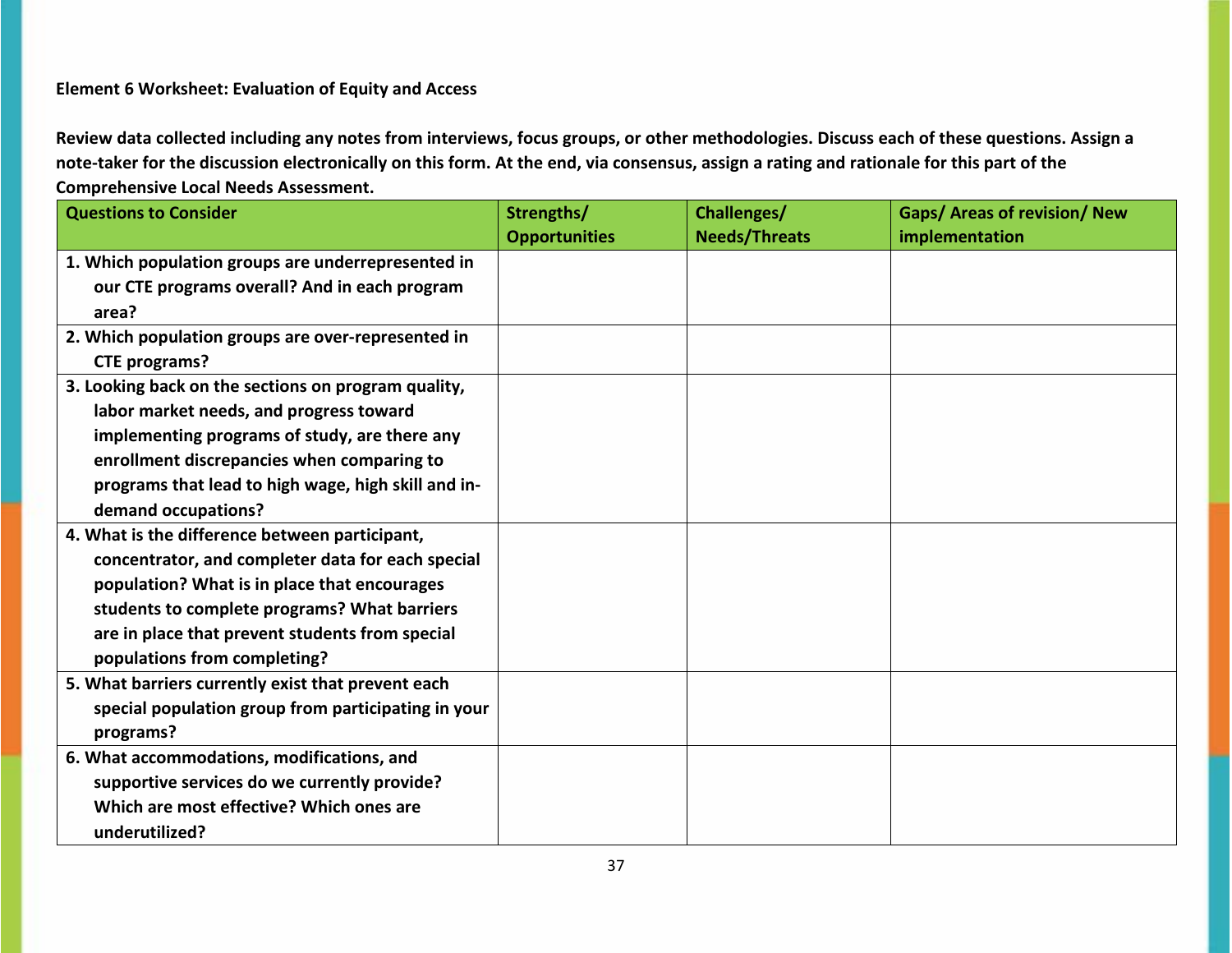## **Element 6 Worksheet: Evaluation of Equity and Access**

| <b>Questions to Consider</b>                        | Strengths/           | Challenges/          | Gaps/ Areas of revision/ New |
|-----------------------------------------------------|----------------------|----------------------|------------------------------|
|                                                     | <b>Opportunities</b> | <b>Needs/Threats</b> | implementation               |
| 1. Which population groups are underrepresented in  |                      |                      |                              |
| our CTE programs overall? And in each program       |                      |                      |                              |
| area?                                               |                      |                      |                              |
| 2. Which population groups are over-represented in  |                      |                      |                              |
| <b>CTE programs?</b>                                |                      |                      |                              |
| 3. Looking back on the sections on program quality, |                      |                      |                              |
| labor market needs, and progress toward             |                      |                      |                              |
| implementing programs of study, are there any       |                      |                      |                              |
| enrollment discrepancies when comparing to          |                      |                      |                              |
| programs that lead to high wage, high skill and in- |                      |                      |                              |
| demand occupations?                                 |                      |                      |                              |
| 4. What is the difference between participant,      |                      |                      |                              |
| concentrator, and completer data for each special   |                      |                      |                              |
| population? What is in place that encourages        |                      |                      |                              |
| students to complete programs? What barriers        |                      |                      |                              |
| are in place that prevent students from special     |                      |                      |                              |
| populations from completing?                        |                      |                      |                              |
| 5. What barriers currently exist that prevent each  |                      |                      |                              |
| special population group from participating in your |                      |                      |                              |
| programs?                                           |                      |                      |                              |
| 6. What accommodations, modifications, and          |                      |                      |                              |
| supportive services do we currently provide?        |                      |                      |                              |
| Which are most effective? Which ones are            |                      |                      |                              |
| underutilized?                                      |                      |                      |                              |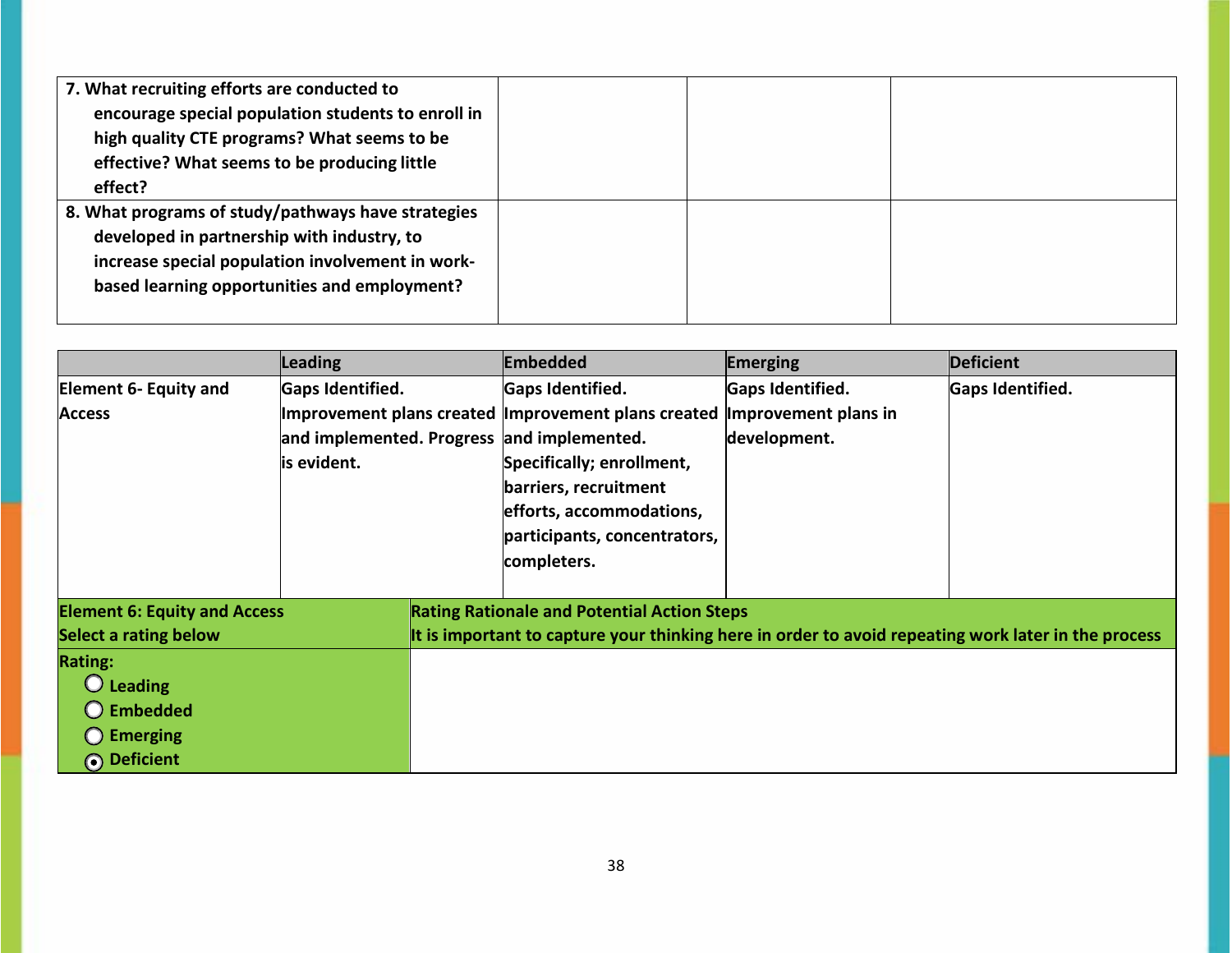| 7. What recruiting efforts are conducted to        |  |  |
|----------------------------------------------------|--|--|
| encourage special population students to enroll in |  |  |
| high quality CTE programs? What seems to be        |  |  |
| effective? What seems to be producing little       |  |  |
| effect?                                            |  |  |
| 8. What programs of study/pathways have strategies |  |  |
| developed in partnership with industry, to         |  |  |
| increase special population involvement in work-   |  |  |
| based learning opportunities and employment?       |  |  |
|                                                    |  |  |

|                                     | <b>Leading</b>   | <b>Embedded</b>                                                                                     | Emerging                | <b>Deficient</b>        |
|-------------------------------------|------------------|-----------------------------------------------------------------------------------------------------|-------------------------|-------------------------|
| <b>Element 6- Equity and</b>        | Gaps Identified. | Gaps Identified.                                                                                    | <b>Gaps Identified.</b> | <b>Gaps Identified.</b> |
| <b>Access</b>                       |                  | Improvement plans created Improvement plans created                                                 | Improvement plans in    |                         |
|                                     |                  | and implemented. Progress and implemented.                                                          | development.            |                         |
|                                     | is evident.      | Specifically; enrollment,                                                                           |                         |                         |
|                                     |                  | barriers, recruitment                                                                               |                         |                         |
|                                     |                  | efforts, accommodations,                                                                            |                         |                         |
|                                     |                  | participants, concentrators,                                                                        |                         |                         |
|                                     |                  | completers.                                                                                         |                         |                         |
|                                     |                  |                                                                                                     |                         |                         |
| <b>Element 6: Equity and Access</b> |                  | <b>Rating Rationale and Potential Action Steps</b>                                                  |                         |                         |
| <b>Select a rating below</b>        |                  | It is important to capture your thinking here in order to avoid repeating work later in the process |                         |                         |
| <b>Rating:</b>                      |                  |                                                                                                     |                         |                         |
| $\bigcirc$ Leading                  |                  |                                                                                                     |                         |                         |
| $\bigcirc$ Embedded                 |                  |                                                                                                     |                         |                         |
| $\bigcirc$ Emerging                 |                  |                                                                                                     |                         |                         |
| O Deficient                         |                  |                                                                                                     |                         |                         |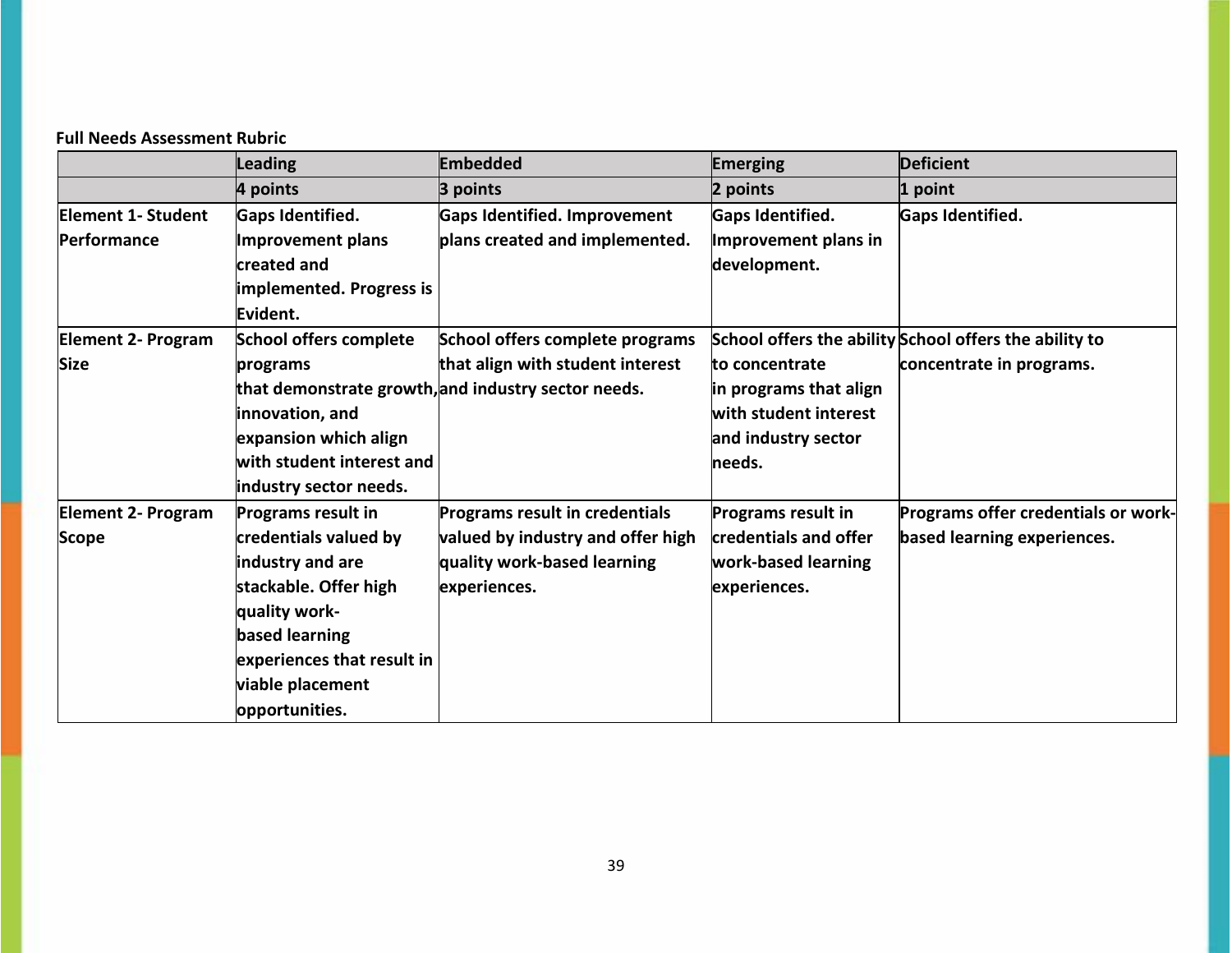# **Full Needs Assessment Rubric**

|                           | Leading                    | Embedded                                            | <b>Emerging</b>           | <b>Deficient</b>                                       |
|---------------------------|----------------------------|-----------------------------------------------------|---------------------------|--------------------------------------------------------|
|                           | 4 points                   | 3 points                                            | 2 points                  | 1 point                                                |
| <b>Element 1- Student</b> | <b>Gaps Identified.</b>    | <b>Gaps Identified. Improvement</b>                 | Gaps Identified.          | Gaps Identified.                                       |
| Performance               | Improvement plans          | plans created and implemented.                      | Improvement plans in      |                                                        |
|                           | created and                |                                                     | development.              |                                                        |
|                           | implemented. Progress is   |                                                     |                           |                                                        |
|                           | Evident.                   |                                                     |                           |                                                        |
| <b>Element 2- Program</b> | School offers complete     | School offers complete programs                     |                           | School offers the ability School offers the ability to |
| <b>Size</b>               | programs                   | that align with student interest                    | to concentrate            | concentrate in programs.                               |
|                           |                            | that demonstrate growth, and industry sector needs. | in programs that align    |                                                        |
|                           | innovation, and            |                                                     | with student interest     |                                                        |
|                           | expansion which align      |                                                     | and industry sector       |                                                        |
|                           | with student interest and  |                                                     | lneeds.                   |                                                        |
|                           | industry sector needs.     |                                                     |                           |                                                        |
| <b>Element 2- Program</b> | <b>Programs result in</b>  | <b>Programs result in credentials</b>               | <b>Programs result in</b> | Programs offer credentials or work-                    |
| Scope                     | credentials valued by      | valued by industry and offer high                   | credentials and offer     | based learning experiences.                            |
|                           | industry and are           | quality work-based learning                         | work-based learning       |                                                        |
|                           | stackable. Offer high      | experiences.                                        | experiences.              |                                                        |
|                           | quality work-              |                                                     |                           |                                                        |
|                           | based learning             |                                                     |                           |                                                        |
|                           | experiences that result in |                                                     |                           |                                                        |
|                           | viable placement           |                                                     |                           |                                                        |
|                           | opportunities.             |                                                     |                           |                                                        |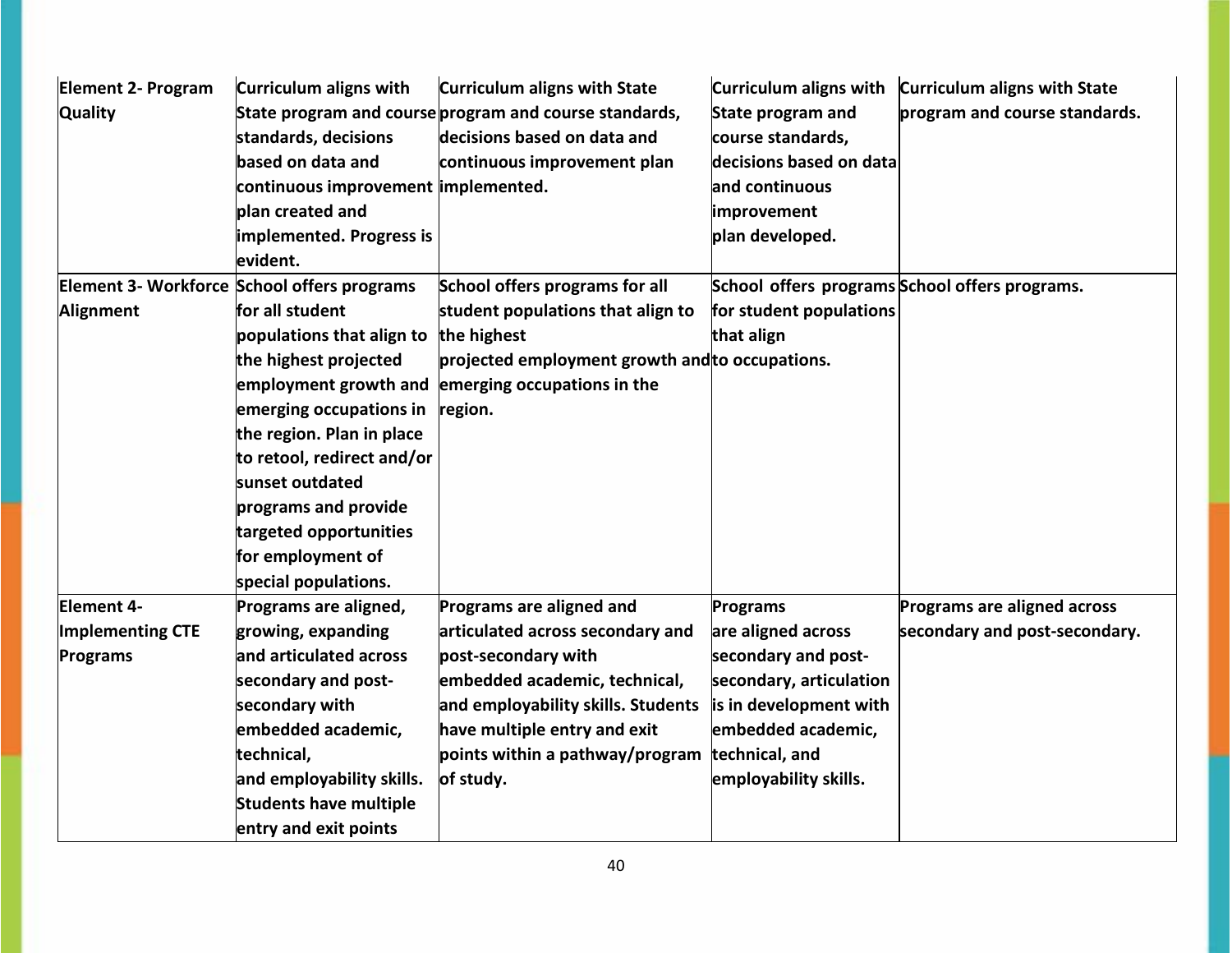| <b>Element 2- Program</b><br><b>Quality</b> | Curriculum aligns with<br>standards, decisions<br>based on data and<br>continuous improvement implemented.<br>plan created and<br>implemented. Progress is<br>levident. | <b>Curriculum aligns with State</b><br>State program and course program and course standards,<br>decisions based on data and<br>continuous improvement plan | Curriculum aligns with<br><b>State program and</b><br>course standards,<br>decisions based on data<br>and continuous<br>improvement<br>plan developed. | <b>Curriculum aligns with State</b><br>program and course standards. |
|---------------------------------------------|-------------------------------------------------------------------------------------------------------------------------------------------------------------------------|-------------------------------------------------------------------------------------------------------------------------------------------------------------|--------------------------------------------------------------------------------------------------------------------------------------------------------|----------------------------------------------------------------------|
|                                             | Element 3- Workforce School offers programs                                                                                                                             | School offers programs for all                                                                                                                              |                                                                                                                                                        | School offers programs School offers programs.                       |
| Alignment                                   | for all student                                                                                                                                                         | student populations that align to                                                                                                                           | for student populations                                                                                                                                |                                                                      |
|                                             | populations that align to                                                                                                                                               | the highest                                                                                                                                                 | that align                                                                                                                                             |                                                                      |
|                                             | the highest projected                                                                                                                                                   | projected employment growth and to occupations.                                                                                                             |                                                                                                                                                        |                                                                      |
|                                             | employment growth and                                                                                                                                                   | emerging occupations in the                                                                                                                                 |                                                                                                                                                        |                                                                      |
|                                             | emerging occupations in                                                                                                                                                 | region.                                                                                                                                                     |                                                                                                                                                        |                                                                      |
|                                             | the region. Plan in place                                                                                                                                               |                                                                                                                                                             |                                                                                                                                                        |                                                                      |
|                                             | to retool, redirect and/or                                                                                                                                              |                                                                                                                                                             |                                                                                                                                                        |                                                                      |
|                                             | sunset outdated                                                                                                                                                         |                                                                                                                                                             |                                                                                                                                                        |                                                                      |
|                                             | programs and provide                                                                                                                                                    |                                                                                                                                                             |                                                                                                                                                        |                                                                      |
|                                             | targeted opportunities                                                                                                                                                  |                                                                                                                                                             |                                                                                                                                                        |                                                                      |
|                                             | for employment of                                                                                                                                                       |                                                                                                                                                             |                                                                                                                                                        |                                                                      |
|                                             | special populations.                                                                                                                                                    |                                                                                                                                                             |                                                                                                                                                        |                                                                      |
| Element 4-                                  | Programs are aligned,                                                                                                                                                   | Programs are aligned and                                                                                                                                    | <b>Programs</b>                                                                                                                                        | Programs are aligned across                                          |
| Implementing CTE                            | growing, expanding                                                                                                                                                      | articulated across secondary and                                                                                                                            | are aligned across                                                                                                                                     | secondary and post-secondary.                                        |
| Programs                                    | and articulated across                                                                                                                                                  | post-secondary with                                                                                                                                         | secondary and post-                                                                                                                                    |                                                                      |
|                                             | secondary and post-                                                                                                                                                     | embedded academic, technical,                                                                                                                               | secondary, articulation                                                                                                                                |                                                                      |
|                                             | secondary with                                                                                                                                                          | and employability skills. Students                                                                                                                          | is in development with                                                                                                                                 |                                                                      |
|                                             | embedded academic,                                                                                                                                                      | have multiple entry and exit                                                                                                                                | embedded academic,                                                                                                                                     |                                                                      |
|                                             | technical,                                                                                                                                                              | points within a pathway/program                                                                                                                             | technical, and                                                                                                                                         |                                                                      |
|                                             | and employability skills.                                                                                                                                               | of study.                                                                                                                                                   | employability skills.                                                                                                                                  |                                                                      |
|                                             | <b>Students have multiple</b>                                                                                                                                           |                                                                                                                                                             |                                                                                                                                                        |                                                                      |
|                                             | entry and exit points                                                                                                                                                   |                                                                                                                                                             |                                                                                                                                                        |                                                                      |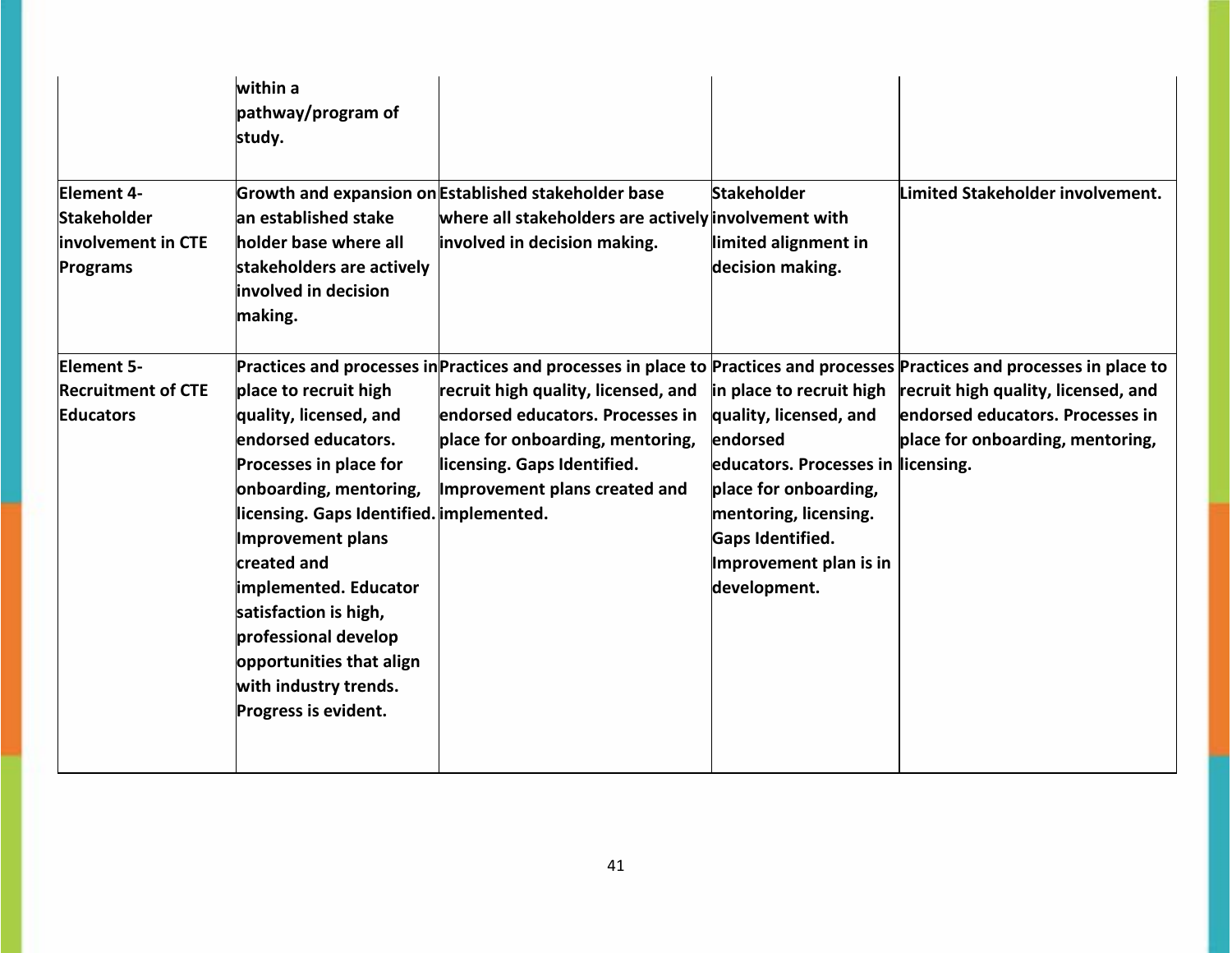|                                                                           | within a<br>pathway/program of<br>study.                                                                                                                                                                                                                                                                                                                                 |                                                                                                                                                                                                                                                                                                           |                                                                                                                                                                                                                      |                                                                                                             |
|---------------------------------------------------------------------------|--------------------------------------------------------------------------------------------------------------------------------------------------------------------------------------------------------------------------------------------------------------------------------------------------------------------------------------------------------------------------|-----------------------------------------------------------------------------------------------------------------------------------------------------------------------------------------------------------------------------------------------------------------------------------------------------------|----------------------------------------------------------------------------------------------------------------------------------------------------------------------------------------------------------------------|-------------------------------------------------------------------------------------------------------------|
| <b>Element 4-</b><br><b>Stakeholder</b><br>involvement in CTE<br>Programs | an established stake<br>holder base where all<br>stakeholders are actively<br>involved in decision<br>making.                                                                                                                                                                                                                                                            | Growth and expansion on Established stakeholder base<br>where all stakeholders are actively involvement with<br>involved in decision making.                                                                                                                                                              | <b>Stakeholder</b><br>limited alignment in<br>decision making.                                                                                                                                                       | Limited Stakeholder involvement.                                                                            |
| Element 5-<br><b>Recruitment of CTE</b><br><b>Educators</b>               | place to recruit high<br>quality, licensed, and<br>endorsed educators.<br><b>Processes in place for</b><br>onboarding, mentoring,<br>licensing. Gaps Identified. implemented.<br>Improvement plans<br>created and<br>implemented. Educator<br>satisfaction is high,<br>professional develop<br>opportunities that align<br>with industry trends.<br>Progress is evident. | Practices and processes in Practices and processes in place to Practices and processes Practices and processes in place to<br>recruit high quality, licensed, and<br>endorsed educators. Processes in<br>place for onboarding, mentoring,<br>licensing. Gaps Identified.<br>Improvement plans created and | in place to recruit high<br>quality, licensed, and<br>endorsed<br>educators. Processes in licensing.<br>place for onboarding,<br>mentoring, licensing.<br>Gaps Identified.<br>Improvement plan is in<br>development. | recruit high quality, licensed, and<br>endorsed educators. Processes in<br>place for onboarding, mentoring, |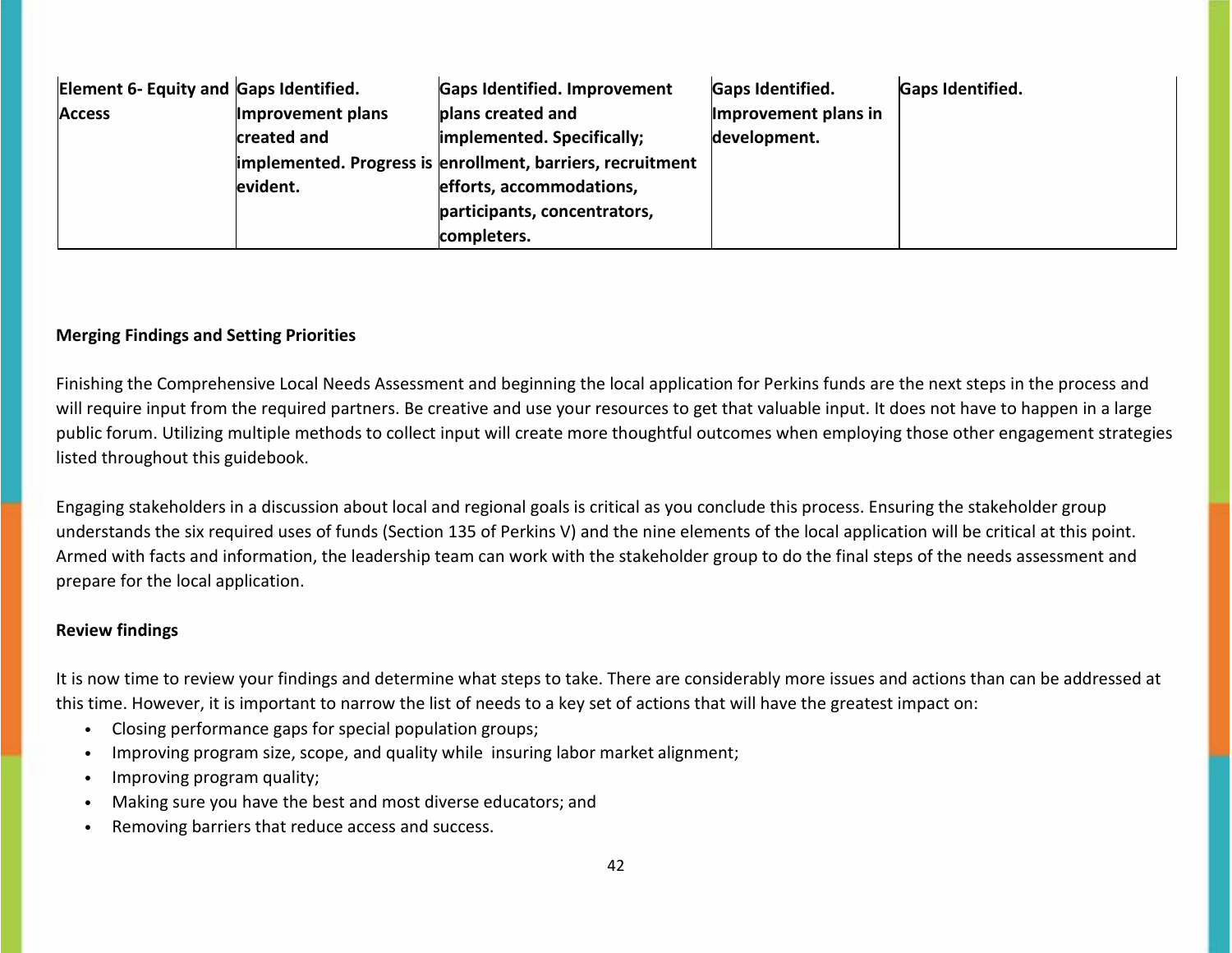| Element 6- Equity and Gaps Identified. |                   | Gaps Identified. Improvement                               | <b>Gaps Identified.</b> | <b>Gaps Identified.</b> |
|----------------------------------------|-------------------|------------------------------------------------------------|-------------------------|-------------------------|
| <b>Access</b>                          | Improvement plans | plans created and                                          | Improvement plans in    |                         |
|                                        | created and       | implemented. Specifically;                                 | development.            |                         |
|                                        |                   | implemented. Progress is enrollment, barriers, recruitment |                         |                         |
|                                        | evident.          | efforts, accommodations,                                   |                         |                         |
|                                        |                   | participants, concentrators,                               |                         |                         |
|                                        |                   | completers.                                                |                         |                         |

## **Merging Findings and Setting Priorities**

Finishing the Comprehensive Local Needs Assessment and beginning the local application for Perkins funds are the next steps in the process and will require input from the required partners. Be creative and use your resources to get that valuable input. It does not have to happen in a large public forum. Utilizing multiple methods to collect input will create more thoughtful outcomes when employing those other engagement strategies listed throughout this guidebook.

Engaging stakeholders in a discussion about local and regional goals is critical as you conclude this process. Ensuring the stakeholder group understands the six required uses of funds (Section 135 of Perkins V) and the nine elements of the local application will be critical at this point. Armed with facts and information, the leadership team can work with the stakeholder group to do the final steps of the needs assessment and prepare for the local application.

#### **Review findings**

It is now time to review your findings and determine what steps to take. There are considerably more issues and actions than can be addressed at this time. However, it is important to narrow the list of needs to a key set of actions that will have the greatest impact on:

- Closing performance gaps for special population groups;
- Improving program size, scope, and quality while insuring labor market alignment;
- Improving program quality;
- Making sure you have the best and most diverse educators; and
- Removing barriers that reduce access and success.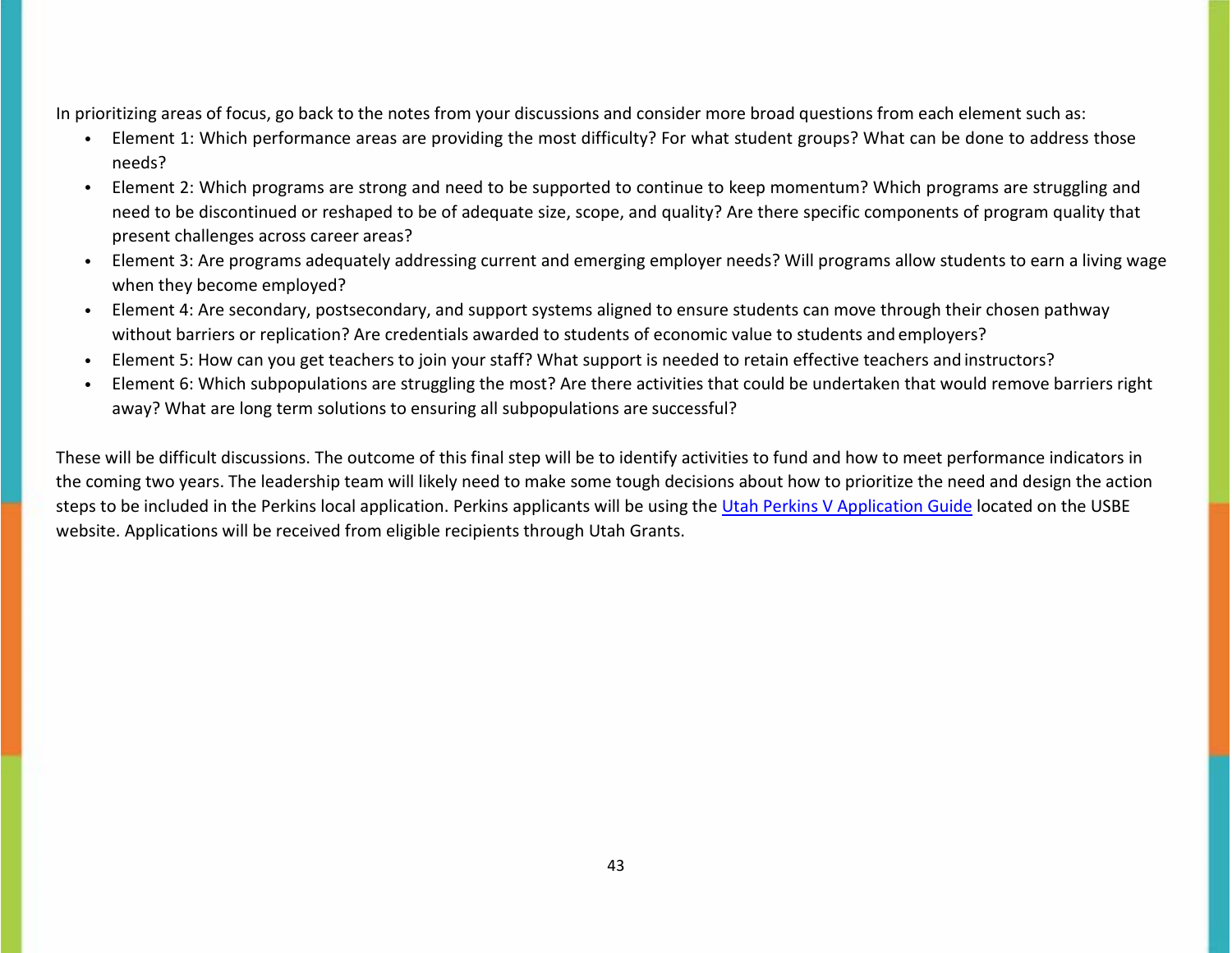In prioritizing areas of focus, go back to the notes from your discussions and consider more broad questions from each element such as:

- Element 1: Which performance areas are providing the most difficulty? For what student groups? What can be done to address those needs?
- Element 2: Which programs are strong and need to be supported to continue to keep momentum? Which programs are struggling and need to be discontinued or reshaped to be of adequate size, scope, and quality? Are there specific components of program quality that present challenges across career areas?
- Element 3: Are programs adequately addressing current and emerging employer needs? Will programs allow students to earn a living wage when they become employed?
- Element 4: Are secondary, postsecondary, and support systems aligned to ensure students can move through their chosen pathway without barriers or replication? Are credentials awarded to students of economic value to students and employers?
- Element 5: How can you get teachers to join your staff? What support is needed to retain effective teachers and instructors?
- Element 6: Which subpopulations are struggling the most? Are there activities that could be undertaken that would remove barriers right away? What are long term solutions to ensuring all subpopulations are successful?

These will be difficult discussions. The outcome of this final step will be to identify activities to fund and how to meet performance indicators in the coming two years. The leadership team will likely need to make some tough decisions about how to prioritize the need and design the action steps to be included in the Perkins local application. Perkins applicants will be using the [Utah Perkins V Application Guide](https://www.schools.utah.gov/file/3643ef89-2cd8-4823-a8fb-3f4912d7abe2) located on the USBE website. Applications will be received from eligible recipients through Utah Grants.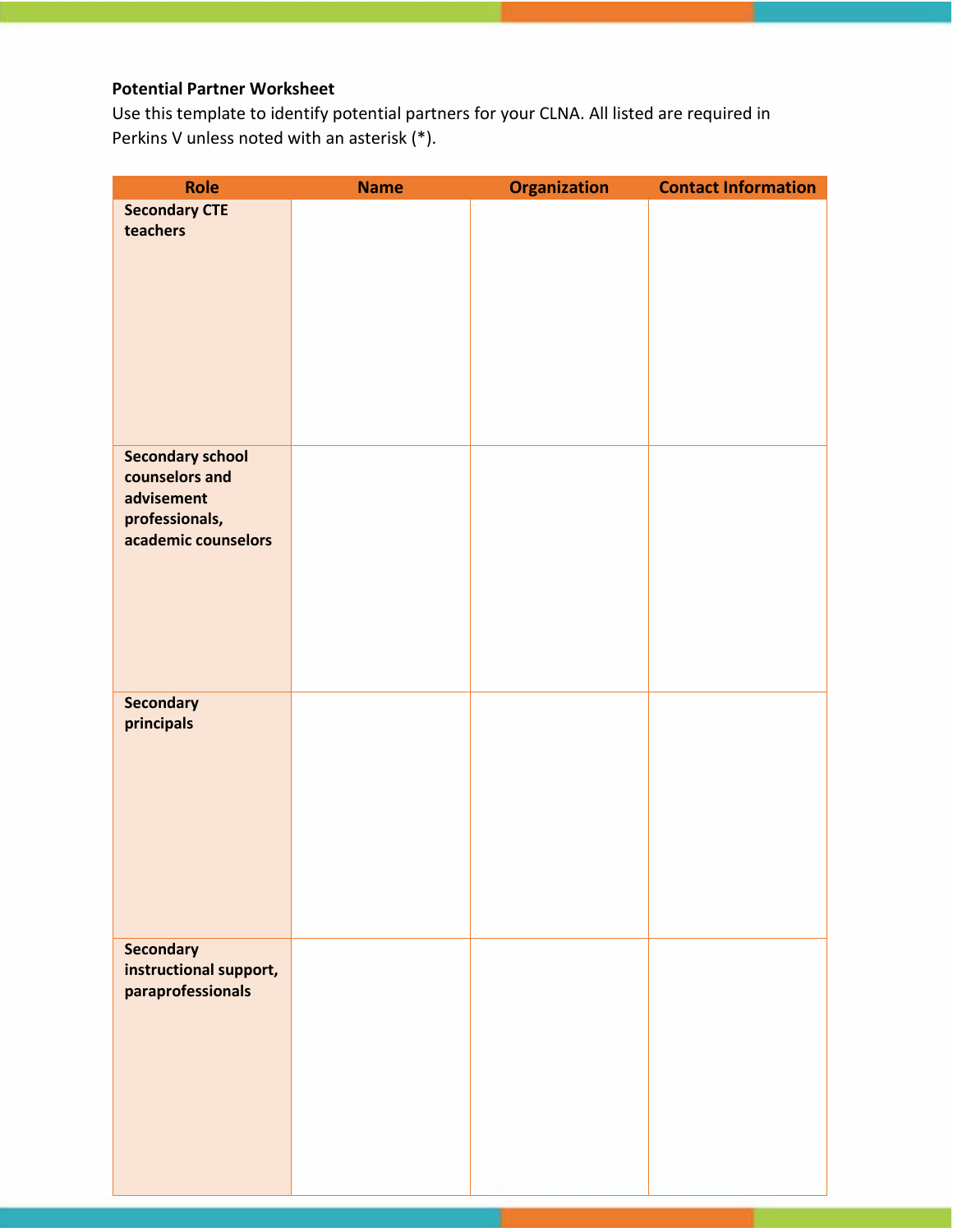# **Potential Partner Worksheet**

Use this template to identify potential partners for your CLNA. All listed are required in Perkins V unless noted with an asterisk (\*).

| Role                    | <b>Name</b> | <b>Organization</b> | <b>Contact Information</b> |
|-------------------------|-------------|---------------------|----------------------------|
| <b>Secondary CTE</b>    |             |                     |                            |
| teachers                |             |                     |                            |
|                         |             |                     |                            |
|                         |             |                     |                            |
|                         |             |                     |                            |
|                         |             |                     |                            |
|                         |             |                     |                            |
|                         |             |                     |                            |
|                         |             |                     |                            |
|                         |             |                     |                            |
| <b>Secondary school</b> |             |                     |                            |
| counselors and          |             |                     |                            |
| advisement              |             |                     |                            |
| professionals,          |             |                     |                            |
| academic counselors     |             |                     |                            |
|                         |             |                     |                            |
|                         |             |                     |                            |
|                         |             |                     |                            |
|                         |             |                     |                            |
|                         |             |                     |                            |
|                         |             |                     |                            |
| <b>Secondary</b>        |             |                     |                            |
| principals              |             |                     |                            |
|                         |             |                     |                            |
|                         |             |                     |                            |
|                         |             |                     |                            |
|                         |             |                     |                            |
|                         |             |                     |                            |
|                         |             |                     |                            |
|                         |             |                     |                            |
|                         |             |                     |                            |
| <b>Secondary</b>        |             |                     |                            |
| instructional support,  |             |                     |                            |
| paraprofessionals       |             |                     |                            |
|                         |             |                     |                            |
|                         |             |                     |                            |
|                         |             |                     |                            |
|                         |             |                     |                            |
|                         |             |                     |                            |
|                         |             |                     |                            |
|                         |             |                     |                            |
|                         |             |                     |                            |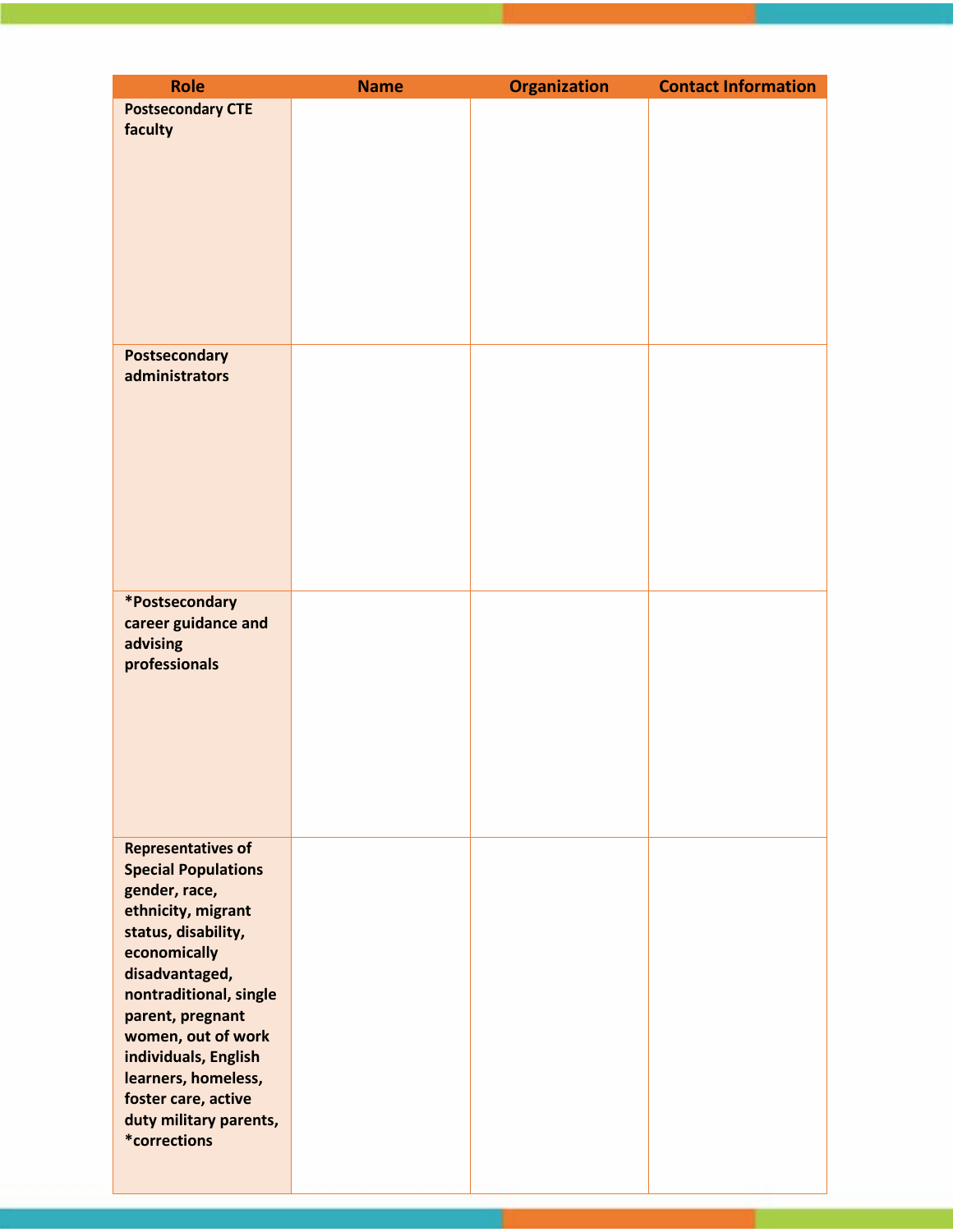| <b>Role</b>                               | <b>Name</b> | <b>Organization</b> | <b>Contact Information</b> |
|-------------------------------------------|-------------|---------------------|----------------------------|
| <b>Postsecondary CTE</b>                  |             |                     |                            |
| faculty                                   |             |                     |                            |
|                                           |             |                     |                            |
|                                           |             |                     |                            |
|                                           |             |                     |                            |
|                                           |             |                     |                            |
|                                           |             |                     |                            |
|                                           |             |                     |                            |
|                                           |             |                     |                            |
|                                           |             |                     |                            |
|                                           |             |                     |                            |
| Postsecondary                             |             |                     |                            |
| administrators                            |             |                     |                            |
|                                           |             |                     |                            |
|                                           |             |                     |                            |
|                                           |             |                     |                            |
|                                           |             |                     |                            |
|                                           |             |                     |                            |
|                                           |             |                     |                            |
|                                           |             |                     |                            |
|                                           |             |                     |                            |
| *Postsecondary                            |             |                     |                            |
| career guidance and                       |             |                     |                            |
| advising                                  |             |                     |                            |
| professionals                             |             |                     |                            |
|                                           |             |                     |                            |
|                                           |             |                     |                            |
|                                           |             |                     |                            |
|                                           |             |                     |                            |
|                                           |             |                     |                            |
|                                           |             |                     |                            |
|                                           |             |                     |                            |
| <b>Representatives of</b>                 |             |                     |                            |
| <b>Special Populations</b>                |             |                     |                            |
| gender, race,                             |             |                     |                            |
| ethnicity, migrant<br>status, disability, |             |                     |                            |
| economically                              |             |                     |                            |
| disadvantaged,                            |             |                     |                            |
| nontraditional, single                    |             |                     |                            |
| parent, pregnant                          |             |                     |                            |
| women, out of work                        |             |                     |                            |
| individuals, English                      |             |                     |                            |
| learners, homeless,                       |             |                     |                            |
| foster care, active                       |             |                     |                            |
| duty military parents,<br>*corrections    |             |                     |                            |
|                                           |             |                     |                            |
|                                           |             |                     |                            |

T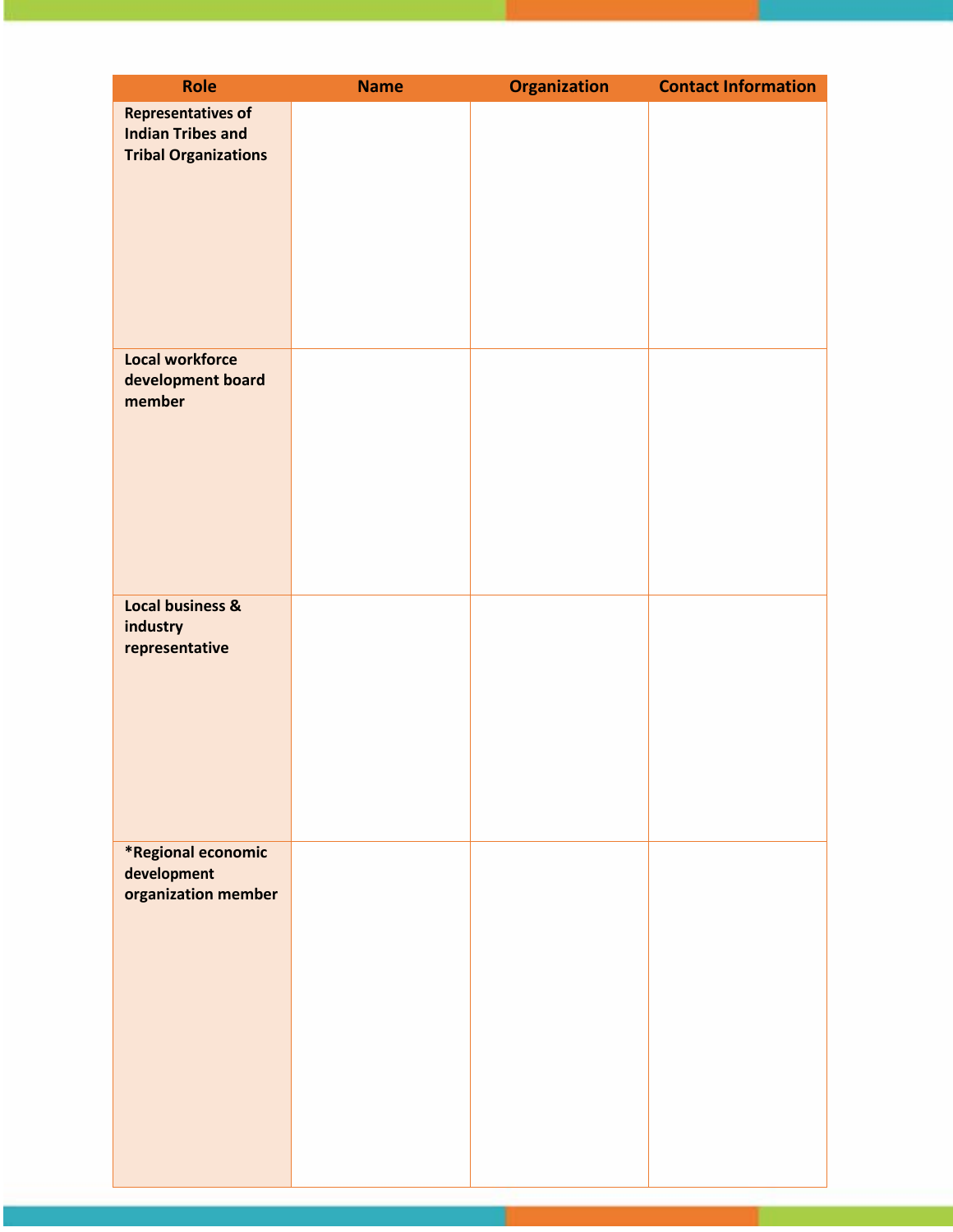| Role                        | <b>Name</b> | <b>Organization</b> | <b>Contact Information</b> |
|-----------------------------|-------------|---------------------|----------------------------|
| <b>Representatives of</b>   |             |                     |                            |
| <b>Indian Tribes and</b>    |             |                     |                            |
| <b>Tribal Organizations</b> |             |                     |                            |
|                             |             |                     |                            |
|                             |             |                     |                            |
|                             |             |                     |                            |
|                             |             |                     |                            |
|                             |             |                     |                            |
|                             |             |                     |                            |
|                             |             |                     |                            |
| <b>Local workforce</b>      |             |                     |                            |
| development board           |             |                     |                            |
| member                      |             |                     |                            |
|                             |             |                     |                            |
|                             |             |                     |                            |
|                             |             |                     |                            |
|                             |             |                     |                            |
|                             |             |                     |                            |
|                             |             |                     |                            |
|                             |             |                     |                            |
| <b>Local business &amp;</b> |             |                     |                            |
| industry                    |             |                     |                            |
| representative              |             |                     |                            |
|                             |             |                     |                            |
|                             |             |                     |                            |
|                             |             |                     |                            |
|                             |             |                     |                            |
|                             |             |                     |                            |
|                             |             |                     |                            |
|                             |             |                     |                            |
| *Regional economic          |             |                     |                            |
| development                 |             |                     |                            |
| organization member         |             |                     |                            |
|                             |             |                     |                            |
|                             |             |                     |                            |
|                             |             |                     |                            |
|                             |             |                     |                            |
|                             |             |                     |                            |
|                             |             |                     |                            |
|                             |             |                     |                            |
|                             |             |                     |                            |
|                             |             |                     |                            |
|                             |             |                     |                            |
|                             |             |                     |                            |

т.